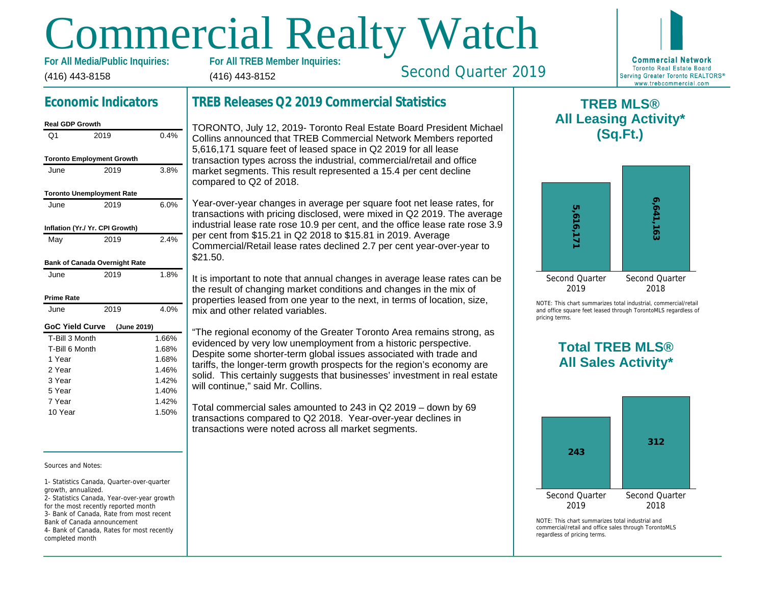# Commercial Realty Watch

(416) 443-8158 For All Media/Public Inquiries: (416) 443-8152

# Economic Indicators

#### Real GDP Growth Q1 2019 0.4% Toronto Employment Growth June 2019 3.8% Toronto Unemployment Rate June 2019 6.0% Inflation (Yr./ Yr. CPI Growth) May 2019 2.4% Bank of Canada Overnight Rate June 2019 1.8% Prime Rate June 2019 4.0% GoC Yield Curve (June 2019) T-Bill 3 Month T-Bill 6 Month 1 Year 2 Year 3 Year 5 Year 7 Year 10 Year 1.66% 1.68% 1.68% 1.46% 1.42% 1.40% 1.42% 1.50%

Sources and Notes:

1- Statistics Canada, Quarter-over-quarter growth, annualized.

2- Statistics Canada, Year-over-year growth for the most recently reported month 3- Bank of Canada, Rate from most recent Bank of Canada announcement

4- Bank of Canada, Rates for most recently completed month

## TREB Releases Q2 2019 Commercial Statistics

TORONTO, July 12, 2019- Toronto Real Estate Board President Michael Collins announced that TREB Commercial Network Members reported 5,616,171 square feet of leased space in Q2 2019 for all lease transaction types across the industrial, commercial/retail and office market segments. This result represented a 15.4 per cent decline compared to Q2 of 2018.

Year-over-year changes in average per square foot net lease rates, for transactions with pricing disclosed, were mixed in Q2 2019. The average industrial lease rate rose 10.9 per cent, and the office lease rate rose 3.9 per cent from \$15.21 in Q2 2018 to \$15.81 in 2019. Average Commercial/Retail lease rates declined 2.7 per cent year-over-year to \$21.50.

It is important to note that annual changes in average lease rates can be the result of changing market conditions and changes in the mix of properties leased from one year to the next, in terms of location, size, mix and other related variables.

"The regional economy of the Greater Toronto Area remains strong, as evidenced by very low unemployment from a historic perspective. Despite some shorter-term global issues associated with trade and tariffs, the longer-term growth prospects for the region's economy are solid. This certainly suggests that businesses' investment in real estate will continue," said Mr. Collins.

Total commercial sales amounted to 243 in Q2 2019 – down by 69 transactions compared to Q2 2018. Year-over-year declines in transactions were noted across all market segments.

 $\mathsf T$ All Lea

Second Quarter 2019

NOTE: This chart sur and office square fee pricing terms.

# Total All Sa

 $NOTF: This chart sur$ commercial/retail and regardless of pricing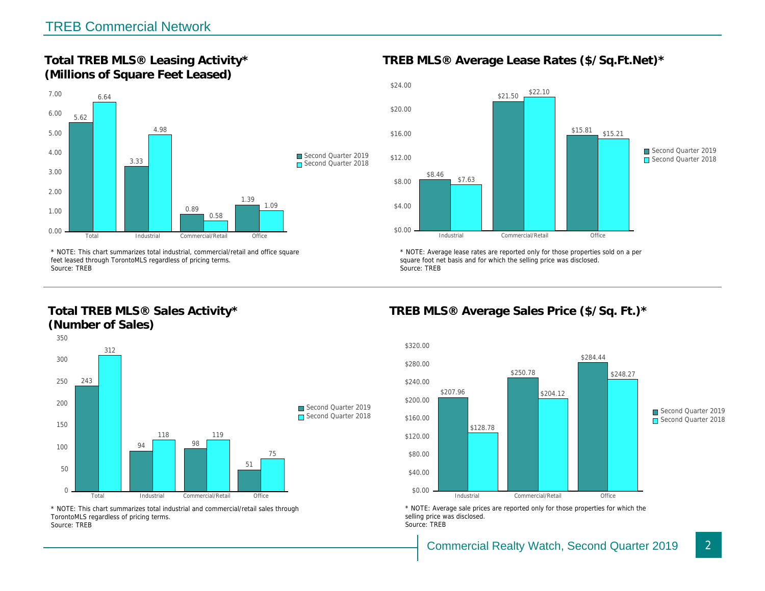Total TREB MLS® Leasing Activity\* (Millions of Square Feet Leased)

TREB MLS® Average Lease Rates (\$/So.

\* NOTE: This chart summarizes total industrial, commercial/retail and office square feet leased through TorontoMLS regardless of pricing terms. Source: TREB

Total TREB MLS® Sales Activity\* (Number of Sales)

\* NOTE: Average lease rates are reported only for those proper square foot net basis and for which the selling price was disclos Source: TREB

TREB MLS® Average Sales Price (\$/So.

\* NOTE: This chart summarizes total industrial and commercial/retail sales through TorontoMLS regardless of pricing terms. Source: TREB

\* NOTE: Average sale prices are reported only for those prope selling price was disclosed. Source: TREB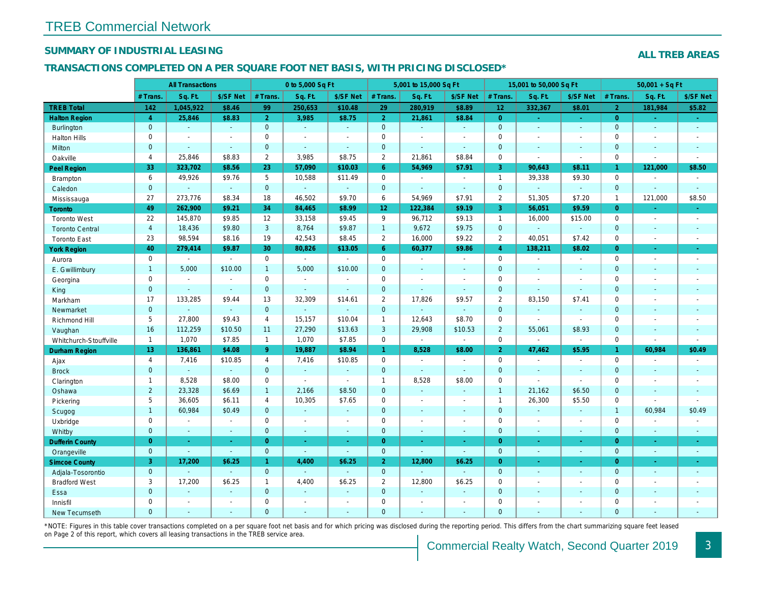## SUMMARY OF INDUSTRIAL LEASING

#### TRANSACTIONS COMPLETED ON A PER SQUARE FOOT NET BASIS, WITH PRICING DISCLOSED\*

|                        | <b>All Transactions</b> |                          | 0 to 5,000 Sq Ft |                |                       |                | 5,001 to 15,000 Sq Ft |                | 15,001 to 50,000 Sq Ft |                 |                |                  |
|------------------------|-------------------------|--------------------------|------------------|----------------|-----------------------|----------------|-----------------------|----------------|------------------------|-----------------|----------------|------------------|
|                        | # Trans                 | Sq. Ft.                  | \$/SF Net        | # Trans.       | Sq. Ft.               | \$/SF Net      | # Trans.              | Sq. Ft.        | \$/SF Net              | $#$ Trans.      | Sq. Ft.        | \$/SF Ne         |
| <b>TREB Total</b>      | 142                     | 1,045,922                | \$8.46           | 99             | 250,653               | \$10.48        | 29                    | 280,919        | \$8.89                 | 12 <sub>2</sub> | 332,367        | \$8.01           |
| <b>Halton Region</b>   | $\overline{4}$          | 25,846                   | \$8.83           | $\overline{2}$ | 3,985                 | \$8.75         | $\overline{2}$        | 21,861         | \$8.84                 | $\overline{0}$  | $\omega$       | $\sim$           |
| <b>Burlington</b>      | $\mathbf 0$             | $\omega$                 | $\omega$         | $\mathbf 0$    | $\sim$                | $\omega$       | $\mathbf{0}$          | $\omega$       | $\omega$               | $\mathbf{0}$    | $\omega$       | $\omega$         |
| <b>Halton Hills</b>    | 0                       | $\sim$                   | $\blacksquare$   | $\mathbf 0$    | $\sim$                | $\blacksquare$ | $\mathbf 0$           | $\blacksquare$ | $\overline{a}$         | $\mathbf 0$     | $\blacksquare$ | $\blacksquare$   |
| Milton                 | $\mathbf{0}$            | ÷.                       | $\omega$         | $\overline{0}$ | $\sim$                | $\mathbf{r}$   | $\mathbf 0$           | $\Delta$       | $\omega$               | $\mathbf{0}$    | $\Delta$       | $\sim$           |
| Oakville               | $\overline{4}$          | 25,846                   | \$8.83           | $\overline{2}$ | 3,985                 | \$8.75         | $\overline{2}$        | 21,861         | \$8.84                 | $\mathbf 0$     | $\blacksquare$ | $\blacksquare$   |
| <b>Peel Region</b>     | 33                      | 323,702                  | \$8.56           | 23             | 57,090                | \$10.03        | $6^{\circ}$           | 54,969         | \$7.91                 | $\overline{3}$  | 90,643         | \$8.11           |
| <b>Brampton</b>        | 6                       | 49,926                   | \$9.76           | 5              | 10,588                | \$11.49        | $\mathbf 0$           | $\blacksquare$ | $\blacksquare$         | $\overline{1}$  | 39,338         | \$9.30           |
| Caledon                | $\mathbf{0}$            | $\omega$                 | $\omega$         | $\overline{0}$ | $\omega$              | $\omega$       | $\mathbf{0}$          | $\blacksquare$ | $\blacksquare$         | $\overline{0}$  | $\omega$       | $\omega$         |
| Mississauga            | 27                      | 273,776                  | \$8.34           | 18             | 46,502                | \$9.70         | 6                     | 54,969         | \$7.91                 | $\overline{2}$  | 51,305         | \$7.20           |
| <b>Toronto</b>         | 49                      | 262,900                  | \$9.21           | 34             | 84,465                | \$8.99         | 12 <sub>2</sub>       | 122,384        | \$9.19                 | 3               | 56,051         | \$9.59           |
| <b>Toronto West</b>    | 22                      | 145,870                  | \$9.85           | 12             | 33,158                | \$9.45         | 9                     | 96,712         | \$9.13                 | $\overline{1}$  | 16,000         | \$15.00          |
| <b>Toronto Central</b> | $\overline{4}$          | 18,436                   | \$9.80           | 3              | 8,764                 | \$9.87         | $\mathbf{1}$          | 9,672          | \$9.75                 | $\mathbf{0}$    | $\omega$       | $\blacksquare$   |
| <b>Toronto East</b>    | 23                      | 98,594                   | \$8.16           | 19             | 42,543                | \$8.45         | $\overline{2}$        | 16,000         | \$9.22                 | $\overline{2}$  | 40,051         | \$7.42           |
| <b>York Region</b>     | 40                      | 279,414                  | \$9.87           | 30             | 80,826                | \$13.05        | 6 <sup>°</sup>        | 60,377         | \$9.86                 | $\overline{4}$  | 138,211        | \$8.02           |
| Aurora                 | $\mathbf 0$             | $\sim$                   | $\sim$           | $\mathbf 0$    | $\sim$                | $\sim$         | $\mathbf 0$           | $\omega$       | $\sim$                 | $\mathbf 0$     | $\blacksquare$ | $\sim$           |
| E. Gwillimbury         | $\mathbf{1}$            | 5,000                    | \$10.00          | $\mathbf{1}$   | 5.000                 | \$10.00        | $\mathbf{0}$          | ä,             | ä,                     | $\mathbf{0}$    | $\omega$       | $\blacksquare$   |
| Georgina               | $\mathbf 0$             | $\blacksquare$           | $\blacksquare$   | $\mathbf 0$    | $\sim$                | $\blacksquare$ | $\mathbf 0$           | $\blacksquare$ | $\blacksquare$         | $\mathbf 0$     | $\blacksquare$ | $\blacksquare$   |
| King                   | $\mathbf{0}$            | $\overline{\phantom{a}}$ | $\sim$           | $\mathbf{0}$   | $\mathbf{u}$          | $\omega$       | $\mathbf{0}$          | $\omega$       | $\omega$               | $\mathbf{0}$    | $\omega$       | $\blacksquare$   |
| Markham                | 17                      | 133,285                  | \$9.44           | 13             | 32,309                | \$14.61        | $\overline{2}$        | 17,826         | \$9.57                 | 2               | 83,150         | \$7.41           |
| Newmarket              | $\mathbf{0}$            |                          | $\omega$         | $\mathbf{0}$   | ä,                    | $\blacksquare$ | $\mathbf{0}$          | $\blacksquare$ | $\omega$               | $\mathbf{0}$    | $\omega$       | $\sim$           |
| Richmond Hill          | 5                       | 27,800                   | \$9.43           | $\overline{4}$ | 15,157                | \$10.04        | $\mathbf{1}$          | 12,643         | \$8.70                 | $\mathbf 0$     | $\blacksquare$ | $\blacksquare$   |
| Vaughan                | 16                      | 112,259                  | \$10.50          | 11             | 27,290                | \$13.63        | 3                     | 29,908         | \$10.53                | $\overline{2}$  | 55,061         | \$8.93           |
| Whitchurch-Stouffville | $\mathbf{1}$            | 1,070                    | \$7.85           | $\mathbf{1}$   | 1,070                 | \$7.85         | $\mathbf 0$           | $\blacksquare$ | $\blacksquare$         | $\mathbf 0$     | $\blacksquare$ | $\blacksquare$   |
| Durham Region          | 13 <sup>°</sup>         | 136,861                  | \$4.08           | 9 <sup>°</sup> | 19,887                | \$8.94         | $\mathbf{1}$          | 8,528          | \$8.00                 | 2 <sup>1</sup>  | 47,462         | \$5.95           |
| Ajax                   | $\overline{4}$          | 7,416                    | \$10.85          | $\overline{4}$ | 7,416                 | \$10.85        | $\mathbf 0$           | $\blacksquare$ | $\blacksquare$         | $\mathbf 0$     | $\blacksquare$ | $\sim$           |
| <b>Brock</b>           | $\mathbf 0$             | $\omega$                 | $\omega$         | $\mathbf{0}$   | $\mathbf{u}$          | $\omega$       | $\mathbf{0}$          | $\omega$       | $\omega$               | $\mathbf{0}$    | $\omega$       | $\omega$         |
| Clarington             | $\mathbf{1}$            | 8,528                    | \$8.00           | $\mathbf 0$    | $\blacksquare$        | $\blacksquare$ | $\mathbf{1}$          | 8,528          | \$8.00                 | $\mathbf 0$     | $\blacksquare$ | $\blacksquare$   |
| Oshawa                 | $\overline{2}$          | 23,328                   | \$6.69           | $\mathbf{1}$   | 2,166                 | \$8.50         | $\mathbf{0}$          | $\omega$       | $\sim$                 | $\mathbf{1}$    | 21,162         | \$6.50           |
| Pickering              | 5                       | 36,605                   | \$6.11           | $\overline{4}$ | 10,305                | \$7.65         | $\mathbf 0$           | $\blacksquare$ | $\blacksquare$         | $\overline{1}$  | 26,300         | \$5.50           |
| Scugog                 | $\mathbf{1}$            | 60,984                   | \$0.49           | $\mathbf{0}$   | e                     | $\blacksquare$ | $\mathbf{0}$          | $\blacksquare$ | $\sim$                 | $\mathbf{0}$    | $\blacksquare$ | $\blacksquare$   |
| Uxbridge               | $\mathbf 0$             | $\sim$                   | $\blacksquare$   | $\mathbf 0$    | $\tilde{\phantom{a}}$ | $\blacksquare$ | $\mathbf 0$           | ÷,             | $\blacksquare$         | $\mathbf 0$     | $\blacksquare$ | $\blacksquare$   |
| Whitby                 | $\mathbf{0}$            | $\sim$                   | $\sim$           | $\mathbf{0}$   | $\omega$              | $\sim$         | $\mathbf{0}$          | $\Delta$       | $\blacksquare$         | $\mathbf{0}$    | $\sim$         | $\sim$           |
| <b>Dufferin County</b> | $\overline{0}$          | $\omega$                 | $\sim$           | $\overline{0}$ | $\omega$              | $\omega$       | $\overline{0}$        | ÷.             | ÷.                     | $\overline{0}$  | $\omega$       | $\omega$         |
| Orangeville            | $\mathbf{0}$            | $\omega$                 | $\omega$         | $\mathbf{0}$   | $\omega$              | $\omega$       | $\mathbf{0}$          | $\omega$       | $\omega$               | $\mathbf{0}$    | $\omega$       | $\sim$           |
| <b>Simcoe County</b>   | 3                       | 17,200                   | \$6.25           | $\mathbf{1}$   | 4,400                 | \$6.25         | 2 <sup>1</sup>        | 12,800         | \$6.25                 | $\overline{0}$  | $\omega$       | $\sigma_{\rm c}$ |
| Adjala-Tosorontio      | $\mathbf 0$             |                          | $\sim$           | $\overline{0}$ | $\omega$              | $\blacksquare$ | $\mathbf{0}$          | $\blacksquare$ | $\blacksquare$         | $\mathbf{0}$    | $\blacksquare$ | $\sim$           |
| <b>Bradford West</b>   | 3                       | 17,200                   | \$6.25           | $\mathbf{1}$   | 4,400                 | \$6.25         | $\overline{2}$        | 12,800         | \$6.25                 | $\mathbf 0$     | $\blacksquare$ | $\blacksquare$   |
| Essa                   | $\mathbf{0}$            | $\sim$                   | $\sim$           | $\mathbf{0}$   | $\omega$              | $\blacksquare$ | $\mathbf 0$           | $\omega$       | $\omega$               | $\mathbf{0}$    | $\omega$       | $\blacksquare$   |
| Innisfil               | $\mathbf 0$             | $\overline{\phantom{a}}$ | $\sim$           | $\mathbf 0$    | $\blacksquare$        | $\blacksquare$ | $\mathbf 0$           | $\blacksquare$ | $\sim$                 | $\mathbf 0$     | $\blacksquare$ | $\blacksquare$   |
| <b>New Tecumseth</b>   | $\Omega$                | $\sim$                   | $\sim$           | $\overline{0}$ | ä,                    | $\sim$         | $\mathbf{0}$          | $\blacksquare$ | $\blacksquare$         | $\mathbf{0}$    | $\sim$         | $\sim$           |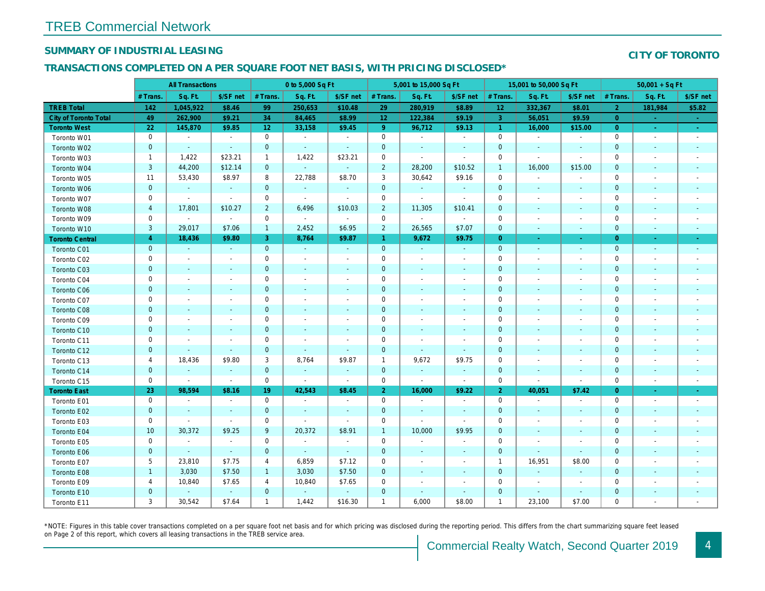## SUMMARY OF INDUSTRIAL LEASING

#### TRANSACTIONS COMPLETED ON A PER SQUARE FOOT NET BASIS, WITH PRICING DISCLOSED\*

|                              | <b>All Transactions</b> |                          |                          | 0 to 5,000 Sq Ft |                          |                          |                     | 5,001 to 15,000 Sq Ft    |                          | 15,001 to 50,000 Sq Ft |                          |                          |
|------------------------------|-------------------------|--------------------------|--------------------------|------------------|--------------------------|--------------------------|---------------------|--------------------------|--------------------------|------------------------|--------------------------|--------------------------|
|                              | # Trans.                | Sq. Ft.                  | \$/SF net                | # Trans.         | Sq. Ft.                  | \$/SF net                | # Trans.            | Sq. Ft.                  | \$/SF net                | # Trans.               | Sq. Ft.                  | \$/SF ne                 |
| <b>TREB Total</b>            | 142                     | 1,045,922                | \$8.46                   | 99               | 250,653                  | \$10.48                  | 29                  | 280,919                  | \$8.89                   | 12                     | 332,367                  | \$8.01                   |
| <b>City of Toronto Total</b> | 49                      | 262,900                  | \$9.21                   | 34               | 84,465                   | \$8.99                   | 12 <sub>2</sub>     | 122,384                  | \$9.19                   | $\overline{3}$         | 56,051                   | \$9.59                   |
| <b>Toronto West</b>          | 22                      | 145,870                  | \$9.85                   | 12               | 33,158                   | \$9.45                   | 9 <sup>°</sup>      | 96,712                   | \$9.13                   | $\overline{1}$         | 16,000                   | \$15.00                  |
| Toronto W01                  | $\mathbf 0$             | $\sim$                   | $\sim$                   | $\mathbf 0$      | $\blacksquare$           | $\sim$                   | $\mathbf 0$         | $\blacksquare$           | $\blacksquare$           | $\mathbf 0$            | $\sim$                   | $\sim$                   |
| Toronto W02                  | $\mathbf 0$             | $\sim$                   | $\sim$                   | $\mathbf 0$      | $\sim$                   | $\blacksquare$           | $\mathbf 0$         | $\sim$                   | $\overline{\phantom{a}}$ | $\mathbf 0$            | $\sim$                   | $\sim$                   |
| Toronto W03                  | $\mathbf{1}$            | 1,422                    | \$23.21                  | $\mathbf{1}$     | 1,422                    | \$23.21                  | $\mathbf 0$         | $\sim$                   | $\sim$                   | 0                      | $\overline{\phantom{a}}$ | $\sim$                   |
| Toronto W04                  | $\mathbf{3}$            | 44,200                   | \$12.14                  | $\mathbf{0}$     | $\omega$                 | $\blacksquare$           | $\overline{2}$      | 28,200                   | \$10.52                  | $\overline{1}$         | 16,000                   | \$15.00                  |
| Toronto W05                  | 11                      | 53,430                   | \$8.97                   | 8                | 22,788                   | \$8.70                   | 3                   | 30,642                   | \$9.16                   | $\mathbf 0$            | $\sim$                   | $\blacksquare$           |
| Toronto W06                  | $\mathbf 0$             | $\sim$                   | $\sim$                   | $\mathbf 0$      | $\sim$                   | $\blacksquare$           | $\mathbf 0$         | $\blacksquare$           | $\blacksquare$           | $\mathbf 0$            | $\sim$                   | $\sim$                   |
| Toronto W07                  | $\mathbf 0$             | $\sim$                   | $\sim$                   | $\mathbf 0$      | $\blacksquare$           | $\sim$                   | $\mathbf 0$         | $\sim$                   | $\blacksquare$           | 0                      | $\overline{\phantom{a}}$ | $\overline{\phantom{a}}$ |
| Toronto W08                  | $\overline{\mathbf{4}}$ | 17,801                   | \$10.27                  | $\overline{2}$   | 6,496                    | \$10.03                  | $\overline{2}$      | 11,305                   | \$10.41                  | $\mathbf 0$            | $\overline{\phantom{a}}$ | $\sim$                   |
| Toronto W09                  | $\mathbf 0$             | $\blacksquare$           | $\blacksquare$           | $\mathbf 0$      | $\blacksquare$           | $\blacksquare$           | $\mathsf{O}\xspace$ | $\blacksquare$           | $\blacksquare$           | 0                      | $\overline{\phantom{a}}$ | $\sim$                   |
| Toronto W10                  | 3                       | 29,017                   | \$7.06                   | $\mathbf{1}$     | 2,452                    | \$6.95                   | $\overline{2}$      | 26,565                   | \$7.07                   | $\mathbf 0$            | $\overline{\phantom{a}}$ | $\sim$                   |
| <b>Toronto Central</b>       | $\overline{4}$          | 18,436                   | \$9.80                   | 3                | 8,764                    | \$9.87                   | $\mathbf{1}$        | 9,672                    | \$9.75                   | $\overline{0}$         | $\sim$                   | $\sim$                   |
| Toronto C01                  | $\mathbf 0$             | $\omega$                 | $\sim$                   | $\mathbf{0}$     | $\omega$                 | $\blacksquare$           | $\mathbf 0$         | $\omega$                 | $\sim$                   | $\mathbf{0}$           | $\blacksquare$           | $\sim$                   |
| Toronto C02                  | $\mathbf 0$             | $\blacksquare$           | $\blacksquare$           | $\mathbf 0$      | $\overline{a}$           | $\overline{\phantom{a}}$ | $\mathbf 0$         | $\blacksquare$           | $\overline{\phantom{a}}$ | 0                      |                          | $\overline{\phantom{a}}$ |
| Toronto C03                  | $\pmb{0}$               | $\blacksquare$           |                          | $\mathbf 0$      | $\blacksquare$           | $\blacksquare$           | $\mathbf 0$         | ٠                        |                          | 0                      | $\sim$                   | $\sim$                   |
| Toronto C04                  | 0                       | $\overline{\phantom{a}}$ | $\blacksquare$           | 0                | $\overline{a}$           | $\overline{\phantom{a}}$ | 0                   | $\overline{\phantom{a}}$ | $\blacksquare$           | 0                      |                          | $\overline{\phantom{a}}$ |
| <b>Toronto C06</b>           | $\pmb{0}$               | $\blacksquare$           | $\overline{\phantom{a}}$ | $\mathbf 0$      | $\blacksquare$           | ٠                        | $\mathbf 0$         | $\blacksquare$           | $\overline{\phantom{a}}$ | 0                      | $\overline{\phantom{a}}$ | $\sim$                   |
| Toronto C07                  | 0                       | $\sim$                   | $\sim$                   | $\mathbf 0$      | ä,                       | $\blacksquare$           | $\mathbf 0$         | $\blacksquare$           | $\sim$                   | $\mathbf 0$            |                          | $\overline{\phantom{a}}$ |
| Toronto C08                  | $\mathbf 0$             | $\blacksquare$           | $\blacksquare$           | $\mathbf 0$      | $\blacksquare$           | $\blacksquare$           | $\mathbf 0$         | $\blacksquare$           | $\overline{\phantom{a}}$ | $\mathbf 0$            | $\sim$                   | $\overline{\phantom{a}}$ |
| Toronto C09                  | 0                       | $\sim$                   | $\sim$                   | $\mathbf 0$      | $\blacksquare$           | $\blacksquare$           | $\mathbf 0$         | $\blacksquare$           | $\sim$                   | $\mathbf 0$            |                          | $\sim$                   |
| Toronto C10                  | $\mathbf 0$             | $\blacksquare$           | $\blacksquare$           | $\mathbf 0$      | $\blacksquare$           | $\blacksquare$           | $\mathbf 0$         | $\blacksquare$           | $\blacksquare$           | $\mathbf 0$            | $\blacksquare$           | $\overline{\phantom{a}}$ |
| Toronto C11                  | 0                       | $\sim$                   | $\sim$                   | $\mathbf 0$      | $\blacksquare$           | $\overline{\phantom{a}}$ | $\mathbf 0$         | $\blacksquare$           | $\blacksquare$           | 0                      |                          | $\overline{\phantom{a}}$ |
| Toronto C12                  | $\mathbf 0$             | $\blacksquare$           | $\sim$                   | $\mathbf 0$      | $\blacksquare$           | $\blacksquare$           | $\pmb{0}$           | $\blacksquare$           | $\blacksquare$           | $\mathbf 0$            | $\sim$                   | $\overline{\phantom{a}}$ |
| Toronto C13                  | 4                       | 18,436                   | \$9.80                   | 3                | 8,764                    | \$9.87                   | $\overline{1}$      | 9,672                    | \$9.75                   | 0                      |                          | $\overline{a}$           |
| Toronto C14                  | $\pmb{0}$               | $\blacksquare$           | $\blacksquare$           | $\mathbf{0}$     | $\blacksquare$           | $\blacksquare$           | $\mathbf 0$         | $\blacksquare$           | $\blacksquare$           | $\mathbf 0$            | $\blacksquare$           | $\overline{\phantom{a}}$ |
| Toronto C15                  | $\mathbf 0$             | $\blacksquare$           | $\blacksquare$           | $\mathbf 0$      | $\blacksquare$           | $\blacksquare$           | $\mathbf 0$         | $\blacksquare$           | $\blacksquare$           | 0                      | $\overline{\phantom{a}}$ | $\blacksquare$           |
| <b>Toronto East</b>          | 23                      | 98,594                   | \$8.16                   | 19               | 42,543                   | \$8.45                   | $\overline{2}$      | 16,000                   | \$9.22                   | $\overline{2}$         | 40,051                   | \$7.42                   |
| Toronto E01                  | 0                       | $\sim$                   | $\blacksquare$           | $\mathbf 0$      | $\blacksquare$           | $\blacksquare$           | $\mathbf 0$         | $\blacksquare$           | $\blacksquare$           | $\mathbf 0$            | $\overline{\phantom{a}}$ | $\blacksquare$           |
| Toronto E02                  | $\pmb{0}$               | $\sim$                   | $\sim$                   | $\mathbf{0}$     | $\blacksquare$           | $\blacksquare$           | $\mathbf 0$         | $\blacksquare$           | $\blacksquare$           | $\mathbf 0$            | $\blacksquare$           | $\blacksquare$           |
| Toronto E03                  | $\mathbf 0$             | $\sim$                   | $\sim$                   | $\mathbf 0$      | ä,                       | $\blacksquare$           | $\mathbf 0$         | $\blacksquare$           | $\blacksquare$           | 0                      | $\overline{\phantom{a}}$ | $\overline{\phantom{a}}$ |
| Toronto E04                  | 10                      | 30,372                   | \$9.25                   | 9                | 20,372                   | \$8.91                   | $\mathbf{1}$        | 10,000                   | \$9.95                   | $\mathbf 0$            |                          |                          |
| Toronto E05                  | $\mathbf 0$             | $\blacksquare$           | $\overline{\phantom{a}}$ | $\mathbf 0$      | $\overline{\phantom{a}}$ | $\overline{\phantom{a}}$ | $\mathbf 0$         | $\overline{\phantom{a}}$ | $\overline{\phantom{a}}$ | $\mathbf 0$            |                          |                          |
| Toronto E06                  | $\mathbf 0$             | $\omega$                 | $\sim$                   | $\mathbf{0}$     | $\omega$                 | $\blacksquare$           | $\pmb{0}$           | $\blacksquare$           | $\blacksquare$           | $\mathbf 0$            | $\blacksquare$           | $\blacksquare$           |
| Toronto E07                  | 5                       | 23,810                   | \$7.75                   | 4                | 6,859                    | \$7.12                   | $\mathbf 0$         | $\blacksquare$           | $\blacksquare$           | $\overline{1}$         | 16,951                   | \$8.00                   |
| Toronto E08                  | $\mathbf{1}$            | 3,030                    | \$7.50                   | $\mathbf{1}$     | 3,030                    | \$7.50                   | 0                   | $\blacksquare$           | $\blacksquare$           | 0                      | $\blacksquare$           | $\bullet$                |
| Toronto E09                  | 4                       | 10,840                   | \$7.65                   | 4                | 10,840                   | \$7.65                   | 0                   | $\overline{\phantom{a}}$ | $\blacksquare$           | 0                      |                          | $\overline{\phantom{a}}$ |
| Toronto E10                  | $\mathbf 0$             | $\blacksquare$           | $\omega$                 | $\mathbf 0$      | $\omega$                 | $\blacksquare$           | $\pmb{0}$           | $\blacksquare$           | $\blacksquare$           | $\pmb{0}$              | $\blacksquare$           |                          |
| Toronto E11                  | 3                       | 30,542                   | \$7.64                   | $\mathbf{1}$     | 1,442                    | \$16.30                  | $\mathbf{1}$        | 6,000                    | \$8.00                   | $\mathbf{1}$           | 23,100                   | \$7.00                   |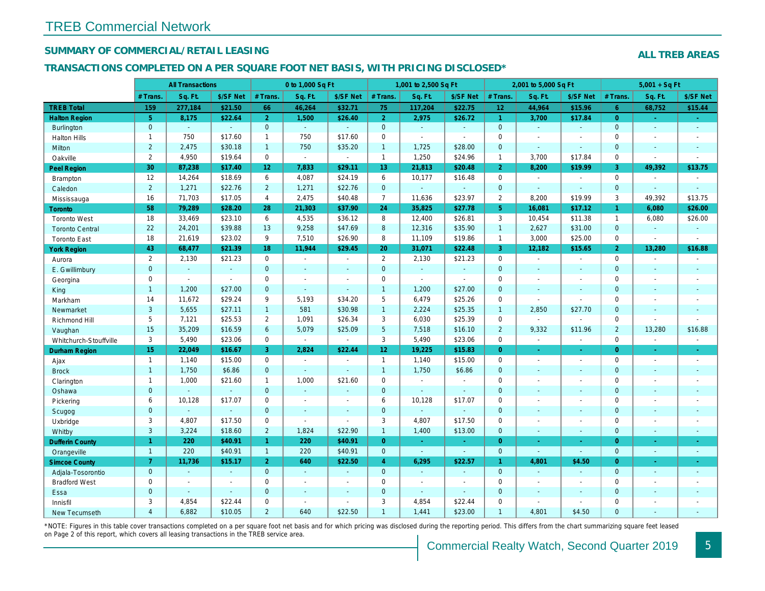## SUMMARY OF COMMERCIAL/RETAIL LEASING

#### TRANSACTIONS COMPLETED ON A PER SQUARE FOOT NET BASIS, WITH PRICING DISCLOSED\*

|                        |                 | <b>All Transactions</b> |                |                 | 0 to 1,000 Sq Ft |                          |                 | 1,001 to 2,500 Sq Ft     |                          |                      | 2,001 to 5,000 Sq Ft |                          |
|------------------------|-----------------|-------------------------|----------------|-----------------|------------------|--------------------------|-----------------|--------------------------|--------------------------|----------------------|----------------------|--------------------------|
|                        | # Trans.        | Sq. Ft.                 | \$/SF Net      | # Trans.        | Sq. Ft.          | \$/SF Net                | # Trans.        | Sq. Ft.                  | \$/SF Net                | # Trans.             | Sq. Ft.              | \$/SF Ne                 |
| <b>TREB Total</b>      | 159             | 277,184                 | \$21.50        | 66              | 46,264           | \$32.71                  | 75              | 117,204                  | \$22.75                  | 12 <sub>2</sub>      | 44,964               | \$15.96                  |
| <b>Halton Region</b>   | 5 <sup>5</sup>  | 8,175                   | \$22.64        | 2 <sup>1</sup>  | 1,500            | \$26.40                  | 2 <sup>1</sup>  | 2,975                    | \$26.72                  | $\blacktriangleleft$ | 3,700                | \$17.84                  |
| Burlington             | $\mathbf{0}$    | $\omega$                | $\omega$       | $\overline{0}$  | $\Delta \phi$    | $\mathbf{r}$             | $\mathbf{0}$    | $\omega$ .               | $\mathbf{r}$             | $\mathbf{0}$         | $\omega$             | $\omega$                 |
| <b>Halton Hills</b>    | $\mathbf{1}$    | 750                     | \$17.60        | $\mathbf{1}$    | 750              | \$17.60                  | $\mathbf 0$     | $\mathbf{r}$             | ä,                       | $\mathbf 0$          | $\overline{a}$       | $\blacksquare$           |
| Milton                 | $\overline{2}$  | 2,475                   | \$30.18        | $\mathbf{1}$    | 750              | \$35.20                  | $\mathbf{1}$    | 1,725                    | \$28.00                  | $\mathbf{0}$         | $\omega$             | $\blacksquare$           |
| Oakville               | $\overline{2}$  | 4,950                   | \$19.64        | $\mathbf 0$     | $\omega$         | $\blacksquare$           | $\mathbf{1}$    | 1,250                    | \$24.96                  | $\mathbf{1}$         | 3,700                | \$17.84                  |
| <b>Peel Region</b>     | 30              | 87,238                  | \$17.40        | 12 <sub>2</sub> | 7,833            | \$29.11                  | 13              | 21,813                   | \$20.48                  | $\overline{2}$       | 8,200                | \$19.99                  |
| <b>Brampton</b>        | 12              | 14,264                  | \$18.69        | 6               | 4,087            | \$24.19                  | 6               | 10,177                   | \$16.48                  | $\mathbf 0$          | $\blacksquare$       | $\blacksquare$           |
| Caledon                | $\overline{2}$  | 1,271                   | \$22.76        | $\overline{2}$  | 1,271            | \$22.76                  | $\mathbf 0$     | $\omega$                 | $\blacksquare$           | $\mathbf 0$          | $\sim$               | $\blacksquare$           |
| Mississauga            | 16              | 71,703                  | \$17.05        | $\overline{4}$  | 2,475            | \$40.48                  | $\overline{7}$  | 11,636                   | \$23.97                  | 2                    | 8,200                | \$19.99                  |
| <b>Toronto</b>         | 58              | 79,289                  | \$28.20        | 28              | 21,303           | \$37.90                  | 24              | 35,825                   | \$27.78                  | 5 <sup>5</sup>       | 16,081               | \$17.12                  |
| <b>Toronto West</b>    | 18              | 33,469                  | \$23.10        | 6               | 4,535            | \$36.12                  | 8               | 12,400                   | \$26.81                  | 3                    | 10,454               | \$11.38                  |
| <b>Toronto Central</b> | 22              | 24,201                  | \$39.88        | 13              | 9,258            | \$47.69                  | 8               | 12,316                   | \$35.90                  | $\overline{1}$       | 2,627                | \$31.00                  |
| <b>Toronto East</b>    | 18              | 21,619                  | \$23.02        | 9               | 7,510            | \$26.90                  | 8               | 11,109                   | \$19.86                  | $\mathbf{1}$         | 3,000                | \$25.00                  |
| <b>York Region</b>     | 43              | 68,477                  | \$21.39        | 18              | 11,944           | \$29.45                  | 20              | 31,071                   | \$22.48                  | $\overline{3}$       | 12,182               | \$15.65                  |
| Aurora                 | $\overline{2}$  | 2,130                   | \$21.23        | $\mathbf 0$     | $\bullet$        | $\blacksquare$           | $\overline{2}$  | 2,130                    | \$21.23                  | $\mathbf 0$          | $\blacksquare$       | $\sim$                   |
| E. Gwillimbury         | $\overline{0}$  | $\omega$                | $\blacksquare$ | $\Omega$        | $\sim$           | $\sim$                   | $\mathbf{0}$    | $\omega$                 | $\sim$                   | $\mathbf{0}$         | $\blacksquare$       | $\blacksquare$           |
| Georgina               | $\mathbf 0$     | $\blacksquare$          | $\blacksquare$ | $\mathbf 0$     | $\sim$           | ÷.                       | $\pmb{0}$       | $\blacksquare$           | $\sim$                   | $\mathbf 0$          | $\blacksquare$       | $\sim$                   |
| King                   | $\mathbf{1}$    | 1,200                   | \$27.00        | $\overline{0}$  | ÷.               | $\mathbf{r}$             | $\mathbf{1}$    | 1,200                    | \$27.00                  | $\mathbf{0}$         | $\omega$             | $\blacksquare$           |
| Markham                | 14              | 11,672                  | \$29.24        | 9               | 5,193            | \$34.20                  | 5               | 6,479                    | \$25.26                  | $\mathbf 0$          | $\blacksquare$       |                          |
| Newmarket              | 3               | 5,655                   | \$27.11        | 1               | 581              | \$30.98                  | $\mathbf{1}$    | 2,224                    | \$25.35                  | $\mathbf{1}$         | 2,850                | \$27.70                  |
| Richmond Hill          | 5               | 7,121                   | \$25.53        | $\overline{2}$  | 1,091            | \$26.34                  | 3               | 6,030                    | \$25.39                  | $\mathbf 0$          | $\blacksquare$       | $\blacksquare$           |
| Vaughan                | 15              | 35,209                  | \$16.59        | 6               | 5,079            | \$25.09                  | 5 <sup>5</sup>  | 7,518                    | \$16.10                  | $\overline{2}$       | 9,332                | \$11.96                  |
| Whitchurch-Stouffville | 3               | 5,490                   | \$23.06        | $\mathbf 0$     | $\omega$         | $\sim$                   | 3               | 5,490                    | \$23.06                  | $\mathbf 0$          | $\omega$             | $\sim$                   |
| <b>Durham Region</b>   | 15 <sub>1</sub> | 22,049                  | \$16.67        | 3               | 2,824            | \$22.44                  | 12 <sub>1</sub> | 19,225                   | \$15.83                  | $\overline{0}$       | $\omega$             | $\bullet$                |
| Ajax                   | $\mathbf{1}$    | 1,140                   | \$15.00        | $\mathbf 0$     | $\sim$           | $\overline{a}$           | $\mathbf{1}$    | 1,140                    | \$15.00                  | $\mathbf 0$          | $\blacksquare$       | $\sim$                   |
| <b>Brock</b>           | $\mathbf{1}$    | 1,750                   | \$6.86         | $\overline{0}$  | $\sim$           | $\sim$                   | $\mathbf{1}$    | 1,750                    | \$6.86                   | $\mathbf{0}$         | $\omega$             | $\sim$                   |
| Clarington             | $\mathbf{1}$    | 1,000                   | \$21.60        | $\mathbf{1}$    | 1,000            | \$21.60                  | 0               | $\overline{\phantom{a}}$ | $\sim$                   | $\mathbf 0$          | $\overline{a}$       | $\sim$                   |
| Oshawa                 | $\mathbf{0}$    |                         | $\Delta$       | $\overline{0}$  | $\sim$           | $\overline{\phantom{a}}$ | $\mathbf{0}$    | ۰                        | $\blacksquare$           | $\mathbf 0$          | $\blacksquare$       | $\sim$                   |
| Pickering              | 6               | 10,128                  | \$17.07        | $\mathbf 0$     | $\sim$           | ÷.                       | 6               | 10,128                   | \$17.07                  | $\mathbf 0$          | $\blacksquare$       | $\sim$                   |
| Scugog                 | $\mathbf{0}$    | $\Delta$                | $\omega$       | $\overline{0}$  | $\mathbf{r}$     | ÷.                       | $\mathbf 0$     | ÷.                       | $\blacksquare$           | $\mathbf{0}$         | $\blacksquare$       | $\sim$                   |
| Uxbridge               | 3               | 4,807                   | \$17.50        | $\mathbf 0$     | $\sim$           | $\sim$                   | 3               | 4,807                    | \$17.50                  | $\mathbf 0$          | $\blacksquare$       | $\blacksquare$           |
| Whitby                 | 3               | 3,224                   | \$18.60        | $\overline{2}$  | 1,824            | \$22.90                  | $\mathbf{1}$    | 1,400                    | \$13.00                  | $\mathbf{0}$         | $\blacksquare$       | $\blacksquare$           |
| <b>Dufferin County</b> | $\mathbf{1}$    | 220                     | \$40.91        | $\mathbf{1}$    | 220              | \$40.91                  | $\overline{0}$  | $\sim$                   | $\sim$                   | $\overline{0}$       | $\omega$             | $\sim$                   |
| Orangeville            | $\overline{1}$  | 220                     | \$40.91        | $\mathbf{1}$    | 220              | \$40.91                  | $\mathbf{0}$    | $\omega$                 | $\omega$                 | $\mathbf{0}$         | $\omega$             | $\omega$                 |
| <b>Simcoe County</b>   | $\overline{7}$  | 11,736                  | \$15.17        | $\overline{2}$  | 640              | \$22.50                  | $\overline{4}$  | 6,295                    | \$22.57                  | $\blacktriangleleft$ | 4,801                | \$4.50                   |
| Adjala-Tosorontio      | $\mathbf{0}$    | $\omega$                | $\sim$         | $\Omega$        | $\sim$           | ÷.                       | $\overline{0}$  | $\omega$                 | ÷.                       | $\mathbf{0}$         | $\omega$             | $\sim$                   |
| <b>Bradford West</b>   | $\mathbf 0$     | $\blacksquare$          | $\blacksquare$ | $\mathbf 0$     | $\blacksquare$   | $\blacksquare$           | $\pmb{0}$       | $\overline{\phantom{a}}$ | $\overline{\phantom{a}}$ | $\mathbf 0$          | $\blacksquare$       | $\overline{\phantom{a}}$ |
| Essa                   | $\mathbf{0}$    | $\sim$                  | $\sim$         | $\overline{0}$  | $\sim$           | $\sim$                   | $\mathbf 0$     | $\blacksquare$           | $\blacksquare$           | $\mathbf{0}$         | $\blacksquare$       | $\blacksquare$           |
| Innisfil               | 3               | 4,854                   | \$22.44        | $\mathbf 0$     | $\sim$           | $\overline{a}$           | 3               | 4,854                    | \$22.44                  | $\mathbf 0$          | $\blacksquare$       | $\blacksquare$           |
| <b>New Tecumseth</b>   | $\overline{4}$  | 6,882                   | \$10.05        | $\overline{2}$  | 640              | \$22.50                  | $\mathbf{1}$    | 1,441                    | \$23.00                  | $\overline{1}$       | 4,801                | \$4.50                   |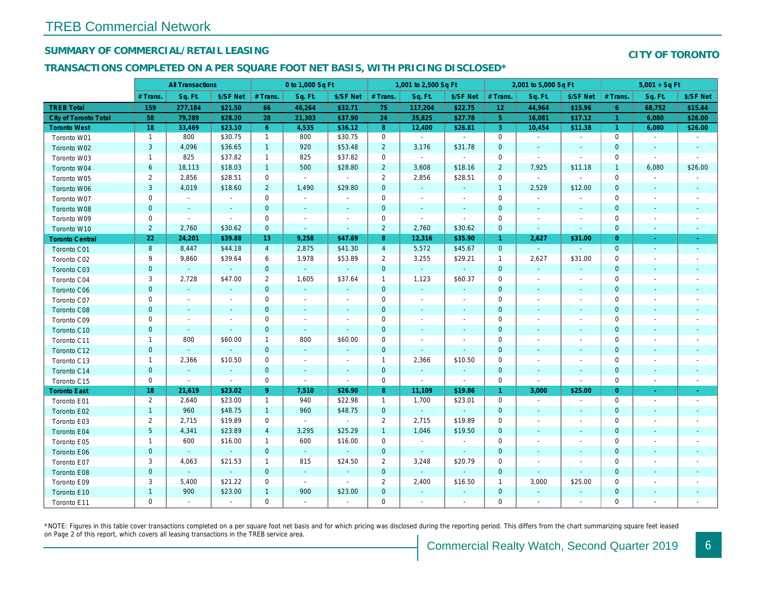## SUMMARY OF COMMERCIAL/RETAIL LEASING

## TRANSACTIONS COMPLETED ON A PER SQUARE FOOT NET BASIS, WITH PRICING DISCLOSED\*

|                              | <b>All Transactions</b> |                |                          | 0 to 1,000 Sq Ft |                             |                          | 1,001 to 2,500 Sq Ft |                |                |                 | 2,001 to 5,000 Sq Ft     |                          |
|------------------------------|-------------------------|----------------|--------------------------|------------------|-----------------------------|--------------------------|----------------------|----------------|----------------|-----------------|--------------------------|--------------------------|
|                              | # Trans.                | Sq. Ft.        | \$/SF Net                | # Trans.         | Sq. Ft.                     | \$/SF Net                | # Trans.             | Sq. Ft.        | \$/SF Net      | # Trans.        | Sq. Ft.                  | \$/SF Ne                 |
| <b>TREB Total</b>            | 159                     | 277,184        | \$21.50                  | 66               | 46,264                      | \$32.71                  | 75                   | 117,204        | \$22.75        | 12 <sub>2</sub> | 44,964                   | \$15.96                  |
| <b>City of Toronto Total</b> | 58                      | 79,289         | \$28.20                  | 28               | 21,303                      | \$37.90                  | 24                   | 35,825         | \$27.78        | 5 <sub>5</sub>  | 16,081                   | \$17.12                  |
| <b>Toronto West</b>          | 18                      | 33,469         | \$23.10                  | 6 <sup>°</sup>   | 4,535                       | \$36.12                  | 8 <sup>°</sup>       | 12,400         | \$26.81        | 3               | 10,454                   | \$11.38                  |
| Toronto W01                  | $\mathbf{1}$            | 800            | \$30.75                  | $\mathbf{1}$     | 800                         | \$30.75                  | $\mathbf 0$          | $\sim$         | $\sim$         | $\mathbf{0}$    | $\blacksquare$           | $\blacksquare$           |
| Toronto W02                  | 3                       | 4,096          | \$36.65                  | $\mathbf{1}$     | 920                         | \$53.48                  | $\overline{2}$       | 3,176          | \$31.78        | $\mathbf 0$     | $\sim$                   | $\sim$                   |
| Toronto W03                  | $\mathbf{1}$            | 825            | \$37.82                  | $\mathbf{1}$     | 825                         | \$37.82                  | $\mathbf 0$          | $\blacksquare$ | $\omega$       | $\mathbf 0$     | $\blacksquare$           | $\blacksquare$           |
| Toronto W04                  | 6                       | 18,113         | \$18.03                  | $\mathbf{1}$     | 500                         | \$28.80                  | $\overline{2}$       | 3,608          | \$18.16        | $\overline{2}$  | 7,925                    | \$11.18                  |
| Toronto W05                  | $\overline{\mathbf{c}}$ | 2,856          | \$28.51                  | 0                | $\sim$                      | $\sim$                   | $\overline{2}$       | 2,856          | \$28.51        | 0               | $\blacksquare$           |                          |
| Toronto W06                  | $\mathsf 3$             | 4,019          | \$18.60                  | $2^{\circ}$      | 1,490                       | \$29.80                  | $\mathbf{0}$         | $\omega$       | $\sim$         | $\overline{1}$  | 2,529                    | \$12.00                  |
| Toronto W07                  | 0                       | $\blacksquare$ | $\sim$                   | $\mathbf 0$      | $\sim$                      | $\blacksquare$           | $\mathbf 0$          | $\blacksquare$ | $\blacksquare$ | $\mathbf 0$     | $\blacksquare$           |                          |
| Toronto W08                  | $\pmb{0}$               | $\sim$         | $\sim$                   | $\mathbf 0$      | $\blacksquare$              | $\blacksquare$           | $\mathbf{0}$         | $\blacksquare$ | $\sim$         | $\mathbf{0}$    | $\blacksquare$           | $\overline{\phantom{a}}$ |
| Toronto W09                  | 0                       | $\blacksquare$ | $\overline{\phantom{a}}$ | 0                | $\overline{\phantom{a}}$    | $\overline{\phantom{a}}$ | 0                    | $\blacksquare$ | $\blacksquare$ | 0               | $\overline{\phantom{a}}$ | $\overline{\phantom{a}}$ |
| Toronto W10                  | $\overline{2}$          | 2,760          | \$30.62                  | $\overline{0}$   | $\sim$                      | $\blacksquare$           | $\overline{2}$       | 2,760          | \$30.62        | $\mathbf{0}$    | $\blacksquare$           | $\sim$                   |
| <b>Toronto Central</b>       | 22                      | 24,201         | \$39.88                  | 13               | 9,258                       | \$47.69                  | 8 <sup>°</sup>       | 12,316         | \$35.90        | $\mathbf{1}$    | 2,627                    | \$31.00                  |
| Toronto C01                  | 8                       | 8,447          | \$44.18                  | $\overline{4}$   | 2,875                       | \$41.30                  | $\overline{4}$       | 5,572          | \$45.67        | $\mathbf{0}$    | $\omega$                 | $\blacksquare$           |
| Toronto C02                  | 9                       | 9,860          | \$39.64                  | 6                | 3,978                       | \$53.89                  | $\overline{2}$       | 3,255          | \$29.21        | $\overline{1}$  | 2,627                    | \$31.00                  |
| Toronto C03                  | $\mathbf 0$             |                | $\omega$                 | $\mathbf 0$      | $\omega$                    | $\sim$                   | $\mathbf 0$          | $\mathbf{r}$   | $\blacksquare$ | $\mathbf{0}$    | $\blacksquare$           |                          |
| Toronto C04                  | 3                       | 2,728          | \$47.00                  | $\overline{2}$   | 1,605                       | \$37.64                  | $\mathbf{1}$         | 1,123          | \$60.37        | 0               | $\blacksquare$           | $\overline{\phantom{a}}$ |
| Toronto C06                  | $\pmb{0}$               | $\blacksquare$ | $\blacksquare$           | $\mathbf 0$      | $\omega$                    | $\blacksquare$           | $\mathbf 0$          | $\blacksquare$ | $\blacksquare$ | $\mathbf 0$     | $\blacksquare$           | $\blacksquare$           |
| Toronto C07                  | 0                       | $\sim$         | ÷.                       | $\mathbf 0$      | $\blacksquare$              | $\tilde{\phantom{a}}$    | $\mathbf 0$          | $\omega$       | $\blacksquare$ | $\mathbf 0$     | $\blacksquare$           | $\blacksquare$           |
| Toronto C08                  | $\pmb{0}$               | $\sim$         | $\overline{\phantom{a}}$ | $\mathbf 0$      | $\blacksquare$              | $\blacksquare$           | $\mathbf 0$          | $\blacksquare$ | $\blacksquare$ | $\mathbf 0$     | $\sim$                   | $\blacksquare$           |
| Toronto C09                  | 0                       | $\blacksquare$ | $\overline{\phantom{a}}$ | $\mathbf 0$      | $\blacksquare$              | $\blacksquare$           | $\mathbf 0$          | $\blacksquare$ | $\sim$         | 0               | $\blacksquare$           | $\blacksquare$           |
| Toronto C10                  | $\mathbf 0$             | $\sim$         | $\sim$                   | $\mathbf{0}$     | $\sim$                      | $\blacksquare$           | $\mathbf{0}$         | $\blacksquare$ | $\blacksquare$ | $\mathbf{0}$    | $\blacksquare$           | $\blacksquare$           |
| Toronto C11                  | $\mathbf{1}$            | 800            | \$60.00                  | $\mathbf{1}$     | 800                         | \$60.00                  | $\mathbf 0$          | $\blacksquare$ | $\blacksquare$ | $\mathbf 0$     | $\blacksquare$           | $\blacksquare$           |
| Toronto C12                  | $\pmb{0}$               | $\blacksquare$ |                          | $\mathbf 0$      | $\sim$                      | $\blacksquare$           | $\mathbf 0$          | $\blacksquare$ | $\blacksquare$ | 0               | $\blacksquare$           | $\blacksquare$           |
| Toronto C13                  | $\mathbf{1}$            | 2,366          | \$10.50                  | 0                | $\overline{\phantom{a}}$    | $\overline{\phantom{a}}$ | $\mathbf{1}$         | 2,366          | \$10.50        | 0               | $\blacksquare$           | $\overline{\phantom{a}}$ |
| Toronto C14                  | $\mathbf 0$             | $\omega$       | $\blacksquare$           | $\mathbf{0}$     | $\blacksquare$              | $\blacksquare$           | $\mathbf{0}$         | $\omega$       | $\sim$         | $\mathbf{0}$    | $\omega$                 | $\blacksquare$           |
| Toronto C15                  | $\mathsf{O}\xspace$     | $\blacksquare$ | $\blacksquare$           | 0                | $\blacksquare$              | $\blacksquare$           | $\mathsf{O}\xspace$  | $\omega$       | $\sim$         | $\mathbf 0$     | $\blacksquare$           | $\blacksquare$           |
| <b>Toronto East</b>          | 18                      | 21,619         | \$23.02                  | 9 <sup>°</sup>   | 7,510                       | \$26.90                  | 8 <sup>°</sup>       | 11,109         | \$19.86        | $\mathbf{1}$    | 3,000                    | \$25.00                  |
| Toronto E01                  | 2                       | 2,640          | \$23.00                  | $\mathbf{1}$     | 940                         | \$22.98                  | $\mathbf{1}$         | 1,700          | \$23.01        | $\mathbf 0$     | $\overline{\phantom{a}}$ | $\sim$                   |
| Toronto E02                  | $\mathbf{1}$            | 960            | \$48.75                  | $\mathbf{1}$     | 960                         | \$48.75                  | $\mathbf{0}$         | $\omega$       | $\omega$       | $\mathbf{0}$    | $\sim$                   | $\sim$                   |
| Toronto E03                  | $\overline{2}$          | 2,715          | \$19.89                  | 0                | $\blacksquare$              | $\blacksquare$           | $\overline{2}$       | 2,715          | \$19.89        | $\mathbf 0$     | $\blacksquare$           | $\blacksquare$           |
| Toronto E04                  | $\overline{5}$          | 4,341          | \$23.89                  | $\overline{4}$   | 3,295                       | \$25.29                  | $\mathbf{1}$         | 1,046          | \$19.50        | $\mathbf 0$     | $\blacksquare$           | $\blacksquare$           |
| Toronto E05                  | $\mathbf{1}$            | 600            | \$16.00                  | $\mathbf{1}$     | 600                         | \$16.00                  | $\mathbf 0$          | $\sim$         | $\sim$         | $\mathbf 0$     | $\tilde{\phantom{a}}$    | $\blacksquare$           |
| Toronto E06                  | $\mathbf 0$             | $\omega$       | $\Delta$                 | $\mathbf{0}$     | $\mathcal{L}_{\mathcal{A}}$ | $\omega$                 | $\mathbf{0}$         | $\blacksquare$ | $\sim$         | $\mathbf{0}$    | $\sim$                   | $\blacksquare$           |
| Toronto E07                  | 3                       | 4,063          | \$21.53                  | $\mathbf{1}$     | 815                         | \$24.50                  | $\overline{2}$       | 3,248          | \$20.79        | 0               | $\overline{\phantom{a}}$ | $\blacksquare$           |
| Toronto E08                  | $\mathbf 0$             | $\blacksquare$ | $\omega$                 | $\mathbf{0}$     | $\sim$                      | $\sim$                   | $\mathbf{0}$         | $\blacksquare$ | $\blacksquare$ | $\mathbf{0}$    | $\sim$                   | $\blacksquare$           |
| Toronto E09                  | 3                       | 5,400          | \$21.22                  | $\mathbf 0$      | $\sim$                      | $\sim$                   | $\overline{2}$       | 2,400          | \$16.50        | $\mathbf{1}$    | 3,000                    | \$25.00                  |
| Toronto E10                  | $\mathbf{1}$            | 900            | \$23.00                  | $\mathbf{1}$     | 900                         | \$23.00                  | $\mathbf{0}$         | $\sim$         | $\sim$         | $\mathbf{0}$    | $\sim$                   | $\sim$                   |
| Toronto E11                  | 0                       | $\blacksquare$ | $\overline{\phantom{a}}$ | 0                | $\blacksquare$              | $\blacksquare$           | 0                    | $\blacksquare$ | $\blacksquare$ | $\mathbf 0$     | $\blacksquare$           |                          |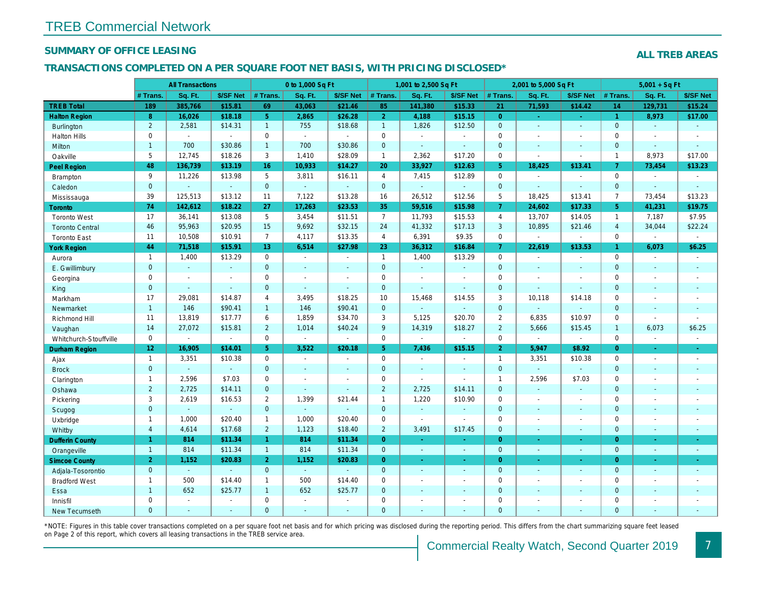#### SUMMARY OF OFFICE LEASING

#### TRANSACTIONS COMPLETED ON A PER SQUARE FOOT NET BASIS, WITH PRICING DISCLOSED\*

|                        |                         | <b>All Transactions</b> |                |                | 0 to 1,000 Sq Ft |                          |                     | 1,001 to 2,500 Sq Ft |                          |                | 2,001 to 5,000 Sq Ft |                |
|------------------------|-------------------------|-------------------------|----------------|----------------|------------------|--------------------------|---------------------|----------------------|--------------------------|----------------|----------------------|----------------|
|                        | # Trans.                | Sq. Ft.                 | \$/SF Net      | # Trans.       | Sq. Ft.          | \$/SF Net                | # Trans.            | Sq. Ft.              | \$/SF Net                | # Trans.       | Sq. Ft.              | \$/SF Ne       |
| <b>TREB Total</b>      | 189                     | 385,766                 | \$15.81        | 69             | 43,063           | \$21.46                  | 85                  | 141,380              | \$15.33                  | 21             | 71,593               | \$14.42        |
| <b>Halton Region</b>   | 8                       | 16,026                  | \$18.18        | 5 <sup>1</sup> | 2,865            | \$26.28                  | 2 <sup>1</sup>      | 4,188                | \$15.15                  | $\overline{0}$ | $\sim$               | $\sim$         |
| <b>Burlington</b>      | $\overline{2}$          | 2,581                   | \$14.31        | $\mathbf{1}$   | 755              | \$18.68                  | $\overline{1}$      | 1,826                | \$12.50                  | $\overline{0}$ | $\blacksquare$       | $\sim$         |
| <b>Halton Hills</b>    | $\mathbf 0$             | $\blacksquare$          | $\Delta$       | $\mathbf 0$    | $\sim$           | $\sim$                   | $\mathbf 0$         | $\omega$             | $\blacksquare$           | $\mathbf 0$    | $\blacksquare$       | $\blacksquare$ |
| Milton                 | $\mathbf{1}$            | 700                     | \$30.86        | $\mathbf{1}$   | 700              | \$30.86                  | $\mathbf{0}$        | $\Delta$             | $\mathbf{r}$             | $\mathbf{0}$   | $\omega$             | $\blacksquare$ |
| Oakville               | 5                       | 12,745                  | \$18.26        | 3              | 1,410            | \$28.09                  | $\mathbf{1}$        | 2,362                | \$17.20                  | $\mathbf 0$    | $\blacksquare$       | $\blacksquare$ |
| <b>Peel Region</b>     | 48                      | 136,739                 | \$13.19        | 16             | 10,933           | \$14.27                  | 20                  | 33,927               | \$12.63                  | 5 <sup>5</sup> | 18,425               | \$13.41        |
| Brampton               | 9                       | 11,226                  | \$13.98        | 5              | 3,811            | \$16.11                  | $\overline{4}$      | 7,415                | \$12.89                  | $\mathbf 0$    |                      | $\blacksquare$ |
| Caledon                | $\mathbf{0}$            |                         | $\omega$       | $\mathbf{0}$   | $\omega$         | $\omega$                 | $\mathbf 0$         | $\omega$             | $\omega$                 | $\mathbf{0}$   | $\omega$             | $\blacksquare$ |
| Mississauga            | 39                      | 125,513                 | \$13.12        | 11             | 7,122            | \$13.28                  | 16                  | 26,512               | \$12.56                  | 5              | 18,425               | \$13.41        |
| <b>Toronto</b>         | 74                      | 142,612                 | \$18.22        | 27             | 17,263           | \$23.53                  | 35                  | 59,516               | \$15.98                  | $\mathbf{7}$   | 24,602               | \$17.33        |
| <b>Toronto West</b>    | 17                      | 36,141                  | \$13.08        | 5              | 3,454            | \$11.51                  | $\overline{7}$      | 11,793               | \$15.53                  | $\overline{4}$ | 13,707               | \$14.05        |
| <b>Toronto Central</b> | 46                      | 95,963                  | \$20.95        | 15             | 9,692            | \$32.15                  | 24                  | 41,332               | \$17.13                  | 3              | 10,895               | \$21.46        |
| <b>Toronto East</b>    | 11                      | 10,508                  | \$10.91        | $\overline{7}$ | 4,117            | \$13.35                  | $\overline{4}$      | 6,391                | \$9.35                   | $\mathbf 0$    | $\omega$             | $\omega$       |
| <b>York Region</b>     | 44                      | 71,518                  | \$15.91        | 13             | 6,514            | \$27.98                  | 23                  | 36,312               | \$16.84                  | $\overline{7}$ | 22,619               | \$13.53        |
| Aurora                 | $\mathbf{1}$            | 1,400                   | \$13.29        | 0              | $\sim$           | $\blacksquare$           | $\mathbf{1}$        | 1,400                | \$13.29                  | $\mathbf 0$    | $\omega$             | $\blacksquare$ |
| E. Gwillimbury         | $\mathbf{0}$            | $\omega$                | $\omega$       | $\overline{0}$ | $\mathbf{u}$     | $\blacksquare$           | $\mathbf{0}$        | $\omega$             | $\omega$                 | $\mathbf{0}$   | $\blacksquare$       | $\blacksquare$ |
| Georgina               | 0                       | $\sim$                  | $\sim$         | $\mathbf 0$    | $\sim$           | $\blacksquare$           | $\mathbf 0$         | $\sim$               | $\sim$                   | $\mathbf 0$    | $\blacksquare$       | $\blacksquare$ |
| King                   | $\mathbf{0}$            | $\sim$                  | $\omega$       | $\mathbf{0}$   | ÷.               | $\omega$                 | $\mathbf{0}$        | $\blacksquare$       | $\Delta$                 | $\mathbf{0}$   | $\Delta$             | $\blacksquare$ |
| Markham                | 17                      | 29,081                  | \$14.87        | $\overline{4}$ | 3,495            | \$18.25                  | 10                  | 15,468               | \$14.55                  | 3              | 10,118               | \$14.18        |
| Newmarket              | $\mathbf{1}$            | 146                     | \$90.41        | $\mathbf{1}$   | 146              | \$90.41                  | $\mathbf{0}$        | $\blacksquare$       | $\blacksquare$           | $\mathbf{0}$   | $\blacksquare$       |                |
| Richmond Hill          | 11                      | 13,819                  | \$17.77        | 6              | 1,859            | \$34.70                  | 3                   | 5,125                | \$20.70                  | $\overline{2}$ | 6,835                | \$10.97        |
| Vaughan                | 14                      | 27,072                  | \$15.81        | $\overline{2}$ | 1,014            | \$40.24                  | 9                   | 14,319               | \$18.27                  | $\overline{2}$ | 5,666                | \$15.45        |
| Whitchurch-Stouffville | $\mathbf 0$             | $\blacksquare$          | $\omega$       | 0              | $\blacksquare$   | $\sim$                   | $\mathbf 0$         | $\blacksquare$       | $\omega$                 | $\mathbf 0$    | $\sim$               | $\blacksquare$ |
| Durham Region          | 12 <sub>2</sub>         | 16,905                  | \$14.01        | 5 <sup>5</sup> | 3,522            | \$20.18                  | 5 <sub>1</sub>      | 7,436                | \$15.15                  | $\overline{2}$ | 5,947                | \$8.92         |
| Ajax                   | $\mathbf{1}$            | 3,351                   | \$10.38        | $\mathbf 0$    | $\sim$           | $\overline{\phantom{a}}$ | $\mathbf 0$         | $\sim$               | $\blacksquare$           | $\overline{1}$ | 3,351                | \$10.38        |
| <b>Brock</b>           | $\mathbf{0}$            | $\omega$                | $\omega$       | $\mathbf 0$    | $\omega$         | $\blacksquare$           | $\mathbf 0$         | $\blacksquare$       | $\omega$                 | $\mathbf{0}$   | ä,                   | $\blacksquare$ |
| Clarington             | $\mathbf{1}$            | 2,596                   | \$7.03         | $\mathbf 0$    | $\blacksquare$   | $\blacksquare$           | $\mathbf 0$         | $\blacksquare$       | $\blacksquare$           | $\overline{1}$ | 2,596                | \$7.03         |
| Oshawa                 | $\overline{2}$          | 2,725                   | \$14.11        | $\mathbf{0}$   | $\Delta$         | $\omega$                 | $\overline{2}$      | 2,725                | \$14.11                  | $\mathbf{0}$   | $\omega$             | $\blacksquare$ |
| Pickering              | 3                       | 2,619                   | \$16.53        | $\overline{2}$ | 1,399            | \$21.44                  | $\mathbf{1}$        | 1,220                | \$10.90                  | $\Omega$       | $\blacksquare$       | $\sim$         |
| Scugog                 | $\mathbf 0$             | $\blacksquare$          | $\omega$       | $\mathbf{0}$   | $\omega$         | $\blacksquare$           | $\mathbf 0$         | $\blacksquare$       | $\blacksquare$           | $\mathbf{0}$   | $\blacksquare$       | $\blacksquare$ |
| Uxbridge               | $\mathbf{1}$            | 1,000                   | \$20.40        | $\mathbf{1}$   | 1,000            | \$20.40                  | $\mathbf 0$         | $\blacksquare$       | $\blacksquare$           | $\mathbf 0$    | $\blacksquare$       | $\blacksquare$ |
| Whitby                 | $\overline{\mathbf{4}}$ | 4,614                   | \$17.68        | $\overline{2}$ | 1,123            | \$18.40                  | $\overline{2}$      | 3,491                | \$17.45                  | $\mathbf{0}$   | $\omega$             | $\sim$         |
| <b>Dufferin County</b> | $\mathbf{1}$            | 814                     | \$11.34        | $\mathbf{1}$   | 814              | \$11.34                  | $\overline{0}$      | $\omega$             | $\omega$                 | $\overline{0}$ | $\omega$             | $\sim$         |
| Orangeville            | $\mathbf{1}$            | 814                     | \$11.34        | $\mathbf{1}$   | 814              | \$11.34                  | $\mathbf 0$         | $\omega$             | $\sim$                   | $\overline{0}$ | $\blacksquare$       | $\blacksquare$ |
| <b>Simcoe County</b>   | $\overline{2}$          | 1,152                   | \$20.83        | 2 <sup>1</sup> | 1,152            | \$20.83                  | $\overline{0}$      | $\blacksquare$       | ÷.                       | $\overline{0}$ | $\omega$             | $\pm$          |
| Adjala-Tosorontio      | $\mathbf{0}$            | $\omega$                | $\omega$       | $\Omega$       | $\sim$           | $\omega$                 | $\mathbf{0}$        | $\sim$               | $\sim$                   | $\overline{0}$ | $\sim$               | $\sim$         |
| <b>Bradford West</b>   | $\mathbf{1}$            | 500                     | \$14.40        | $\mathbf{1}$   | 500              | \$14.40                  | $\mathsf{O}\xspace$ | $\blacksquare$       | $\blacksquare$           | $\mathbf 0$    | $\blacksquare$       | $\blacksquare$ |
| Essa                   | $\mathbf{1}$            | 652                     | \$25.77        | $\mathbf{1}$   | 652              | \$25.77                  | $\mathbf 0$         | $\sim$               | $\sim$                   | $\mathbf{0}$   | $\sim$               | $\sim$         |
| Innisfil               | $\mathbf 0$             | $\blacksquare$          | $\blacksquare$ | $\mathbf 0$    | $\blacksquare$   | $\blacksquare$           | $\mathbf 0$         | $\blacksquare$       | $\overline{\phantom{a}}$ | $\mathbf 0$    | $\blacksquare$       | $\blacksquare$ |
| <b>New Tecumseth</b>   | $\Omega$                | $\sim$                  | $\sim$         | $\overline{0}$ | $\overline{a}$   | $\sim$                   | $\mathbf{0}$        | ä,                   | $\blacksquare$           | $\Omega$       | $\sim$               | $\sim$         |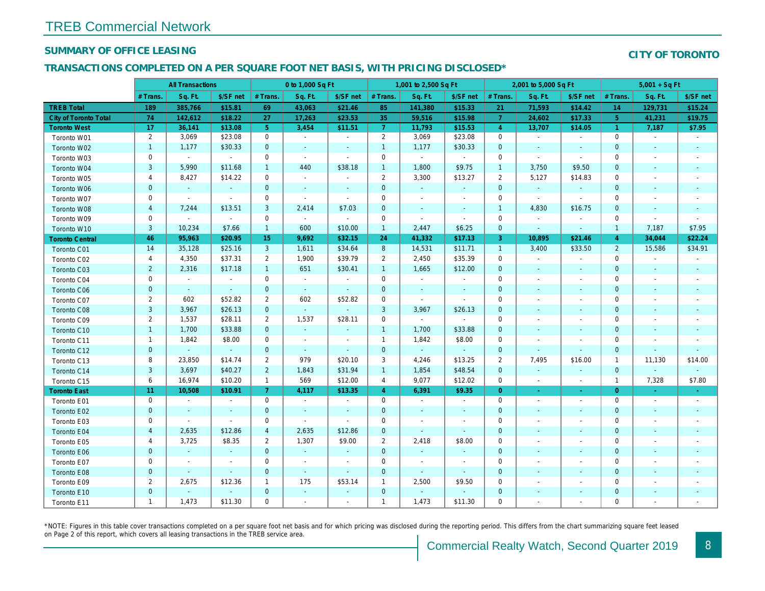#### SUMMARY OF OFFICE LEASING

#### TRANSACTIONS COMPLETED ON A PER SQUARE FOOT NET BASIS, WITH PRICING DISCLOSED\*

|                              | <b>All Transactions</b> |                |                | 0 to 1,000 Sq Ft |                          |                          | 1,001 to 2,500 Sq Ft |                | 2,001 to 5,000 Sq Ft     |                |                          |                          |
|------------------------------|-------------------------|----------------|----------------|------------------|--------------------------|--------------------------|----------------------|----------------|--------------------------|----------------|--------------------------|--------------------------|
|                              | # Trans.                | Sq. Ft.        | \$/SF net      | # Trans.         | Sq. Ft.                  | \$/SF net                | # Trans.             | Sq. Ft.        | \$/SF net                | # Trans.       | Sq. Ft.                  | \$/SF ne                 |
| <b>TREB Total</b>            | 189                     | 385,766        | \$15.81        | 69               | 43,063                   | \$21.46                  | 85                   | 141,380        | \$15.33                  | 21             | 71,593                   | \$14.42                  |
| <b>City of Toronto Total</b> | 74                      | 142,612        | \$18.22        | 27               | 17,263                   | \$23.53                  | 35                   | 59,516         | \$15.98                  | $\overline{7}$ | 24,602                   | \$17.33                  |
| <b>Toronto West</b>          | 17                      | 36,141         | \$13.08        | 5 <sup>5</sup>   | 3,454                    | \$11.51                  | $\mathbf{7}$         | 11,793         | \$15.53                  | $\overline{4}$ | 13,707                   | \$14.05                  |
| Toronto W01                  | $\overline{2}$          | 3,069          | \$23.08        | $\mathbf 0$      | $\blacksquare$           | $\blacksquare$           | $\overline{2}$       | 3,069          | \$23.08                  | $\mathbf 0$    | $\sim$                   | $\blacksquare$           |
| Toronto W02                  | $\mathbf{1}$            | 1,177          | \$30.33        | $\mathbf{0}$     | $\blacksquare$           | $\blacksquare$           | $\mathbf{1}$         | 1,177          | \$30.33                  | $\mathbf 0$    | $\blacksquare$           | $\sim$                   |
| Toronto W03                  | 0                       | $\sim$         | $\blacksquare$ | $\mathbf 0$      | $\blacksquare$           | $\blacksquare$           | 0                    | $\blacksquare$ | $\blacksquare$           | 0              | $\overline{\phantom{a}}$ | $\overline{\phantom{a}}$ |
| Toronto W04                  | $\mathsf 3$             | 5,990          | \$11.68        | $\mathbf{1}$     | 440                      | \$38.18                  | $\mathbf{1}$         | 1,800          | \$9.75                   | $\mathbf{1}$   | 3,750                    | \$9.50                   |
| Toronto W05                  | 4                       | 8,427          | \$14.22        | $\mathbf 0$      | $\blacksquare$           | $\blacksquare$           | $\overline{2}$       | 3,300          | \$13.27                  | 2              | 5,127                    | \$14.83                  |
| Toronto W06                  | 0                       | $\bullet$      | $\blacksquare$ | $\mathbf 0$      | $\blacksquare$           | $\overline{\phantom{a}}$ | 0                    | $\bullet$      | $\blacksquare$           | $\mathbf 0$    | $\blacksquare$           |                          |
| Toronto W07                  | 0                       | $\blacksquare$ | $\blacksquare$ | $\mathbf 0$      | $\blacksquare$           | $\overline{\phantom{a}}$ | 0                    | $\blacksquare$ | $\overline{\phantom{a}}$ | 0              | $\blacksquare$           | $\overline{\phantom{a}}$ |
| Toronto W08                  | $\overline{\mathbf{4}}$ | 7,244          | \$13.51        | 3                | 2,414                    | \$7.03                   | $\pmb{0}$            | $\blacksquare$ | $\blacksquare$           | $\overline{1}$ | 4,830                    | \$16.75                  |
| Toronto W09                  | 0                       | $\blacksquare$ | $\sim$         | $\mathbf 0$      | $\sim$                   | $\blacksquare$           | $\mathbf 0$          | $\blacksquare$ | $\blacksquare$           | $\mathbf 0$    | $\blacksquare$           | $\overline{\phantom{a}}$ |
| Toronto W10                  | $\mathsf 3$             | 10,234         | \$7.66         | $\mathbf{1}$     | 600                      | \$10.00                  | $\mathbf{1}$         | 2,447          | \$6.25                   | $\mathbf{0}$   | $\blacksquare$           | $\blacksquare$           |
| <b>Toronto Central</b>       | 46                      | 95,963         | \$20.95        | 15               | 9,692                    | \$32.15                  | 24                   | 41,332         | \$17.13                  | 3              | 10,895                   | \$21.46                  |
| Toronto C01                  | 14                      | 35,128         | \$25.16        | $\mathbf{3}$     | 1,611                    | \$34.64                  | $\boldsymbol{8}$     | 14,531         | \$11.71                  | $\overline{1}$ | 3,400                    | \$33.50                  |
| Toronto C02                  | 4                       | 4,350          | \$37.31        | $\overline{2}$   | 1,900                    | \$39.79                  | $\overline{2}$       | 2,450          | \$35.39                  | $\mathbf 0$    |                          | $\blacksquare$           |
| Toronto C03                  | $\overline{c}$          | 2,316          | \$17.18        | $\mathbf{1}$     | 651                      | \$30.41                  | $\mathbf{1}$         | 1,665          | \$12.00                  | $\mathbf 0$    | $\blacksquare$           | $\sim$                   |
| Toronto C04                  | $\mathbf 0$             | $\blacksquare$ | $\blacksquare$ | $\mathbf 0$      | $\blacksquare$           | $\blacksquare$           | $\mathbf 0$          | $\blacksquare$ | $\sim$                   | $\mathbf 0$    | $\overline{\phantom{a}}$ | $\overline{\phantom{a}}$ |
| Toronto C06                  | $\pmb{0}$               | $\omega$       | $\omega$       | $\mathbf{0}$     | $\omega$                 | $\omega$                 | $\pmb{0}$            | $\blacksquare$ | $\blacksquare$           | $\mathbf 0$    | $\blacksquare$           | $\blacksquare$           |
| Toronto C07                  | $\overline{2}$          | 602            | \$52.82        | $\overline{2}$   | 602                      | \$52.82                  | $\mathbf 0$          | $\sim$         | $\blacksquare$           | 0              |                          | $\overline{\phantom{a}}$ |
| Toronto C08                  | 3                       | 3,967          | \$26.13        | $\mathbf{0}$     | $\blacksquare$           | $\blacksquare$           | 3                    | 3,967          | \$26.13                  | $\pmb{0}$      |                          | $\blacksquare$           |
| Toronto C09                  | $\overline{2}$          | 1,537          | \$28.11        | $\overline{2}$   | 1,537                    | \$28.11                  | $\mathbf 0$          | $\blacksquare$ | $\blacksquare$           | $\mathbf 0$    |                          |                          |
| Toronto C10                  | $\mathbf{1}$            | 1,700          | \$33.88        | $\mathbf{0}$     | $\omega$                 | $\blacksquare$           | $\mathbf{1}$         | 1,700          | \$33.88                  | $\mathbf 0$    | $\blacksquare$           |                          |
| Toronto C11                  | $\mathbf{1}$            | 1,842          | \$8.00         | $\mathbf 0$      | $\blacksquare$           | $\blacksquare$           | $\mathbf{1}$         | 1,842          | \$8.00                   | $\mathbf 0$    |                          |                          |
| Toronto C12                  | $\pmb{0}$               | $\blacksquare$ | $\blacksquare$ | $\mathbf 0$      | $\blacksquare$           | $\blacksquare$           | $\pmb{0}$            | $\blacksquare$ | $\blacksquare$           | $\mathbf 0$    |                          |                          |
| Toronto C13                  | 8                       | 23,850         | \$14.74        | $\overline{2}$   | 979                      | \$20.10                  | 3                    | 4,246          | \$13.25                  | $\overline{2}$ | 7,495                    | \$16.00                  |
| Toronto C14                  | $\mathsf 3$             | 3,697          | \$40.27        | $\overline{2}$   | 1,843                    | \$31.94                  | $\overline{1}$       | 1,854          | \$48.54                  | $\mathbf 0$    | $\blacksquare$           | $\sim$                   |
| Toronto C15                  | 6                       | 16,974         | \$10.20        | $\mathbf{1}$     | 569                      | \$12.00                  | $\overline{4}$       | 9,077          | \$12.02                  | $\mathbf 0$    | $\blacksquare$           | $\blacksquare$           |
| <b>Toronto East</b>          | 11                      | 10,508         | \$10.91        | 7 <sup>1</sup>   | 4,117                    | \$13.35                  | $\overline{4}$       | 6,391          | \$9.35                   | $\overline{0}$ | $\blacksquare$           | $\sigma$                 |
| Toronto E01                  | 0                       | $\sim$         | $\blacksquare$ | $\mathbf 0$      | $\sim$                   | $\blacksquare$           | $\mathbf 0$          | $\blacksquare$ | $\blacksquare$           | $\mathbf 0$    | $\sim$                   | $\blacksquare$           |
| Toronto E02                  | $\mathbf 0$             | $\blacksquare$ | $\blacksquare$ | $\mathbf 0$      | $\blacksquare$           | $\blacksquare$           | $\pmb{0}$            | $\sim$         | $\blacksquare$           | $\mathbf 0$    | $\blacksquare$           | $\sim$                   |
| Toronto E03                  | 0                       | $\blacksquare$ | $\sim$         | $\mathbf 0$      | $\overline{\phantom{a}}$ | $\blacksquare$           | $\mathbf 0$          | $\blacksquare$ | $\overline{\phantom{a}}$ | 0              | $\blacksquare$           | $\overline{\phantom{a}}$ |
| Toronto E04                  | $\overline{4}$          | 2,635          | \$12.86        | $\overline{4}$   | 2,635                    | \$12.86                  | $\pmb{0}$            | $\blacksquare$ | $\blacksquare$           | $\mathbf 0$    | $\overline{\phantom{a}}$ | $\sim$                   |
| Toronto E05                  | 4                       | 3,725          | \$8.35         | $\overline{2}$   | 1,307                    | \$9.00                   | $\overline{2}$       | 2,418          | \$8.00                   | 0              | $\sim$                   | $\overline{\phantom{a}}$ |
| Toronto E06                  | $\pmb{0}$               | $\omega$       | $\omega$       | $\mathbf{0}$     | $\omega$                 | $\blacksquare$           | $\pmb{0}$            | $\sim$         | $\blacksquare$           | $\mathbf 0$    | $\sim$                   | $\sim$                   |
| Toronto E07                  | 0                       | $\blacksquare$ | $\blacksquare$ | $\mathbf 0$      | $\blacksquare$           | $\blacksquare$           | $\mathbf 0$          | $\blacksquare$ | $\blacksquare$           | 0              |                          | $\overline{\phantom{a}}$ |
| Toronto E08                  | $\pmb{0}$               | $\blacksquare$ | $\blacksquare$ | $\mathbf 0$      | $\blacksquare$           | $\blacksquare$           | $\pmb{0}$            | $\blacksquare$ | $\blacksquare$           | $\mathbf 0$    | ٠                        | $\sim$                   |
| Toronto E09                  | $\overline{\mathbf{c}}$ | 2,675          | \$12.36        | 1                | 175                      | \$53.14                  | $\mathbf{1}$         | 2,500          | \$9.50                   | 0              |                          | $\overline{\phantom{a}}$ |
| Toronto E10                  | $\pmb{0}$               | $\blacksquare$ | $\sim$         | $\mathbf 0$      | $\blacksquare$           | $\blacksquare$           | $\mathbf 0$          | $\omega$       | $\sim$                   | $\pmb{0}$      | $\overline{\phantom{a}}$ | ٠                        |
| Toronto E11                  | $\mathbf{1}$            | 1,473          | \$11.30        | $\mathbf 0$      | $\blacksquare$           | $\blacksquare$           | $\overline{1}$       | 1,473          | \$11.30                  | 0              |                          |                          |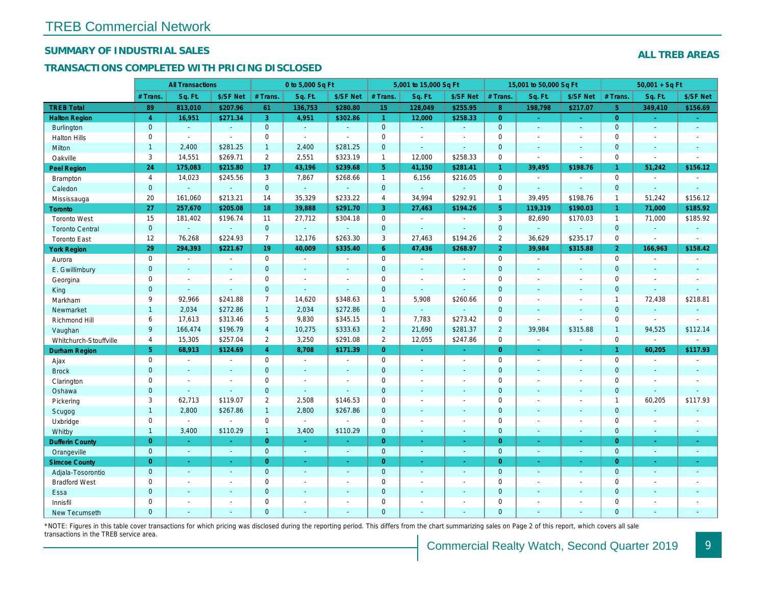## SUMMARY OF INDUSTRIAL SALES

## TRANSACTIONS COMPLETED WITH PRICING DISCLOSED

|                        |                | <b>All Transactions</b>  |                          |                | 0 to 5,000 Sq Ft |                |                     | 5,001 to 15,000 Sq Ft |                          |                | 15,001 to 50,000 Sq Ft |                          |
|------------------------|----------------|--------------------------|--------------------------|----------------|------------------|----------------|---------------------|-----------------------|--------------------------|----------------|------------------------|--------------------------|
|                        | # Trans.       | Sq. Ft.                  | \$/SF Net                | # Trans.       | Sq. Ft.          | \$/SF Net      | # Trans.            | Sq. Ft.               | \$/SF Net                | # Trans.       | Sq. Ft.                | \$/SF Ne                 |
| <b>TREB Total</b>      | 89             | 813,010                  | \$207.96                 | 61             | 136,753          | \$280.80       | 15                  | 128,049               | \$255.95                 | 8 <sup>°</sup> | 198,798                | \$217.07                 |
| <b>Halton Region</b>   | $\overline{4}$ | 16,951                   | \$271.34                 | 3              | 4,951            | \$302.86       | $\mathbf{1}$        | 12,000                | \$258.33                 | $\overline{0}$ | $\sim$                 | $\omega_{\rm c}$         |
| <b>Burlington</b>      | $\mathbf{0}$   | $\omega$                 | $\omega$                 | $\mathbf{0}$   | $\omega$         | $\blacksquare$ | $\overline{0}$      | $\blacksquare$        | $\omega$                 | $\mathbf{0}$   | $\blacksquare$         | $\omega$                 |
| <b>Halton Hills</b>    | 0              | $\blacksquare$           | $\blacksquare$           | $\mathbf 0$    | $\mathbf{r}$     |                | $\mathsf{O}\xspace$ | ä,                    | $\blacksquare$           | $\Omega$       | $\sim$                 | $\blacksquare$           |
| Milton                 | $\mathbf{1}$   | 2,400                    | \$281.25                 | $\mathbf{1}$   | 2,400            | \$281.25       | $\mathbf{0}$        | $\omega$              | $\blacksquare$           | $\mathbf{0}$   | $\blacksquare$         | $\blacksquare$           |
| Oakville               | 3              | 14,551                   | \$269.71                 | $\overline{2}$ | 2,551            | \$323.19       | $\mathbf{1}$        | 12,000                | \$258.33                 | $\mathbf 0$    | $\blacksquare$         | $\blacksquare$           |
| Peel Region            | 24             | 175,083                  | \$215.80                 | 17             | 43,196           | \$239.68       | 5 <sup>5</sup>      | 41,150                | \$281.41                 | $\mathbf{1}$   | 39,495                 | \$198.76                 |
| <b>Brampton</b>        | $\overline{4}$ | 14,023                   | \$245.56                 | 3              | 7,867            | \$268.66       | $\mathbf{1}$        | 6,156                 | \$216.05                 | $\mathbf 0$    | $\blacksquare$         | $\blacksquare$           |
| Caledon                | $\mathbf{0}$   | $\sim$                   | $\omega$                 | $\mathbf{0}$   | ◆                | $\omega$       | $\overline{0}$      | $\omega_{\rm c}$      | $\omega_{\rm c}$         | $\mathbf 0$    | $\Delta$               | $\omega$                 |
| Mississauga            | 20             | 161,060                  | \$213.21                 | 14             | 35,329           | \$233.22       | $\overline{4}$      | 34,994                | \$292.91                 | $\mathbf{1}$   | 39.495                 | \$198.76                 |
| Toronto                | 27             | 257,670                  | \$205.08                 | 18             | 39,888           | \$291.70       | 3                   | 27,463                | \$194.26                 | 5 <sup>5</sup> | 119,319                | \$190.03                 |
| <b>Toronto West</b>    | 15             | 181,402                  | \$196.74                 | 11             | 27,712           | \$304.18       | $\mathsf{O}$        | $\blacksquare$        | $\blacksquare$           | 3              | 82,690                 | \$170.03                 |
| <b>Toronto Central</b> | $\mathbf{0}$   | $\omega$                 | $\omega$                 | $\mathbf 0$    | $\omega$         | $\blacksquare$ | $\mathbf{0}$        | $\omega$ .            | $\blacksquare$           | $\mathbf{0}$   | $\Delta$               | $\blacksquare$           |
| <b>Toronto East</b>    | 12             | 76,268                   | \$224.93                 | $\overline{7}$ | 12,176           | \$263.30       | 3                   | 27,463                | \$194.26                 | $\overline{2}$ | 36,629                 | \$235.1                  |
| <b>York Region</b>     | 29             | 294,393                  | \$221.67                 | 19             | 40,009           | \$335.40       | 6 <sup>°</sup>      | 47,436                | \$268.97                 | $\overline{2}$ | 39,984                 | \$315.88                 |
| Aurora                 | $\mathbf 0$    | $\sim$                   | $\blacksquare$           | $\Omega$       | $\sim$           | $\blacksquare$ | $\mathsf{O}$        | $\blacksquare$        | $\sim$                   | $\Omega$       | $\blacksquare$         | $\sim$                   |
| E. Gwillimbury         | $\mathbf{0}$   | $\sim$                   | $\blacksquare$           | $\mathbf 0$    | $\blacksquare$   | ٠              | $\overline{0}$      | $\blacksquare$        | $\overline{\phantom{a}}$ | $\mathbf{0}$   | $\blacksquare$         | $\blacksquare$           |
| Georgina               | $\mathbf{0}$   | $\overline{\phantom{a}}$ | $\blacksquare$           | $\mathbf 0$    | $\blacksquare$   | $\blacksquare$ | $\mathbf 0$         | $\blacksquare$        | $\blacksquare$           | $\mathbf 0$    | $\blacksquare$         | $\blacksquare$           |
| King                   | $\overline{0}$ | $\overline{\phantom{a}}$ | $\sim$                   | $\mathbf{0}$   | $\blacksquare$   | $\blacksquare$ | $\mathbf{0}$        | $\blacksquare$        | ä,                       | $\mathbf{0}$   | $\omega$               | $\blacksquare$           |
| Markham                | 9              | 92,966                   | \$241.88                 | $\overline{7}$ | 14,620           | \$348.63       | $\mathbf{1}$        | 5,908                 | \$260.66                 | $\mathbf 0$    | $\blacksquare$         | $\blacksquare$           |
| Newmarket              | $\mathbf{1}$   | 2,034                    | \$272.86                 | $\mathbf{1}$   | 2,034            | \$272.86       | $\overline{0}$      | $\omega$              | $\overline{\phantom{a}}$ | $\mathbf{0}$   | $\sim$                 | $\blacksquare$           |
| Richmond Hill          | 6              | 17,613                   | \$313.46                 | 5              | 9,830            | \$345.15       | $\mathbf{1}$        | 7,783                 | \$273.42                 | $\mathbf 0$    | $\blacksquare$         | $\blacksquare$           |
| Vaughan                | 9              | 166,474                  | \$196.79                 | $\overline{4}$ | 10,275           | \$333.63       | $\overline{2}$      | 21,690                | \$281.37                 | $\overline{2}$ | 39,984                 | \$315.88                 |
| Whitchurch-Stouffville | $\overline{4}$ | 15,305                   | \$257.04                 | $\overline{2}$ | 3,250            | \$291.08       | $\overline{2}$      | 12,055                | \$247.86                 | $\mathbf 0$    | $\blacksquare$         | $\blacksquare$           |
| <b>Durham Region</b>   | 5 <sup>5</sup> | 68,913                   | \$124.69                 | $\overline{4}$ | 8,708            | \$171.39       | $\overline{0}$      | ÷.                    | $\omega_{\rm c}$         | $\overline{0}$ | $\omega$               | $\omega$                 |
| Ajax                   | 0              | $\sim$                   | $\blacksquare$           | 0              | $\blacksquare$   | $\blacksquare$ | $\mathbf 0$         | $\blacksquare$        | $\blacksquare$           | $\mathbf 0$    | $\blacksquare$         | $\sim$                   |
| <b>Brock</b>           | $\mathbf{0}$   | $\sim$                   | $\sim$                   | $\mathbf{0}$   | $\mathbf{r}$     | $\blacksquare$ | $\mathbf{0}$        | $\blacksquare$        | $\blacksquare$           | $\mathbf{0}$   | $\blacksquare$         | $\sim$                   |
| Clarington             | 0              | $\sim$                   | $\sim$                   | 0              | $\blacksquare$   |                | $\mathbf 0$         | $\blacksquare$        | $\blacksquare$           | $\mathbf 0$    | $\sim$                 | $\blacksquare$           |
| Oshawa                 | $\mathbf{0}$   |                          | $\blacksquare$           | $\mathbf 0$    | ä,               |                | $\mathbf 0$         | ÷,                    | ÷,                       | $\mathbf{0}$   | $\blacksquare$         | $\blacksquare$           |
| Pickering              | 3              | 62,713                   | \$119.07                 | $\overline{2}$ | 2,508            | \$146.53       | $\mathbf 0$         | $\overline{a}$        | $\overline{a}$           | $\mathbf 0$    | $\blacksquare$         | $\blacksquare$           |
| Scugog                 | $\mathbf{1}$   | 2,800                    | \$267.86                 | 1              | 2,800            | \$267.86       | $\mathbf{0}$        | $\mathbf{r}$          | $\omega$                 | $\mathbf{0}$   | $\blacksquare$         | $\blacksquare$           |
| Uxbridge               | 0              | $\sim$                   | $\sim$                   | 0              | $\omega$         |                | $\mathsf{O}$        | ÷,                    | $\overline{a}$           | $\mathbf 0$    | $\overline{a}$         | $\overline{\phantom{a}}$ |
| Whitby                 | $\mathbf{1}$   | 3,400                    | \$110.29                 | $\mathbf{1}$   | 3,400            | \$110.29       | $\overline{0}$      | $\blacksquare$        | $\sim$                   | $\mathbf{0}$   | $\blacksquare$         | $\blacksquare$           |
| <b>Dufferin County</b> | $\overline{0}$ | $\sim$                   |                          | $\overline{0}$ | ÷.               | ×.             | $\overline{0}$      | $\blacksquare$        | $\sim$                   | $\overline{0}$ | $\sim$                 | $\sim$                   |
| Orangeville            | $\mathbf 0$    | $\omega$                 | $\omega$                 | $\mathbf 0$    | $\omega$         | $\omega$       | $\mathbf{0}$        | $\omega$              | $\omega_{\rm c}$         | $\mathbf{0}$   | $\omega$               | $\sim$                   |
| <b>Simcoe County</b>   | $\overline{0}$ | $\omega$                 | $\sim$                   | $\overline{0}$ | $\omega$         | $\omega$       | $\overline{0}$      | ä,                    | $\omega$                 | $\overline{0}$ | $\blacksquare$         | $\sim$                   |
| Adjala-Tosorontio      | $\mathbf{0}$   | $\omega$                 | $\sim$                   | $\mathbf 0$    | $\omega$         | $\blacksquare$ | $\mathbf{0}$        | $\blacksquare$        | $\blacksquare$           | $\mathbf 0$    | $\Delta$               | $\sim$                   |
| <b>Bradford West</b>   | 0              | $\sim$                   | $\sim$                   | 0              | $\blacksquare$   | $\blacksquare$ | $\mathbf 0$         | $\blacksquare$        | $\blacksquare$           | $\mathbf 0$    | $\blacksquare$         | $\blacksquare$           |
| Essa                   | $\mathbf 0$    |                          | $\sim$                   | $\mathbf 0$    | $\blacksquare$   | $\blacksquare$ | $\mathbf 0$         | ä,                    | ä,                       | $\mathbf 0$    | $\sim$                 |                          |
| Innisfil               | 0              | $\sim$                   | $\overline{\phantom{a}}$ | 0              | $\blacksquare$   | $\blacksquare$ | $\mathbf 0$         | ä,                    | $\blacksquare$           | $\mathbf 0$    | $\sim$                 | $\blacksquare$           |
| <b>New Tecumseth</b>   | $\Omega$       |                          |                          | $\Omega$       |                  |                | $\mathbf{0}$        |                       |                          | $\Omega$       |                        |                          |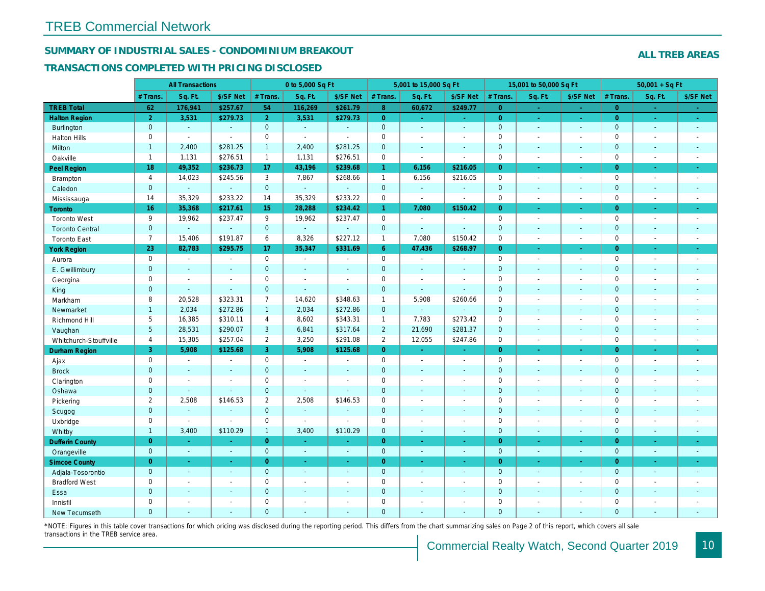## SUMMARY OF INDUSTRIAL SALES - CONDOMINIUM BREAKOUT

#### TRANSACTIONS COMPLETED WITH PRICING DISCLOSED

|                        |                     | <b>All Transactions</b> |                       |                 | 0 to 5,000 Sq Ft |                |                | 5,001 to 15,000 Sq Ft    |                          |                | 15,001 to 50,000 Sq Ft |                  |
|------------------------|---------------------|-------------------------|-----------------------|-----------------|------------------|----------------|----------------|--------------------------|--------------------------|----------------|------------------------|------------------|
|                        | # Trans.            | Sq. Ft.                 | \$/SF Net             | # Trans.        | Sq. Ft.          | \$/SF Net      | # Trans.       | Sq. Ft.                  | \$/SF Net                | # Trans.       | Sq. Ft.                | \$/SF Ne         |
| <b>TREB Total</b>      | 62                  | 176,941                 | \$257.67              | 54              | 116,269          | \$261.79       | 8 <sup>°</sup> | 60,672                   | \$249.77                 | $\overline{0}$ | a.                     | $\sim$           |
| <b>Halton Region</b>   | $\overline{2}$      | 3,531                   | \$279.73              | 2 <sup>1</sup>  | 3,531            | \$279.73       | $\overline{0}$ | ÷.                       | $\omega_{\rm{eff}}$      | $\overline{0}$ | $\bullet$              | $\sim$           |
| Burlington             | $\overline{0}$      | $\omega$                | $\omega$              | $\mathbf{0}$    | $\sim$           | $\blacksquare$ | $\mathbf{0}$   | $\omega$                 | $\blacksquare$           | $\mathbf 0$    | $\blacksquare$         | $\bullet$        |
| <b>Halton Hills</b>    | $\mathbf 0$         | $\blacksquare$          | $\blacksquare$        | $\mathbf 0$     | $\mathbf{r}$     |                | $\mathbf 0$    | $\blacksquare$           | $\blacksquare$           | $\mathbf 0$    | L.                     | $\blacksquare$   |
| Milton                 | $\mathbf{1}$        | 2,400                   | \$281.25              | $\mathbf{1}$    | 2,400            | \$281.25       | $\pmb{0}$      | $\blacksquare$           | $\blacksquare$           | $\mathbf{0}$   | $\blacksquare$         | $\sim$           |
| Oakville               | $\mathbf{1}$        | 1,131                   | \$276.51              | $\mathbf{1}$    | 1,131            | \$276.51       | 0              | $\tilde{\phantom{a}}$    | $\sim$                   | $\mathbf 0$    | $\sim$                 | $\sim$           |
| Peel Region            | 18                  | 49,352                  | \$236.73              | 17              | 43,196           | \$239.68       | $\mathbf{1}$   | 6,156                    | \$216.05                 | $\overline{0}$ | ×.                     | $\bullet$ .      |
| Brampton               | $\overline{4}$      | 14,023                  | \$245.56              | 3               | 7,867            | \$268.66       | $\mathbf{1}$   | 6,156                    | \$216.05                 | $\mathbf 0$    | $\blacksquare$         | $\sim$           |
| Caledon                | $\mathbf{0}$        | $\blacksquare$          | $\blacksquare$        | $\mathbf{0}$    | $\omega$         | $\sim$         | $\mathbf 0$    | $\blacksquare$           | $\omega$                 | $\mathbf 0$    | $\blacksquare$         | $\sim$           |
| Mississauga            | 14                  | 35,329                  | \$233.22              | 14              | 35,329           | \$233.22       | 0              | $\blacksquare$           | $\sim$                   | $\mathbf 0$    | $\sim$                 | $\sim$           |
| <b>Toronto</b>         | 16                  | 35,368                  | \$217.61              | 15 <sub>1</sub> | 28,288           | \$234.42       | $\mathbf{1}$   | 7,080                    | \$150.42                 | $\Omega$       | ÷.                     | $\omega_{\rm c}$ |
| <b>Toronto West</b>    | 9                   | 19,962                  | \$237.47              | 9               | 19,962           | \$237.47       | 0              | $\blacksquare$           | $\sim$                   | $\mathbf 0$    | $\blacksquare$         | $\sim$           |
| <b>Toronto Central</b> | $\mathbf{0}$        | $\mathbf{r}$            | $\blacksquare$        | $\overline{0}$  | $\omega$         |                | $\mathbf 0$    | $\omega$                 | $\sim$                   | $\mathbf 0$    | $\blacksquare$         | $\blacksquare$   |
| <b>Toronto East</b>    | $\overline{7}$      | 15,406                  | \$191.87              | 6               | 8,326            | \$227.12       | $\mathbf{1}$   | 7,080                    | \$150.42                 | $\mathbf 0$    | $\sim$                 | $\sim$           |
| <b>York Region</b>     | 23                  | 82,783                  | \$295.75              | 17              | 35,347           | \$331.69       | 6 <sup>°</sup> | 47,436                   | \$268.97                 | $\overline{0}$ | $\blacksquare$         | $\bullet$ .      |
| Aurora                 | $\mathbf 0$         | $\sim$                  | $\blacksquare$        | $\mathbf 0$     | $\bullet$        | $\blacksquare$ | 0              | $\blacksquare$           | $\blacksquare$           | $\mathbf 0$    | $\blacksquare$         | $\sim$           |
| E. Gwillimbury         | $\mathbf{0}$        | $\sim$                  | $\sim$                | $\mathbf{0}$    | ÷.               | $\sim$         | $\mathbf 0$    | $\blacksquare$           | $\blacksquare$           | $\mathbf{0}$   | $\blacksquare$         | $\blacksquare$   |
| Georgina               | $\mathbf 0$         | $\blacksquare$          | $\blacksquare$        | $\mathbf 0$     | $\blacksquare$   | $\sim$         | $\pmb{0}$      | $\overline{\phantom{a}}$ | $\blacksquare$           | $\mathbf 0$    | $\blacksquare$         | $\blacksquare$   |
| King                   | $\overline{0}$      | $\sim$                  | $\sim$                | $\mathbf{0}$    | $\sim$           | $\sim$         | $\mathbf 0$    | $\blacksquare$           | $\blacksquare$           | $\mathbf 0$    | $\blacksquare$         | $\sim$           |
| Markham                | 8                   | 20,528                  | \$323.31              | $\overline{7}$  | 14,620           | \$348.63       | $\mathbf{1}$   | 5,908                    | \$260.66                 | $\mathbf 0$    | $\blacksquare$         | $\blacksquare$   |
| Newmarket              | $\mathbf{1}$        | 2,034                   | \$272.86              | 1               | 2,034            | \$272.86       | $\mathbf{0}$   | ä,                       | $\blacksquare$           | $\mathbf{0}$   | ÷.                     | $\sim$           |
| Richmond Hill          | 5                   | 16,385                  | \$310.11              | 4               | 8,602            | \$343.31       | $\mathbf{1}$   | 7,783                    | \$273.42                 | $\mathbf 0$    | $\sim$                 | $\blacksquare$   |
| Vaughan                | $5\overline{)}$     | 28,531                  | \$290.07              | 3               | 6,841            | \$317.64       | $\overline{2}$ | 21,690                   | \$281.37                 | $\mathbf{0}$   | ä,                     | $\sim$           |
| Whitchurch-Stouffville | $\overline{4}$      | 15,305                  | \$257.04              | $\overline{2}$  | 3,250            | \$291.08       | $\overline{2}$ | 12,055                   | \$247.86                 | $\mathbf 0$    | ÷,                     | $\sim$           |
| Durham Region          | 3                   | 5,908                   | \$125.68              | 3               | 5,908            | \$125.68       | $\overline{0}$ | $\frac{1}{\sqrt{2}}$     | $\bullet$                | $\overline{0}$ | $\blacksquare$         | $\bullet$        |
| Ajax                   | $\mathbf 0$         | $\blacksquare$          | $\blacksquare$        | $\mathbf 0$     | $\sim$           |                | $\pmb{0}$      | $\blacksquare$           | $\blacksquare$           | $\mathbf 0$    | $\blacksquare$         | $\sim$           |
| <b>Brock</b>           | $\mathbf{0}$        | $\blacksquare$          | $\sim$                | $\mathbf{0}$    | $\Delta$         | $\sim$         | $\mathbf 0$    | $\omega$                 | $\blacksquare$           | $\mathbf 0$    | $\blacksquare$         | $\blacksquare$   |
| Clarington             | $\mathsf{O}\xspace$ | $\tilde{\phantom{a}}$   | $\tilde{\phantom{a}}$ | $\mathbf 0$     | $\sim$           |                | $\pmb{0}$      | $\overline{a}$           | $\overline{a}$           | $\mathbf 0$    | ÷,                     | $\blacksquare$   |
| Oshawa                 | $\mathbf{0}$        | $\blacksquare$          | $\blacksquare$        | $\mathbf{0}$    | $\sim$           | $\blacksquare$ | $\mathbf 0$    | $\blacksquare$           | $\blacksquare$           | $\mathbf{0}$   | $\blacksquare$         | $\blacksquare$   |
| Pickering              | $\overline{2}$      | 2,508                   | \$146.53              | $\overline{2}$  | 2,508            | \$146.53       | $\pmb{0}$      | $\blacksquare$           | $\blacksquare$           | $\mathbf 0$    | L.                     | $\blacksquare$   |
| Scugog                 | $\overline{0}$      | $\blacksquare$          | $\sim$                | $\mathbf{0}$    | $\omega$         |                | $\mathbf 0$    | $\omega$                 | $\blacksquare$           | $\mathbf{0}$   | $\omega$               | $\blacksquare$   |
| Uxbridge               | $\mathbf 0$         | $\blacksquare$          | $\omega$              | $\mathbf 0$     | $\blacksquare$   |                | 0              | $\blacksquare$           | $\overline{\phantom{a}}$ | $\mathbf 0$    | L.                     | $\blacksquare$   |
| Whitby                 | $\mathbf{1}$        | 3,400                   | \$110.29              | $\mathbf{1}$    | 3,400            | \$110.29       | $\mathbf{0}$   | $\blacksquare$           | $\blacksquare$           | $\mathbf{0}$   | $\blacksquare$         | $\sim$           |
| <b>Dufferin County</b> | $\overline{0}$      | $\sim$                  | $\sim$                | $\overline{0}$  | a.               | $\sim$         | $\overline{0}$ | $\blacksquare$           | ×.                       | $\overline{0}$ | ×.                     | $\sim$           |
| Orangeville            | $\mathbf{0}$        | $\omega$                | $\omega$              | $\mathbf 0$     | $\omega$         | $\omega$       | $\mathbf{0}$   | $\omega$                 | $\omega$                 | $\mathbf 0$    | $\omega$               | $\omega_{\rm c}$ |
| <b>Simcoe County</b>   | $\overline{0}$      | $\omega$                | $\omega$              | $\overline{0}$  | $\omega$         | $\omega$       | $\overline{0}$ | ä,                       | $\omega$                 | $\overline{0}$ | $\blacksquare$         | $\sigma_{\rm c}$ |
| Adjala-Tosorontio      | $\mathbf{0}$        | $\sim$                  | $\sim$                | $\mathbf{0}$    | $\sim$           | $\sim$         | $\mathbf 0$    | $\Delta$                 | $\blacksquare$           | $\mathbf 0$    | $\blacksquare$         | $\sim$           |
| <b>Bradford West</b>   | $\mathbf 0$         | $\blacksquare$          | $\omega$              | $\mathbf 0$     | $\sim$           | $\sim$         | $\pmb{0}$      | $\blacksquare$           | $\blacksquare$           | $\mathbf 0$    | $\overline{a}$         | $\blacksquare$   |
| Essa                   | $\mathbf{0}$        | $\sim$                  | $\sim$                | $\mathbf{0}$    |                  | $\sim$         | $\pmb{0}$      | $\blacksquare$           | $\blacksquare$           | $\mathbf 0$    | $\blacksquare$         |                  |
| Innisfil               | $\mathbf 0$         | $\blacksquare$          | $\blacksquare$        | $\mathbf 0$     | $\sim$           | $\sim$         | $\pmb{0}$      | $\blacksquare$           | $\blacksquare$           | $\mathbf 0$    | $\blacksquare$         | $\blacksquare$   |
| <b>New Tecumseth</b>   | $\Omega$            |                         |                       | $\Omega$        |                  |                | $\Omega$       |                          |                          | $\Omega$       |                        |                  |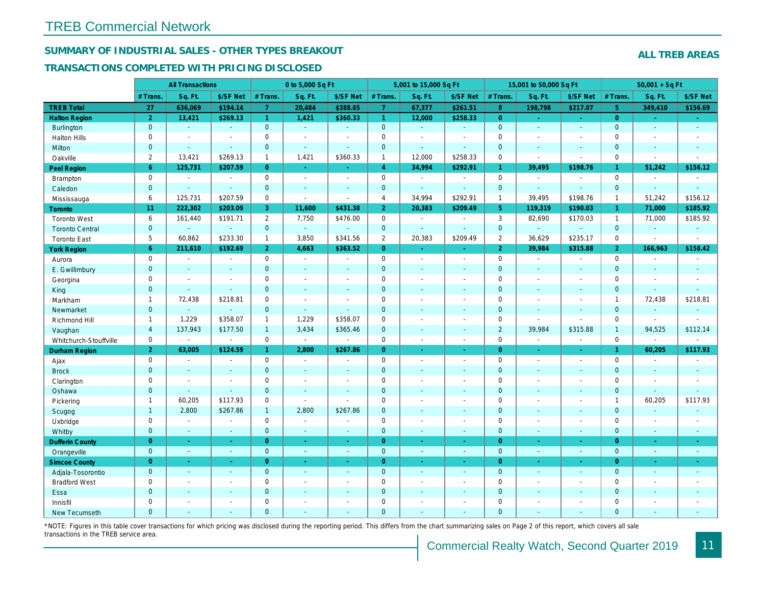## SUMMARY OF INDUSTRIAL SALES - OTHER TYPES BREAKOUT

#### TRANSACTIONS COMPLETED WITH PRICING DISCLOSED

| <b>All Transactions</b><br>0 to 5,000 Sq Ft<br>5,001 to 15,000 Sq Ft                                                                                                | 15,001 to 50,000 Sq Ft                                    |
|---------------------------------------------------------------------------------------------------------------------------------------------------------------------|-----------------------------------------------------------|
| Sq. Ft.<br>\$/SF Net<br># Trans.<br>Sq. Ft.<br>\$/SF Net<br># Trans.<br>Sq. Ft.<br># Trans<br>\$/SF Net                                                             | Sq. Ft.<br>\$/SF Ne<br># Trans.                           |
| <b>TREB Total</b><br>27<br>636,069<br>\$194.14<br>20,484<br>\$388.65<br>$\overline{7}$<br>67,377<br>\$261.51<br>$\overline{7}$                                      | 8 <sup>°</sup><br>\$217.07<br>198,798                     |
| <b>Halton Region</b><br>$\overline{2}$<br>13,421<br>\$269.13<br>1,421<br>$\mathbf{1}$<br>12,000<br>\$258.33<br>$\mathbf{1}$<br>\$360.33                             | $\overline{0}$<br>$\sim$<br>$\blacksquare$                |
| $\mathbf{0}$<br>$\mathbf 0$<br>$\pmb{0}$<br>Burlington<br>$\omega$<br>$\omega$<br>ä,<br>$\omega$<br>$\mathbf{r}$<br>$\omega$                                        | $\mathbf{0}$<br>$\sim$<br>$\omega$                        |
| 0<br>$\mathbf 0$<br>$\mathbf 0$<br><b>Halton Hills</b><br>$\blacksquare$<br>$\blacksquare$<br>$\sim$<br>$\sim$<br>$\blacksquare$<br>$\blacksquare$                  | $\mathbf 0$<br>L.<br>$\blacksquare$                       |
| $\overline{0}$<br>$\overline{0}$<br>$\overline{0}$<br>Milton<br>$\omega$<br>$\omega$<br>$\mathbf{r}$<br>ä,<br>$\sim$<br>$\omega$                                    | $\mathbf{0}$<br>$\blacksquare$<br>$\sim$                  |
| $\overline{2}$<br>\$360.33<br>12,000<br>\$258.33<br>13,421<br>\$269.13<br>$\mathbf{1}$<br>1,421<br>$\mathbf{1}$<br>Oakville                                         | $\mathsf 0$<br>$\overline{\phantom{a}}$<br>$\blacksquare$ |
| $6^{\circ}$<br>125,731<br>\$207.59<br>$\overline{0}$<br>$\overline{4}$<br>34,994<br>\$292.91<br><b>Peel Region</b><br>$\omega$<br>$\bullet$                         | 39,495<br>\$198.76<br>$\mathbf{1}$                        |
| $\mathbf 0$<br>$\mathbf 0$<br>$\mathbf 0$<br>Brampton<br>$\sim$<br>$\blacksquare$<br>$\sim$<br>$\blacksquare$<br>$\blacksquare$<br>$\overline{\phantom{a}}$         | $\mathbf 0$<br>$\sim$<br>$\blacksquare$                   |
| $\mathbf{0}$<br>$\mathbf{0}$<br>$\mathbf 0$<br>Caledon<br>$\omega$<br>$\omega$<br>$\blacksquare$<br>$\sim$<br>$\sim$<br>$\sim$                                      | $\mathbf{0}$<br>$\omega$<br>$\sim$                        |
| 6<br>$\mathbf 0$<br>$\overline{4}$<br>\$292.91<br>125,731<br>\$207.59<br>34,994<br>Mississauga<br>$\blacksquare$<br>$\blacksquare$                                  | 39,495<br>$\mathbf{1}$<br>\$198.76                        |
| 222,302<br>11,600<br>\$209.49<br>11<br>\$203.09<br>3<br>\$431.38<br>$\overline{2}$<br>20,383<br><b>Toronto</b>                                                      | 119,319<br>5 <sup>5</sup><br>\$190.03                     |
| 6<br>$\mathbf{2}^{\prime}$<br>7,750<br>$\mathbf 0$<br>161,440<br>\$191.71<br>\$476.00<br><b>Toronto West</b><br>$\sim$<br>$\sim$                                    | 3<br>82,690<br>\$170.03                                   |
| $\mathbf{0}$<br>$\overline{0}$<br>$\mathbf{0}$<br>$\omega$<br><b>Toronto Central</b><br>÷.<br>$\mathbf{r}$<br>$\Delta$<br>$\sim$<br>$\sim$                          | $\mathbf{0}$<br>÷.<br>$\omega$                            |
| 5<br>$\overline{2}$<br>60,862<br>\$233.30<br>3,850<br>\$341.56<br>20,383<br>\$209.49<br>$\mathbf{1}$<br><b>Toronto East</b>                                         | $\overline{2}$<br>36,629<br>\$235.1                       |
| 6 <sup>1</sup><br>$\overline{2}$<br>\$363.52<br>$\overline{0}$<br>211,610<br>\$192.69<br>4,663<br><b>York Region</b><br>$\blacksquare$<br>$\omega$                  | $\overline{2}$<br>39,984<br>\$315.88                      |
| $\mathsf 0$<br>$\mathbf 0$<br>$\mathbf 0$<br>$\omega$<br>Aurora<br>$\blacksquare$<br>$\blacksquare$<br>$\sim$<br>$\blacksquare$<br>$\tilde{\phantom{a}}$            | $\mathbf 0$<br>$\sim$<br>$\blacksquare$                   |
| $\mathbf{0}$<br>$\overline{0}$<br>$\mathbf 0$<br>E. Gwillimbury<br>$\blacksquare$<br>$\sim$<br>$\sim$<br>$\blacksquare$<br>$\blacksquare$<br>$\sim$                 | $\mathbf 0$<br>ä,<br>$\blacksquare$                       |
| $\mathbf 0$<br>$\mathbf 0$<br>$\mathbf 0$<br>Georgina<br>$\blacksquare$<br>$\blacksquare$<br>$\blacksquare$<br>$\sim$<br>$\blacksquare$<br>$\blacksquare$           | $\mathbf 0$<br>$\sim$<br>$\blacksquare$                   |
| $\mathbf{0}$<br>$\mathbf 0$<br>$\mathbf 0$<br>King<br>$\omega$<br>$\blacksquare$<br>$\sim$<br>$\sim$<br>$\sim$<br>$\overline{a}$                                    | $\mathbf{0}$<br>$\blacksquare$<br>$\blacksquare$          |
| 72,438<br>\$218.81<br>$\mathbf 0$<br>$\mathbf 0$<br>Markham<br>$\overline{1}$<br>$\sim$<br>$\blacksquare$<br>$\sim$<br>$\overline{\phantom{a}}$                     | $\mathbf 0$<br>$\blacksquare$<br>$\blacksquare$           |
| $\mathbf 0$<br>$\mathbf 0$<br>$\mathbf{0}$<br>Newmarket<br>ä,<br>$\omega$<br>$\mathbf{r}$<br>$\sim$<br>$\sim$<br>$\sim$                                             | $\mathbf 0$<br>ä,<br>$\blacksquare$                       |
| 1,229<br>1,229<br>\$358.07<br>\$358.07<br>$\mathbf 0$<br>Richmond Hill<br>$\overline{1}$<br>$\mathbf{1}$<br>$\sim$<br>$\blacksquare$                                | $\mathbf 0$<br>$\sim$                                     |
| $\overline{4}$<br>3,434<br>\$365.46<br>$\mathbf 0$<br>137,943<br>\$177.50<br>1<br>Vaughan<br>$\sim$<br>$\sim$                                                       | $\overline{2}$<br>39,984<br>\$315.88                      |
| $\mathbf 0$<br>$\mathbf 0$<br>0<br>$\blacksquare$<br>Whitchurch-Stouffville<br>$\sim$<br>$\sim$<br>$\sim$<br>$\sim$<br>$\blacksquare$                               | $\mathbf 0$<br>$\sim$<br>$\blacksquare$                   |
| 2 <sup>1</sup><br>\$124.59<br>$\overline{0}$<br>63,005<br>2,800<br>\$267.86<br><b>Durham Region</b><br>$\mathbf{1}$<br>$\blacksquare$<br>$\blacksquare$             | $\overline{0}$<br>$\omega$<br>$\bullet$                   |
| $\mathbf 0$<br>$\mathsf 0$<br>0<br>Ajax<br>$\blacksquare$<br>$\blacksquare$<br>$\blacksquare$<br>$\sim$<br>$\sim$<br>$\blacksquare$                                 | $\mathbf 0$<br>$\sim$<br>$\blacksquare$                   |
| $\mathbf{0}$<br>$\overline{0}$<br>$\mathbf 0$<br><b>Brock</b><br>$\blacksquare$<br>$\sim$<br>$\blacksquare$<br>$\blacksquare$<br>$\blacksquare$<br>$\blacksquare$   | $\mathbf{0}$<br>$\blacksquare$<br>$\blacksquare$          |
| 0<br>$\mathbf 0$<br>$\mathbf 0$<br>Clarington<br>$\blacksquare$<br>$\blacksquare$<br>$\sim$<br>$\blacksquare$<br>$\blacksquare$                                     | $\mathbf 0$<br>L.<br>$\blacksquare$                       |
| $\mathbf{0}$<br>$\mathbf 0$<br>$\mathbf 0$<br>Oshawa<br>$\blacksquare$<br>$\blacksquare$<br>$\sim$<br>$\sim$<br>$\blacksquare$<br>$\blacksquare$                    | $\mathbf 0$<br>$\blacksquare$<br>$\blacksquare$           |
| \$117.93<br>$\mathbf 0$<br>60,205<br>$\mathbf 0$<br>Pickering<br>$\overline{1}$<br>$\omega$<br>$\sim$<br>$\blacksquare$<br>$\blacksquare$                           | $\mathbf 0$<br>÷.<br>$\sim$                               |
| 2,800<br>\$267.86<br>2,800<br>\$267.86<br>$\pmb{0}$<br>$\overline{1}$<br>$\mathbf{1}$<br>Scugog<br>$\sim$<br>$\sim$                                                 | $\mathbf{0}$<br>$\blacksquare$<br>$\sim$                  |
| $\mathbf 0$<br>$\mathbf 0$<br>$\mathbf 0$<br>Uxbridge<br>$\sim$<br>$\sim$<br>$\blacksquare$<br>$\tilde{\phantom{a}}$<br>$\blacksquare$<br>$\overline{\phantom{a}}$  | $\mathbf 0$<br>÷,<br>$\blacksquare$                       |
| $\mathbf{0}$<br>$\overline{0}$<br>$\mathbf{0}$<br>Whitby<br>$\sim$<br>$\sim$<br>$\omega$<br>$\sim$<br>$\sim$<br>$\sim$                                              | $\mathbf 0$<br>$\blacksquare$<br>$\sim$                   |
| $\overline{0}$<br>$\overline{0}$<br>$\mathbf 0$<br><b>Dufferin County</b><br>$\sim$<br>$\omega$<br>$\omega$<br>$\omega$<br>$\omega$<br>$\sim$                       | $\overline{0}$<br>$\omega$<br>$\omega$                    |
| $\mathbf{0}$<br>$\overline{0}$<br>$\mathbf{0}$<br>Orangeville<br>$\omega$<br>$\omega$<br>$\omega$<br>$\sim$<br>$\omega$<br>$\sim$                                   | $\mathbf{0}$<br>$\omega$<br>$\sim$                        |
| $\overline{0}$<br>$\overline{0}$<br>$\overline{0}$<br><b>Simcoe County</b><br>$\omega$<br>$\omega$<br>$\sim$<br>$\sim$<br>$\blacksquare$<br>$\omega$                | $\overline{0}$<br>$\blacksquare$<br>$\bullet$             |
| $\mathbf{0}$<br>$\overline{0}$<br>$\mathbf 0$<br>Adjala-Tosorontio<br>$\omega$<br>$\sim$<br>$\sim$<br>$\sim$<br>$\blacksquare$<br>$\blacksquare$                    | $\mathbf{0}$<br>$\blacksquare$<br>$\sim$                  |
| $\mathbf 0$<br>0<br>$\mathbf 0$<br><b>Bradford West</b><br>$\blacksquare$<br>$\blacksquare$<br>$\blacksquare$<br>$\blacksquare$<br>$\blacksquare$<br>$\blacksquare$ | $\mathbf 0$<br>$\blacksquare$<br>$\blacksquare$           |
| $\mathbf{0}$<br>$\mathbf 0$<br>$\pmb{0}$<br>Essa<br>$\blacksquare$<br>$\blacksquare$<br>$\sim$<br>$\blacksquare$<br>$\blacksquare$<br>$\sim$                        | $\mathbf 0$<br>ä,<br>$\blacksquare$                       |
| $\mathbf 0$<br>$\mathbf 0$<br>$\mathbf 0$<br>Innisfil<br>$\sim$<br>$\blacksquare$<br>$\overline{\phantom{a}}$<br>$\sim$<br>$\blacksquare$<br>$\blacksquare$         | $\mathbf 0$<br>$\blacksquare$<br>$\blacksquare$           |
| $\overline{0}$<br>$\Omega$<br>$\overline{0}$<br><b>New Tecumseth</b>                                                                                                | $\mathbf{0}$                                              |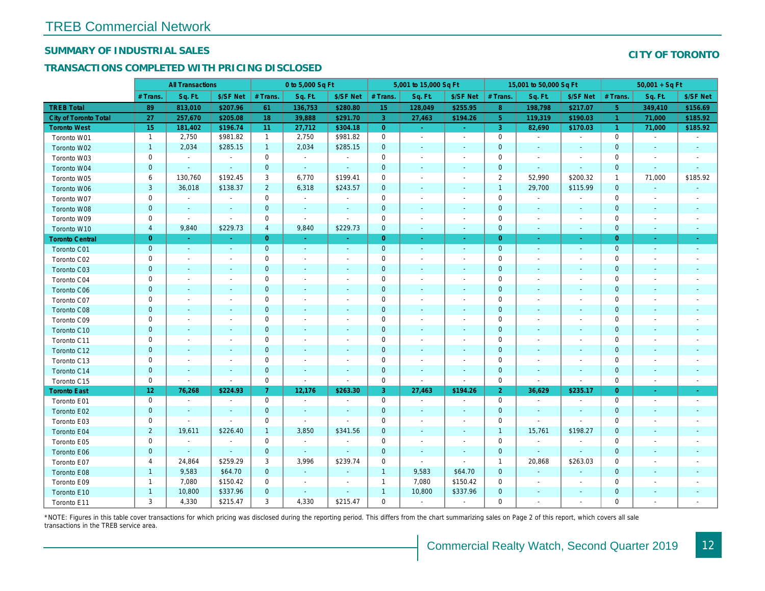## SUMMARY OF INDUSTRIAL SALES

## TRANSACTIONS COMPLETED WITH PRICING DISCLOSED

|                              | <b>All Transactions</b> |                          | 0 to 5,000 Sq Ft         |                |                | 5,001 to 15,000 Sq Ft    |                |                          |                          | 15,001 to 50,000 Sq Ft |                          |                          |
|------------------------------|-------------------------|--------------------------|--------------------------|----------------|----------------|--------------------------|----------------|--------------------------|--------------------------|------------------------|--------------------------|--------------------------|
|                              | # Trans                 | Sq. Ft.                  | \$/SF Net                | # Trans.       | Sq. Ft.        | \$/SF Net                | # Trans.       | Sq. Ft.                  | \$/SF Net                | # Trans.               | Sq. Ft.                  | \$/SF Ne                 |
| <b>TREB Total</b>            | 89                      | 813,010                  | \$207.96                 | 61             | 136,753        | \$280.80                 | 15             | 128,049                  | \$255.95                 | $8^{\circ}$            | 198,798                  | \$217.07                 |
| <b>City of Toronto Total</b> | 27                      | 257,670                  | \$205.08                 | 18             | 39,888         | \$291.70                 | $\overline{3}$ | 27,463                   | \$194.26                 | 5 <sup>5</sup>         | 119,319                  | \$190.03                 |
| <b>Toronto West</b>          | 15                      | 181,402                  | \$196.74                 | 11             | 27,712         | \$304.18                 | $\overline{0}$ | $\omega_{\rm c}$         | $\omega_{\rm c}$         | $\mathbf{3}$           | 82,690                   | \$170.03                 |
| Toronto W01                  | $\mathbf{1}$            | 2,750                    | \$981.82                 | $\mathbf{1}$   | 2,750          | \$981.82                 | $\mathbf 0$    | $\omega$                 | $\blacksquare$           | $\mathbf 0$            | $\blacksquare$           | $\blacksquare$           |
| Toronto W02                  | $\mathbf{1}$            | 2,034                    | \$285.15                 | $\mathbf{1}$   | 2,034          | \$285.15                 | $\mathbf 0$    | $\blacksquare$           | ٠                        | $\mathbf 0$            | $\blacksquare$           | $\blacksquare$           |
| Toronto W03                  | 0                       | $\blacksquare$           | $\blacksquare$           | $\mathbf 0$    | $\sim$         | $\blacksquare$           | 0              | $\blacksquare$           | $\blacksquare$           | 0                      | $\blacksquare$           | $\blacksquare$           |
| Toronto W04                  | $\mathbf{0}$            | $\sim$                   | $\sim$                   | $\mathbf 0$    | $\sim$         | $\omega$                 | $\mathbf{0}$   | $\omega$                 | $\omega$                 | $\mathbf{0}$           | $\Delta$                 | $\sim$                   |
| Toronto W05                  | 6                       | 130,760                  | \$192.45                 | 3              | 6,770          | \$199.41                 | $\mathbf 0$    | $\sim$                   | $\blacksquare$           | $\overline{2}$         | 52,990                   | \$200.32                 |
| Toronto W06                  | 3                       | 36,018                   | \$138.37                 | $\overline{2}$ | 6,318          | \$243.57                 | $\mathbf 0$    | $\overline{\phantom{a}}$ | $\blacksquare$           | $\mathbf{1}$           | 29,700                   | \$115.99                 |
| Toronto W07                  | 0                       | $\blacksquare$           | $\overline{\phantom{a}}$ | $\mathbf 0$    | $\blacksquare$ | $\blacksquare$           | 0              | $\overline{\phantom{a}}$ | $\overline{\phantom{m}}$ | 0                      | $\overline{\phantom{a}}$ | $\overline{\phantom{a}}$ |
| Toronto W08                  | $\mathbf{0}$            | $\overline{\phantom{a}}$ | $\sim$                   | $\mathbf{0}$   | $\sim$         | $\blacksquare$           | $\mathbf 0$    | $\blacksquare$           | $\sim$                   | $\mathbf{0}$           | $\blacksquare$           | $\blacksquare$           |
| Toronto W09                  | 0                       | $\blacksquare$           | $\sim$                   | $\mathbf 0$    | $\sim$         | $\sim$                   | $\mathbf 0$    | $\sim$                   | $\overline{\phantom{a}}$ | $\mathbf 0$            | $\sim$                   | $\blacksquare$           |
| Toronto W10                  | $\overline{4}$          | 9,840                    | \$229.73                 | $\overline{4}$ | 9,840          | \$229.73                 | $\mathbf 0$    | $\blacksquare$           | $\blacksquare$           | $\mathbf 0$            | $\blacksquare$           | $\blacksquare$           |
| <b>Toronto Central</b>       | $\mathbf{0}$            | $\sim$                   | $\sim$                   | $\overline{0}$ | $\sim$         | $\blacksquare$           | $\overline{0}$ | $\sim$                   | $\sim$                   | $\overline{0}$         | $\blacksquare$           | $\sim$                   |
| Toronto C01                  | $\mathbf{0}$            | $\blacksquare$           | $\sim$                   | $\mathbf{0}$   | $\sim$         | $\blacksquare$           | $\mathbf{0}$   | $\blacksquare$           | $\sim$                   | $\mathbf{0}$           | $\blacksquare$           | $\blacksquare$           |
| Toronto C02                  | 0                       | $\sim$                   |                          | $\mathbf 0$    | $\overline{a}$ | $\overline{\phantom{a}}$ | $\mathbf 0$    | ä,                       | ä,                       | $\mathbf 0$            | ٠                        | $\blacksquare$           |
| Toronto C03                  | $\mathbf{0}$            | $\blacksquare$           | $\sim$                   | $\mathbf{0}$   | ä,             | ٠                        | $\mathbf 0$    | ÷,                       | ٠                        | $\mathbf{0}$           | $\blacksquare$           | $\blacksquare$           |
| Toronto C04                  | 0                       | $\blacksquare$           |                          | $\mathbf 0$    | $\blacksquare$ | $\blacksquare$           | $\mathbf 0$    | $\blacksquare$           | $\blacksquare$           | $\mathbf 0$            | ÷,                       | $\blacksquare$           |
| <b>Toronto C06</b>           | $\mathbf 0$             | $\blacksquare$           |                          | $\mathbf 0$    | $\blacksquare$ | $\blacksquare$           | $\mathbf 0$    | ÷,                       | $\blacksquare$           | $\mathbf 0$            | $\blacksquare$           | $\blacksquare$           |
| Toronto C07                  | $\mathbf 0$             |                          |                          | $\mathbf 0$    | $\sim$         | $\blacksquare$           | $\mathbf 0$    |                          | $\sim$                   | $\mathbf 0$            | J.                       | $\blacksquare$           |
| Toronto C08                  | $\mathbf{0}$            | $\sim$                   |                          | $\mathbf 0$    | ä,             | $\blacksquare$           | $\mathbf 0$    | ٠                        | $\blacksquare$           | $\mathbf{0}$           | ٠                        | $\blacksquare$           |
| Toronto C09                  | 0                       | $\overline{\phantom{a}}$ | $\overline{\phantom{a}}$ | $\mathbf 0$    | $\blacksquare$ | $\blacksquare$           | $\mathbf 0$    | $\overline{\phantom{a}}$ | $\overline{\phantom{a}}$ | 0                      | $\overline{\phantom{a}}$ | $\overline{\phantom{a}}$ |
| Toronto C10                  | $\mathbf 0$             | $\sim$                   | $\sim$                   | $\mathbf 0$    | $\blacksquare$ | $\blacksquare$           | $\mathbf 0$    | $\blacksquare$           | $\blacksquare$           | $\mathbf 0$            | $\blacksquare$           | $\blacksquare$           |
| Toronto C11                  | 0                       | $\sim$                   |                          | $\mathbf 0$    | $\sim$         | $\blacksquare$           | $\mathbf 0$    | $\sim$                   | $\blacksquare$           | $\mathbf 0$            | $\blacksquare$           | $\overline{\phantom{a}}$ |
| Toronto C12                  | $\mathbf{0}$            | $\sim$                   | $\sim$                   | $\overline{0}$ | ä,             | $\blacksquare$           | $\mathbf{0}$   | $\sim$                   | $\sim$                   | $\mathbf{0}$           | $\sim$                   | $\sim$                   |
| Toronto C13                  | 0                       | $\overline{\phantom{a}}$ | $\overline{\phantom{a}}$ | $\mathbf 0$    | $\blacksquare$ | $\blacksquare$           | $\pmb{0}$      | $\blacksquare$           | $\sim$                   | 0                      | $\blacksquare$           |                          |
| Toronto C14                  | $\mathbf 0$             | $\overline{\phantom{a}}$ | $\sim$                   | $\mathbf 0$    | $\blacksquare$ | $\blacksquare$           | $\mathbf 0$    | $\blacksquare$           | $\blacksquare$           | $\mathbf 0$            | $\blacksquare$           | $\sim$                   |
| Toronto C15                  | 0                       | $\blacksquare$           | $\blacksquare$           | $\mathbf 0$    | $\blacksquare$ | $\blacksquare$           | $\mathbf 0$    | $\blacksquare$           | $\blacksquare$           | $\mathbf 0$            | $\blacksquare$           | $\blacksquare$           |
| <b>Toronto East</b>          | 12 <sub>2</sub>         | 76,268                   | \$224.93                 | $\mathbf{7}$   | 12,176         | \$263.30                 | 3              | 27,463                   | \$194.26                 | $\overline{2}$         | 36,629                   | \$235.1                  |
| Toronto E01                  | 0                       | $\sim$                   | $\blacksquare$           | $\mathbf 0$    | $\omega$       | $\blacksquare$           | $\mathbf 0$    | $\blacksquare$           | $\blacksquare$           | $\mathbf 0$            | $\blacksquare$           | $\sim$                   |
| Toronto E02                  | $\mathbf 0$             | $\sim$                   | $\sim$                   | $\mathbf{0}$   | $\sim$         | $\blacksquare$           | $\mathbf 0$    | $\blacksquare$           | $\sim$                   | $\mathbf 0$            | $\blacksquare$           | $\sim$                   |
| Toronto E03                  | 0                       | $\sim$                   | $\sim$                   | 0              | $\blacksquare$ | $\overline{\phantom{a}}$ | $\mathbf 0$    | $\blacksquare$           | $\blacksquare$           | $\mathbf 0$            | $\blacksquare$           | $\blacksquare$           |
| Toronto E04                  | $\overline{2}$          | 19,611                   | \$226.40                 | $\mathbf{1}$   | 3,850          | \$341.56                 | $\mathbf 0$    | $\blacksquare$           | $\blacksquare$           | $\overline{1}$         | 15,761                   | \$198.27                 |
| Toronto E05                  | 0                       | $\blacksquare$           | $\blacksquare$           | $\mathbf 0$    | $\sim$         | $\blacksquare$           | $\mathbf 0$    | $\blacksquare$           | $\blacksquare$           | $\mathbf 0$            | $\blacksquare$           | $\blacksquare$           |
| Toronto E06                  | $\mathbf{0}$            |                          | $\sim$                   | $\mathbf 0$    | $\sim$         | $\blacksquare$           | $\mathbf 0$    | ÷,                       | ÷,                       | $\mathbf 0$            | $\blacksquare$           | $\blacksquare$           |
| Toronto E07                  | 4                       | 24,864                   | \$259.29                 | 3              | 3,996          | \$239.74                 | 0              | $\blacksquare$           | $\blacksquare$           | $\mathbf{1}$           | 20,868                   | \$263.03                 |
| Toronto E08                  | $\mathbf{1}$            | 9,583                    | \$64.70                  | $\mathbf 0$    | $\sim$         | $\blacksquare$           | $\mathbf{1}$   | 9,583                    | \$64.70                  | $\mathbf{0}$           | $\blacksquare$           |                          |
| Toronto E09                  | $\mathbf{1}$            | 7,080                    | \$150.42                 | $\mathbf 0$    | $\blacksquare$ | $\blacksquare$           | $\mathbf{1}$   | 7,080                    | \$150.42                 | $\mathbf 0$            | $\blacksquare$           | $\blacksquare$           |
| Toronto E10                  | $\mathbf{1}$            | 10,800                   | \$337.96                 | $\mathbf 0$    | $\blacksquare$ | $\blacksquare$           | $\mathbf{1}$   | 10,800                   | \$337.96                 | $\mathbf 0$            | $\overline{\phantom{a}}$ | $\overline{\phantom{a}}$ |
| Toronto E11                  | 3                       | 4,330                    | \$215.47                 | 3              | 4,330          | \$215.47                 | $\mathbf 0$    | $\blacksquare$           | $\blacksquare$           | $\mathbf 0$            | $\blacksquare$           | $\overline{\phantom{a}}$ |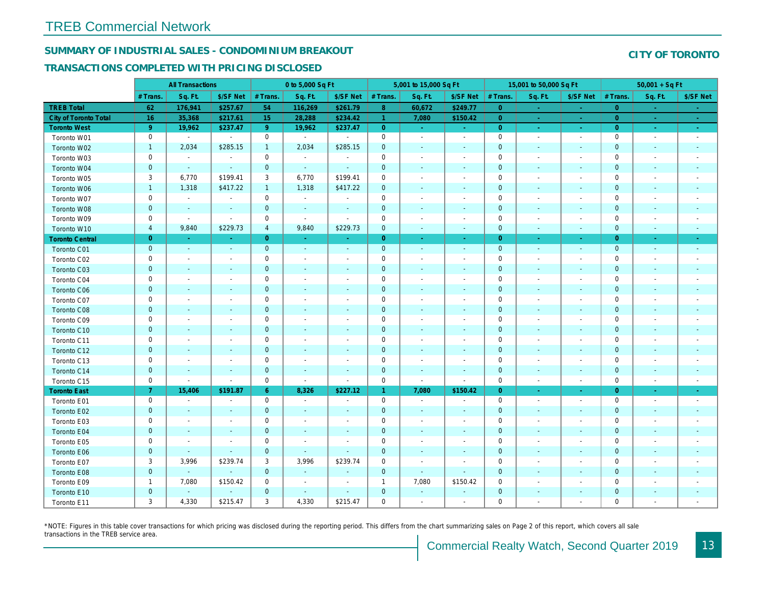## SUMMARY OF INDUSTRIAL SALES - CONDOMINIUM BREAKOUT

#### TRANSACTIONS COMPLETED WITH PRICING DISCLOSED

|                              |                | <b>All Transactions</b>  |                          |                | 0 to 5,000 Sq Ft         |                          |                     | 5,001 to 15,000 Sq Ft    |                          |                | 15,001 to 50,000 Sq Ft   |                          |
|------------------------------|----------------|--------------------------|--------------------------|----------------|--------------------------|--------------------------|---------------------|--------------------------|--------------------------|----------------|--------------------------|--------------------------|
|                              | # Trans.       | Sq. Ft.                  | \$/SF Net                | # Trans.       | Sq. Ft.                  | \$/SF Net                | # Trans.            | Sq. Ft.                  | \$/SF Net                | # Trans.       | Sq. Ft.                  | \$/SF Ne                 |
| <b>TREB Total</b>            | 62             | 176,941                  | \$257.67                 | 54             | 116,269                  | \$261.79                 | 8 <sub>o</sub>      | 60,672                   | \$249.77                 | $\overline{0}$ | $\blacksquare$           | $\sim$                   |
| <b>City of Toronto Total</b> | 16             | 35,368                   | \$217.61                 | 15             | 28,288                   | \$234.42                 | $\mathbf{1}$        | 7,080                    | \$150.42                 | $\overline{0}$ | $\sim$                   | $\sim$                   |
| <b>Toronto West</b>          | 9 <sup>°</sup> | 19,962                   | \$237.47                 | 9 <sup>°</sup> | 19,962                   | \$237.47                 | $\overline{0}$      | $\sim$                   | $\sim$                   | $\overline{0}$ | $\sim$                   | $\sigma_{\rm{eff}}$      |
| Toronto W01                  | 0              | $\blacksquare$           | $\blacksquare$           | $\mathbf 0$    | $\sim$                   | $\blacksquare$           | $\mathbf 0$         | $\sim$                   | $\blacksquare$           | $\mathbf 0$    | $\blacksquare$           | $\sim$                   |
| Toronto W02                  | $\mathbf{1}$   | 2,034                    | \$285.15                 | $\mathbf{1}$   | 2,034                    | \$285.15                 | $\mathbf 0$         | $\blacksquare$           | $\blacksquare$           | $\mathbf 0$    | $\blacksquare$           | $\blacksquare$           |
| Toronto W03                  | 0              | $\blacksquare$           | $\blacksquare$           | $\mathbf 0$    | $\sim$                   | $\blacksquare$           | $\mathbf 0$         | $\blacksquare$           | $\blacksquare$           | $\mathbf 0$    | $\blacksquare$           | $\blacksquare$           |
| Toronto W04                  | $\mathbf 0$    | $\sim$                   | $\sim$                   | $\mathbf{0}$   | $\blacksquare$           | $\blacksquare$           | $\mathbf 0$         | $\sim$                   | $\blacksquare$           | $\mathbf{0}$   | $\blacksquare$           | $\blacksquare$           |
| Toronto W05                  | 3              | 6,770                    | \$199.41                 | 3              | 6,770                    | \$199.41                 | $\mathbf 0$         | $\overline{\phantom{a}}$ | $\blacksquare$           | 0              | $\overline{\phantom{a}}$ | $\blacksquare$           |
| Toronto W06                  | $\mathbf{1}$   | 1,318                    | \$417.22                 | $\mathbf{1}$   | 1,318                    | \$417.22                 | $\mathbf 0$         |                          |                          | $\mathbf 0$    |                          |                          |
| Toronto W07                  | $\mathbf 0$    | $\sim$                   | $\blacksquare$           | $\mathbf 0$    | $\sim$                   | $\overline{\phantom{a}}$ | $\mathbf 0$         | $\overline{\phantom{a}}$ | $\blacksquare$           | $\mathbf 0$    | $\overline{\phantom{a}}$ | $\blacksquare$           |
| Toronto W08                  | $\pmb{0}$      | $\blacksquare$           | $\sim$                   | $\mathbf 0$    | $\blacksquare$           | $\blacksquare$           | $\mathbf 0$         | $\blacksquare$           | $\blacksquare$           | $\mathbf 0$    | $\blacksquare$           | $\overline{\phantom{a}}$ |
| Toronto W09                  | 0              | $\blacksquare$           | $\blacksquare$           | 0              | $\overline{\phantom{a}}$ | $\blacksquare$           | $\mathbf 0$         | $\blacksquare$           | $\blacksquare$           | 0              | $\blacksquare$           | $\blacksquare$           |
| Toronto W10                  | $\overline{4}$ | 9,840                    | \$229.73                 | $\overline{4}$ | 9,840                    | \$229.73                 | $\mathbf 0$         | $\blacksquare$           | $\sim$                   | $\mathbf 0$    | $\blacksquare$           | $\sim$                   |
| <b>Toronto Central</b>       | $\overline{0}$ | $\sim$                   | $\Delta \tau$            | $\overline{0}$ | $\omega$                 | $\omega$                 | $\overline{0}$      | $\omega$                 | $\omega$                 | $\overline{0}$ | $\sim$                   | $\sim$                   |
| Toronto C01                  | $\mathbf 0$    | $\blacksquare$           | $\sim$                   | $\mathbf{0}$   | $\omega$                 | $\blacksquare$           | $\mathbf 0$         | $\blacksquare$           | $\blacksquare$           | $\mathbf{0}$   | $\blacksquare$           | $\blacksquare$           |
| Toronto C02                  | 0              | $\overline{\phantom{a}}$ | $\sim$                   | $\mathbf 0$    | $\blacksquare$           | $\blacksquare$           | $\mathbf 0$         | $\blacksquare$           | $\overline{\phantom{a}}$ | $\mathbf 0$    | $\overline{\phantom{a}}$ | $\blacksquare$           |
| Toronto C03                  | $\mathbf{0}$   | $\sim$                   |                          | $\mathbf{0}$   | $\frac{1}{2}$            | $\blacksquare$           | $\mathbf 0$         | ÷,                       | ٠                        | $\mathbf 0$    | $\blacksquare$           | $\blacksquare$           |
| Toronto C04                  | 0              | $\overline{\phantom{a}}$ |                          | $\mathbf 0$    | $\blacksquare$           | $\blacksquare$           | $\mathbf 0$         | $\blacksquare$           | $\blacksquare$           | 0              | $\overline{\phantom{a}}$ | $\blacksquare$           |
| <b>Toronto C06</b>           | $\mathbf 0$    | $\sim$                   | $\sim$                   | $\mathbf 0$    | $\blacksquare$           | $\blacksquare$           | $\mathbf 0$         | $\blacksquare$           | $\blacksquare$           | $\mathbf 0$    | $\blacksquare$           | $\blacksquare$           |
| Toronto C07                  | $\mathbf 0$    | $\blacksquare$           | $\sim$                   | $\mathbf 0$    | $\blacksquare$           | $\blacksquare$           | $\mathbf 0$         | $\blacksquare$           | $\sim$                   | $\mathbf 0$    | ÷                        | $\blacksquare$           |
| Toronto C08                  | $\mathbf 0$    | $\blacksquare$           | $\sim$                   | $\mathbf 0$    | $\frac{1}{2}$            | $\blacksquare$           | $\mathbf 0$         | ÷,                       | ٠                        | $\mathbf{0}$   | $\blacksquare$           | $\blacksquare$           |
| Toronto C09                  | 0              |                          |                          | $\mathbf 0$    | $\overline{\phantom{a}}$ | $\overline{\phantom{a}}$ | $\mathbf 0$         |                          | $\overline{a}$           | $\mathbf 0$    |                          |                          |
| Toronto C10                  | $\mathbf{0}$   | $\sim$                   |                          | $\mathbf{0}$   | $\blacksquare$           | $\blacksquare$           | $\mathbf 0$         | $\blacksquare$           | $\sim$                   | $\mathbf 0$    | $\blacksquare$           | $\blacksquare$           |
| Toronto C11                  | 0              | $\sim$                   |                          | $\mathbf 0$    | $\blacksquare$           | $\blacksquare$           | $\mathsf{O}\xspace$ | $\sim$                   | $\sim$                   | $\mathbf 0$    | $\blacksquare$           | $\blacksquare$           |
| Toronto C12                  | $\mathbf{0}$   | $\sim$                   | $\sim$                   | $\mathbf 0$    | ä,                       | $\blacksquare$           | $\mathbf 0$         | $\blacksquare$           | $\blacksquare$           | $\mathbf 0$    | $\blacksquare$           | ٠                        |
| Toronto C13                  | 0              | $\overline{\phantom{a}}$ | $\overline{\phantom{a}}$ | $\mathbf 0$    | $\blacksquare$           | $\overline{\phantom{a}}$ | $\mathbf 0$         | $\blacksquare$           | $\overline{\phantom{a}}$ | 0              | $\overline{\phantom{a}}$ | $\overline{\phantom{a}}$ |
| Toronto C14                  | $\mathbf{0}$   | $\sim$                   | $\sim$                   | $\mathbf 0$    | $\sim$                   | $\blacksquare$           | $\mathbf 0$         | $\sim$                   | $\sim$                   | $\mathbf{0}$   | $\omega$                 | $\sim$                   |
| Toronto C15                  | $\mathbf 0$    | $\blacksquare$           | $\blacksquare$           | $\mathbf 0$    | $\blacksquare$           | $\blacksquare$           | $\mathbf 0$         | $\blacksquare$           | $\omega$                 | $\mathbf 0$    | $\overline{\phantom{a}}$ | $\sim$                   |
| <b>Toronto East</b>          | 7 <sup>1</sup> | 15,406                   | \$191.87                 | $6^{\circ}$    | 8,326                    | \$227.12                 | $\mathbf{1}$        | 7,080                    | \$150.42                 | $\overline{0}$ | $\bullet$                | $\sigma_{\rm c}$         |
| Toronto E01                  | 0              | $\sim$                   | $\sim$                   | $\mathbf 0$    | $\sim$                   | $\overline{\phantom{a}}$ | $\mathbf 0$         | $\sim$                   | $\blacksquare$           | $\mathbf 0$    | $\blacksquare$           | $\sim$                   |
| Toronto E02                  | $\mathbf{0}$   | $\sim$                   | $\sim$                   | $\mathbf{0}$   | $\sim$                   | $\blacksquare$           | $\mathbf 0$         | $\sim$                   | $\sim$                   | $\mathbf{0}$   | $\sim$                   | $\sim$                   |
| Toronto E03                  | 0              | $\blacksquare$           | $\overline{\phantom{a}}$ | $\mathbf 0$    | $\blacksquare$           | $\overline{\phantom{a}}$ | $\pmb{0}$           | $\overline{\phantom{a}}$ | $\blacksquare$           | 0              | $\blacksquare$           | $\blacksquare$           |
| Toronto E04                  | $\mathbf 0$    | $\sim$                   | $\sim$                   | $\mathbf 0$    | $\blacksquare$           | $\blacksquare$           | $\mathbf 0$         | $\blacksquare$           | $\blacksquare$           | $\mathbf{0}$   | $\blacksquare$           | $\blacksquare$           |
| Toronto E05                  | 0              | $\blacksquare$           | $\blacksquare$           | $\mathbf 0$    | $\blacksquare$           | $\blacksquare$           | $\mathbf 0$         | $\blacksquare$           | $\blacksquare$           | $\mathbf 0$    | $\blacksquare$           | $\blacksquare$           |
| Toronto E06                  | $\mathbf 0$    | $\overline{\phantom{a}}$ | $\sim$                   | $\mathbf 0$    | $\blacksquare$           | $\blacksquare$           | $\mathbf 0$         | ٠                        | ٠                        | $\mathbf{0}$   | $\sim$                   | $\blacksquare$           |
| Toronto E07                  | 3              | 3,996                    | \$239.74                 | 3              | 3,996                    | \$239.74                 | $\mathbf 0$         | $\blacksquare$           | $\blacksquare$           | 0              | $\blacksquare$           | $\blacksquare$           |
| Toronto E08                  | $\mathbf{0}$   | $\sim$                   | $\omega$                 | $\mathbf{0}$   | $\blacksquare$           | $\blacksquare$           | $\mathbf 0$         | $\omega$                 | $\omega$                 | $\mathbf{0}$   | $\sim$                   |                          |
| Toronto E09                  | $\mathbf{1}$   | 7,080                    | \$150.42                 | $\mathbf 0$    | $\blacksquare$           | $\blacksquare$           | $\mathbf{1}$        | 7,080                    | \$150.42                 | $\mathbf 0$    | $\sim$                   | $\blacksquare$           |
| Toronto E10                  | $\mathbf 0$    |                          | $\sim$                   | $\mathbf 0$    | $\blacksquare$           | $\blacksquare$           | $\mathbf 0$         | ٠                        |                          | $\mathbf 0$    |                          |                          |
| Toronto E11                  | 3              | 4,330                    | \$215.47                 | 3              | 4,330                    | \$215.47                 | $\mathbf 0$         | $\blacksquare$           | $\blacksquare$           | $\mathbf 0$    | $\blacksquare$           | $\overline{\phantom{a}}$ |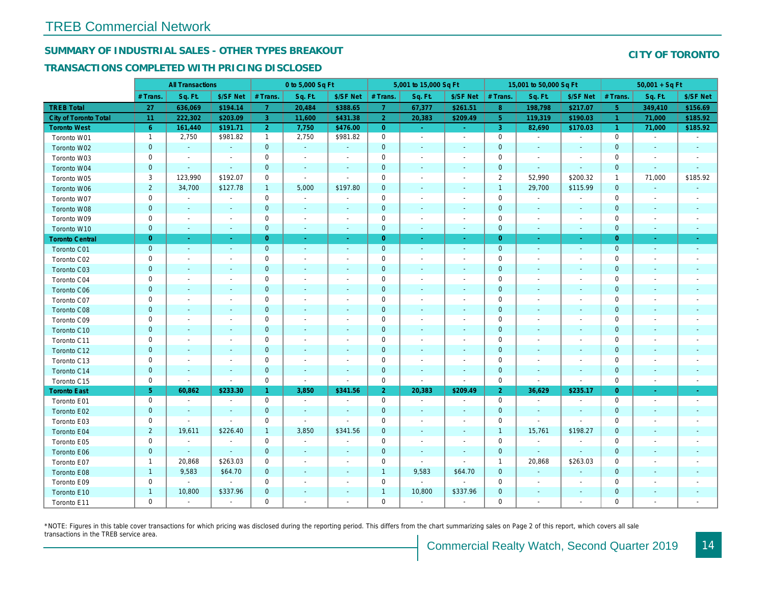# SUMMARY OF INDUSTRIAL SALES - OTHER TYPES BREAKOUT

## TRANSACTIONS COMPLETED WITH PRICING DISCLOSED

|                        | <b>All Transactions</b> |                          |                          | 0 to 5,000 Sq Ft |                          |                          | 5,001 to 15,000 Sq Ft |                          | 15,001 to 50,000 Sq Ft   |                |                          |                          |
|------------------------|-------------------------|--------------------------|--------------------------|------------------|--------------------------|--------------------------|-----------------------|--------------------------|--------------------------|----------------|--------------------------|--------------------------|
|                        | # Trans.                | Sq. Ft.                  | \$/SF Net                | # Trans.         | Sq. Ft.                  | \$/SF Net                | # Trans.              | Sq. Ft.                  | \$/SF Net                | # Trans.       | Sq. Ft.                  | \$/SF Ne                 |
| <b>TREB Total</b>      | 27                      | 636,069                  | \$194.14                 | $\mathbf{7}$     | 20,484                   | \$388.65                 | $\mathbf{7}$          | 67,377                   | \$261.51                 | 8 <sup>°</sup> | 198,798                  | \$217.07                 |
| City of Toronto Total  | 11                      | 222,302                  | \$203.09                 | 3                | 11,600                   | \$431.38                 | $\overline{2}$        | 20,383                   | \$209.49                 | 5 <sup>5</sup> | 119,319                  | \$190.03                 |
| <b>Toronto West</b>    | $6^{\circ}$             | 161,440                  | \$191.71                 | $\overline{2}$   | 7,750                    | \$476.00                 | $\overline{0}$        | $\bullet$ .              | $\bullet$ .              | $\mathbf{3}$   | 82,690                   | \$170.03                 |
| Toronto W01            | $\overline{1}$          | 2,750                    | \$981.82                 | $\mathbf{1}$     | 2,750                    | \$981.82                 | $\mathbf 0$           | $\blacksquare$           | $\blacksquare$           | $\mathbf 0$    | $\sim$                   | $\blacksquare$           |
| Toronto W02            | $\mathbf{0}$            | $\sim$                   | $\blacksquare$           | $\mathbf 0$      | $\sim$                   | $\blacksquare$           | $\mathbf 0$           | $\blacksquare$           | $\blacksquare$           | $\mathbf{0}$   | $\blacksquare$           | $\sim$                   |
| Toronto W03            | 0                       | $\overline{\phantom{a}}$ | $\overline{\phantom{a}}$ | $\mathbf 0$      | $\sim$                   | $\blacksquare$           | $\mathbf 0$           | $\overline{a}$           | $\blacksquare$           | $\mathbf 0$    | $\blacksquare$           | $\blacksquare$           |
| Toronto W04            | $\mathbf 0$             | $\bullet$                | $\sim$                   | $\mathbf 0$      | $\blacksquare$           | $\blacksquare$           | $\mathbf 0$           | $\blacksquare$           | $\blacksquare$           | $\mathbf{0}$   | $\blacksquare$           | $\blacksquare$           |
| Toronto W05            | 3                       | 123,990                  | \$192.07                 | $\mathbf 0$      | $\sim$                   | $\overline{\phantom{a}}$ | $\mathbf 0$           | $\overline{\phantom{a}}$ | $\overline{a}$           | $\overline{2}$ | 52,990                   | \$200.32                 |
| Toronto W06            | $\overline{2}$          | 34,700                   | \$127.78                 | $\mathbf{1}$     | 5,000                    | \$197.80                 | $\mathbf 0$           | $\blacksquare$           | $\blacksquare$           | $\overline{1}$ | 29,700                   | \$115.99                 |
| Toronto W07            | 0                       | $\blacksquare$           | $\blacksquare$           | $\mathbf 0$      | $\blacksquare$           | $\blacksquare$           | $\mathsf{O}\xspace$   | $\overline{a}$           | $\blacksquare$           | $\mathbf 0$    | $\sim$                   | $\sim$                   |
| Toronto W08            | $\mathbf 0$             | $\blacksquare$           | $\blacksquare$           | $\mathbf 0$      | $\blacksquare$           | $\blacksquare$           | $\mathbf 0$           | $\blacksquare$           | $\blacksquare$           | $\mathbf{0}$   | $\blacksquare$           | $\blacksquare$           |
| Toronto W09            | 0                       | $\overline{\phantom{a}}$ | $\overline{\phantom{a}}$ | $\mathbf 0$      | $\blacksquare$           | $\overline{\phantom{a}}$ | $\mathbf 0$           | $\ddot{\phantom{0}}$     | $\overline{a}$           | $\mathbf 0$    | $\blacksquare$           | $\blacksquare$           |
| Toronto W10            | $\mathbf 0$             | $\blacksquare$           | $\blacksquare$           | $\mathbf 0$      | $\blacksquare$           | $\blacksquare$           | $\mathbf 0$           | $\blacksquare$           | $\blacksquare$           | $\mathbf 0$    | $\blacksquare$           | $\sim$                   |
| <b>Toronto Central</b> | $\overline{0}$          | $\sim$                   |                          | $\overline{0}$   | ×.                       | $\blacksquare$           | $\overline{0}$        | $\blacksquare$           | ×.                       | $\overline{0}$ | $\sim$                   | $\sim$                   |
| Toronto C01            | $\mathbf{0}$            | $\sim$                   | $\sim$                   | $\mathbf 0$      | $\omega$                 | $\sim$                   | $\mathbf 0$           | $\sim$                   | $\sim$                   | $\mathbf 0$    | $\sim$                   | $\sim$                   |
| Toronto C02            | 0                       | $\blacksquare$           | $\overline{\phantom{a}}$ | $\mathsf 0$      | $\sim$                   | $\blacksquare$           | $\mathbf 0$           | $\overline{\phantom{a}}$ | $\blacksquare$           | $\mathbf 0$    | $\blacksquare$           | $\blacksquare$           |
| Toronto C03            | $\mathbf 0$             | $\blacksquare$           | $\sim$                   | $\mathbf 0$      | $\blacksquare$           | $\blacksquare$           | $\pmb{0}$             | $\blacksquare$           | $\blacksquare$           | $\mathbf 0$    | $\blacksquare$           | $\blacksquare$           |
| Toronto C04            | 0                       | $\overline{\phantom{a}}$ | $\overline{\phantom{a}}$ | $\mathbf 0$      | $\blacksquare$           | $\overline{\phantom{a}}$ | $\mathbf 0$           | $\overline{\phantom{a}}$ | $\overline{a}$           | 0              | $\overline{\phantom{a}}$ | $\blacksquare$           |
| Toronto C06            | $\mathbf{0}$            | $\sim$                   | $\overline{\phantom{a}}$ | $\mathbf 0$      | $\blacksquare$           | $\overline{\phantom{a}}$ | $\mathbf 0$           | $\blacksquare$           | $\blacksquare$           | $\mathbf 0$    | $\blacksquare$           | $\sim$                   |
| Toronto C07            | 0                       | $\overline{\phantom{a}}$ | $\overline{\phantom{a}}$ | $\mathsf 0$      | $\blacksquare$           | $\overline{\phantom{a}}$ | $\mathsf 0$           | $\blacksquare$           | $\blacksquare$           | $\mathbf 0$    | $\blacksquare$           | $\overline{\phantom{a}}$ |
| Toronto C08            | $\mathbf 0$             | $\sim$                   | $\sim$                   | $\mathbf{0}$     | $\blacksquare$           | $\blacksquare$           | $\mathbf 0$           | $\blacksquare$           | $\blacksquare$           | $\mathbf 0$    | $\sim$                   | $\sim$                   |
| Toronto C09            | 0                       | $\overline{\phantom{a}}$ | $\overline{\phantom{a}}$ | $\mathbf 0$      | $\sim$                   | $\blacksquare$           | $\mathbf 0$           | $\overline{\phantom{a}}$ | $\blacksquare$           | 0              | $\sim$                   | $\blacksquare$           |
| Toronto C10            | $\mathbf 0$             | $\sim$                   | $\sim$                   | $\mathbf 0$      | $\sim$                   | $\sim$                   | $\mathbf 0$           | $\blacksquare$           | $\blacksquare$           | $\mathbf 0$    | $\blacksquare$           | $\blacksquare$           |
| Toronto C11            | 0                       | $\overline{\phantom{a}}$ | $\overline{\phantom{a}}$ | $\mathbf 0$      | $\overline{\phantom{a}}$ | $\overline{\phantom{a}}$ | $\mathbf 0$           | $\blacksquare$           | $\overline{a}$           | 0              | $\overline{\phantom{a}}$ | $\overline{\phantom{a}}$ |
| Toronto C12            | $\mathbf{0}$            | $\sim$                   | $\sim$                   | $\mathbf{0}$     | $\sim$                   | $\sim$                   | $\mathbf{0}$          | $\blacksquare$           | $\blacksquare$           | $\mathbf{0}$   | $\sim$                   | $\blacksquare$           |
| Toronto C13            | 0                       | $\overline{\phantom{a}}$ | $\overline{\phantom{a}}$ | $\mathbf 0$      | $\sim$                   | $\blacksquare$           | $\mathbf 0$           | $\blacksquare$           | $\blacksquare$           | $\mathbf 0$    | $\blacksquare$           | $\blacksquare$           |
| Toronto C14            | $\mathbf 0$             | $\sim$                   | $\sim$                   | $\mathbf 0$      | $\sim$                   | $\sim$                   | $\mathbf 0$           | $\blacksquare$           | $\sim$                   | $\mathbf{0}$   | $\sim$                   | $\sim$                   |
| Toronto C15            | 0                       | $\sim$                   | $\blacksquare$           | $\mathsf 0$      | $\blacksquare$           | $\blacksquare$           | $\mathbf 0$           | $\overline{\phantom{a}}$ | $\blacksquare$           | $\mathbf 0$    | $\overline{\phantom{a}}$ | $\blacksquare$           |
| <b>Toronto East</b>    | 5 <sub>5</sub>          | 60,862                   | \$233.30                 | $\mathbf{1}$     | 3,850                    | \$341.56                 | 2 <sup>1</sup>        | 20,383                   | \$209.49                 | $\overline{2}$ | 36,629                   | \$235.1                  |
| Toronto E01            | 0                       | $\sim$                   | $\overline{\phantom{a}}$ | $\mathbf 0$      | $\sim$                   | $\overline{\phantom{a}}$ | $\mathbf 0$           | $\sim$                   | $\blacksquare$           | $\mathbf 0$    | $\blacksquare$           | $\sim$                   |
| Toronto E02            | $\mathbf{0}$            | $\sim$                   | $\sim$                   | $\mathbf 0$      | $\sim$                   | $\blacksquare$           | $\mathbf 0$           | $\blacksquare$           | ä,                       | $\mathbf 0$    | $\omega$                 | $\sim$                   |
| Toronto E03            | 0                       | $\blacksquare$           | $\sim$                   | $\mathbf 0$      | $\blacksquare$           | $\overline{\phantom{a}}$ | $\mathbf 0$           | $\blacksquare$           | $\blacksquare$           | $\mathbf 0$    | $\omega$                 | $\blacksquare$           |
| Toronto E04            | $\overline{2}$          | 19,611                   | \$226.40                 | $\mathbf{1}$     | 3,850                    | \$341.56                 | $\mathbf 0$           | $\blacksquare$           | $\blacksquare$           | $\overline{1}$ | 15,761                   | \$198.27                 |
| Toronto E05            | 0                       | $\blacksquare$           | $\blacksquare$           | $\mathbf 0$      | $\blacksquare$           | $\blacksquare$           | $\mathbf 0$           | $\overline{\phantom{a}}$ | $\blacksquare$           | $\mathbf 0$    | $\blacksquare$           | $\blacksquare$           |
| Toronto E06            | $\mathbf{0}$            | $\blacksquare$           | $\sim$                   | $\mathbf{0}$     | $\blacksquare$           |                          | $\mathbf 0$           | $\overline{\phantom{a}}$ | $\overline{\phantom{a}}$ | $\mathbf 0$    | $\blacksquare$           | $\blacksquare$           |
| Toronto E07            | $\mathbf{1}$            | 20,868                   | \$263.03                 | 0                | $\sim$                   | $\blacksquare$           | $\mathsf 0$           | $\blacksquare$           | $\blacksquare$           | $\mathbf{1}$   | 20,868                   | \$263.03                 |
| Toronto E08            | $\mathbf{1}$            | 9,583                    | \$64.70                  | $\mathbf 0$      | $\sim$                   | $\blacksquare$           | $\mathbf{1}$          | 9,583                    | \$64.70                  | $\mathbf 0$    | $\blacksquare$           | $\blacksquare$           |
| Toronto E09            | 0                       | $\sim$                   | $\sim$                   | 0                | $\blacksquare$           | $\blacksquare$           | $\mathbf 0$           | $\sim$                   | $\sim$                   | $\mathbf 0$    | $\blacksquare$           | $\blacksquare$           |
| Toronto E10            | $\mathbf{1}$            | 10,800                   | \$337.96                 | $\mathbf 0$      | $\blacksquare$           | $\blacksquare$           | $\mathbf{1}$          | 10,800                   | \$337.96                 | $\mathbf 0$    | $\overline{\phantom{a}}$ | ٠                        |
| Toronto E11            | 0                       | $\blacksquare$           | $\overline{\phantom{a}}$ | $\mathbf 0$      | $\blacksquare$           | $\blacksquare$           | $\mathsf 0$           | $\blacksquare$           | $\blacksquare$           | $\mathbf 0$    | $\blacksquare$           | $\sim$                   |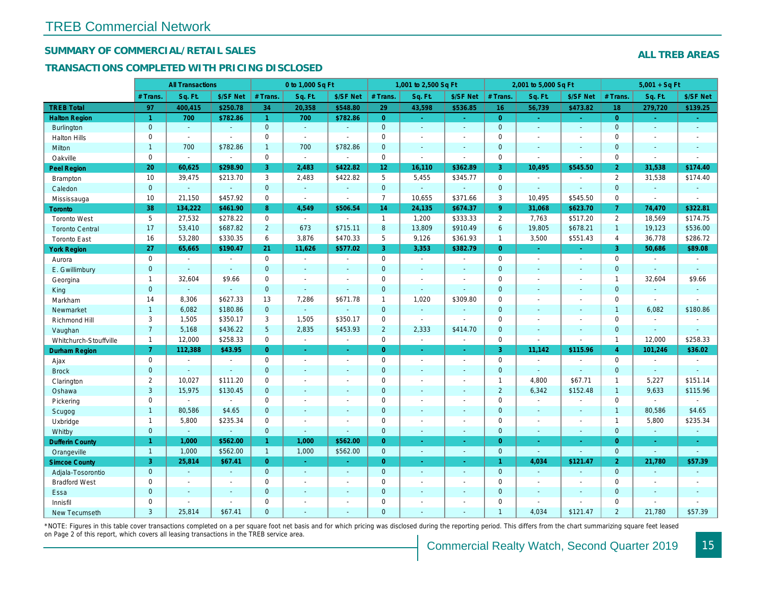## SUMMARY OF COMMERCIAL/RETAIL SALES

#### TRANSACTIONS COMPLETED WITH PRICING DISCLOSED

|                        |                | <b>All Transactions</b> |                |                | 0 to 1,000 Sq Ft |                          |                     | 1,001 to 2,500 Sq Ft |                     | 2,001 to 5,000 Sq Ft<br>Sq. Ft.<br># Trans. |                |                  |
|------------------------|----------------|-------------------------|----------------|----------------|------------------|--------------------------|---------------------|----------------------|---------------------|---------------------------------------------|----------------|------------------|
|                        | # Trans.       | Sq. Ft.                 | \$/SF Net      | # Trans.       | Sq. Ft.          | \$/SF Net                | # Trans.            | Sq. Ft.              | \$/SF Net           |                                             |                | \$/SF Ne         |
| <b>TREB Total</b>      | 97             | 400,415                 | \$250.78       | 34             | 20,358           | \$548.80                 | 29                  | 43,598               | \$536.85            | 16                                          | 56,739         | \$473.82         |
| <b>Halton Region</b>   | $\mathbf{1}$   | 700                     | \$782.86       | $\mathbf{1}$   | 700              | \$782.86                 | $\overline{0}$      | $\omega_{\rm c}$     | $\omega_{\rm{eff}}$ | $\overline{0}$                              | $\blacksquare$ | $\omega_{\rm c}$ |
| <b>Burlington</b>      | $\mathbf{0}$   | $\omega$                | $\omega$       | $\mathbf{0}$   | $\omega$         | $\blacksquare$           | $\mathbf{0}$        | $\blacksquare$       | $\sim$              | $\mathbf{0}$                                | $\blacksquare$ | $\blacksquare$   |
| <b>Halton Hills</b>    | 0              | $\sim$                  | $\sim$         | $\mathbf 0$    | $\mathbf{r}$     |                          | $\mathbf 0$         | $\blacksquare$       | $\blacksquare$      | $\mathbf 0$                                 | $\sim$         | $\mathbf{r}$     |
| Milton                 | $\mathbf{1}$   | 700                     | \$782.86       | $\mathbf{1}$   | 700              | \$782.86                 | $\mathbf 0$         | $\blacksquare$       | $\blacksquare$      | $\mathbf{0}$                                | $\blacksquare$ | $\blacksquare$   |
| Oakville               | $\mathbf 0$    | $\blacksquare$          | $\blacksquare$ | $\mathbf 0$    | $\omega$         | $\sim$                   | $\mathbf 0$         | $\blacksquare$       | $\blacksquare$      | $\mathbf 0$                                 | $\blacksquare$ | $\blacksquare$   |
| <b>Peel Region</b>     | 20             | 60,625                  | \$298.90       | 3              | 2,483            | \$422.82                 | 12 <sub>2</sub>     | 16,110               | \$362.89            | 3                                           | 10,495         | \$545.50         |
| <b>Brampton</b>        | 10             | 39,475                  | \$213.70       | 3              | 2,483            | \$422.82                 | 5                   | 5,455                | \$345.77            | $\mathbf 0$                                 | $\blacksquare$ | $\blacksquare$   |
| Caledon                | $\mathbf{0}$   | $\omega$                | $\sim$         | $\mathbf 0$    | $\omega$         | $\blacksquare$           | $\mathbf{0}$        | $\omega_{\rm c}$     | $\omega$            | $\mathbf 0$                                 | $\sim$         | $\blacksquare$   |
| Mississauga            | 10             | 21,150                  | \$457.92       | $\mathbf 0$    | $\mathbf{r}$     | $\blacksquare$           | $\overline{7}$      | 10,655               | \$371.66            | 3                                           | 10,495         | \$545.50         |
| <b>Toronto</b>         | 38             | 134,222                 | \$461.90       | 8              | 4,549            | \$506.54                 | 14                  | 24,135               | \$674.37            | $9^{\circ}$                                 | 31,068         | \$623.70         |
| <b>Toronto West</b>    | 5              | 27,532                  | \$278.22       | $\mathbf 0$    | $\sim$           | $\sim$                   | $\mathbf{1}$        | 1,200                | \$333.33            | 2                                           | 7,763          | \$517.20         |
| <b>Toronto Central</b> | 17             | 53,410                  | \$687.82       | $2^{\circ}$    | 673              | \$715.11                 | $\boldsymbol{8}$    | 13,809               | \$910.49            | 6                                           | 19,805         | \$678.2'         |
| <b>Toronto East</b>    | 16             | 53,280                  | \$330.35       | 6              | 3,876            | \$470.33                 | 5                   | 9,126                | \$361.93            | $\mathbf{1}$                                | 3,500          | \$551.43         |
| <b>York Region</b>     | 27             | 65,665                  | \$190.47       | 21             | 11,626           | \$577.02                 | 3                   | 3,353                | \$382.79            | $\overline{0}$                              | $\omega$       | $\blacksquare$   |
| Aurora                 | $\mathbf 0$    | $\blacksquare$          | $\sim$         | $\mathbf 0$    | $\sim$           | $\blacksquare$           | $\mathsf{O}$        | $\sim$               | $\sim$              | $\mathbf 0$                                 | $\blacksquare$ | $\sim$           |
| E. Gwillimbury         | $\mathbf{0}$   | $\sim$                  | $\sim$         | $\mathbf{0}$   | ÷.               | $\blacksquare$           | $\mathbf{0}$        | $\blacksquare$       | $\blacksquare$      | $\mathbf{0}$                                | $\omega$       | $\blacksquare$   |
| Georgina               | $\mathbf{1}$   | 32,604                  | \$9.66         | 0              | $\blacksquare$   | $\blacksquare$           | $\mathsf{O}\xspace$ | $\blacksquare$       | $\blacksquare$      | $\mathbf 0$                                 | $\blacksquare$ | $\blacksquare$   |
| King                   | $\mathbf{0}$   | $\sim$                  | $\sim$         | $\mathbf 0$    | $\mathbf{r}$     | $\overline{\phantom{a}}$ | $\mathbf 0$         | $\blacksquare$       | $\blacksquare$      | $\mathbf{0}$                                | $\sim$         | $\blacksquare$   |
| Markham                | 14             | 8,306                   | \$627.33       | 13             | 7,286            | \$671.78                 | $\mathbf{1}$        | 1,020                | \$309.80            | $\mathbf 0$                                 | $\blacksquare$ | $\blacksquare$   |
| Newmarket              | $\mathbf{1}$   | 6,082                   | \$180.86       | $\overline{0}$ | $\Delta$         | $\overline{\phantom{a}}$ | $\mathbf{0}$        | $\omega$             | ä,                  | $\mathbf{0}$                                | ÷.             | $\blacksquare$   |
| Richmond Hill          | 3              | 1,505                   | \$350.17       | 3              | 1,505            | \$350.17                 | $\mathbf 0$         | $\blacksquare$       | $\blacksquare$      | 0                                           | $\blacksquare$ | $\blacksquare$   |
| Vaughan                | $\overline{7}$ | 5,168                   | \$436.22       | 5              | 2,835            | \$453.93                 | $\overline{2}$      | 2,333                | \$414.70            | $\mathbf{0}$                                | $\omega$       | $\sim$           |
| Whitchurch-Stouffville | $\overline{1}$ | 12,000                  | \$258.33       | $\mathbf 0$    | $\blacksquare$   | $\blacksquare$           | $\mathsf 0$         | $\blacksquare$       | $\blacksquare$      | $\mathbf 0$                                 | $\blacksquare$ | $\blacksquare$   |
| <b>Durham Region</b>   | $\mathbf{7}$   | 112,388                 | \$43.95        | $\overline{0}$ | $\sim$           | $\frac{1}{\sqrt{2}}$     | $\overline{0}$      | ÷                    | ÷                   | 3                                           | 11,142         | \$115.96         |
| Ajax                   | 0              | $\sim$                  | $\blacksquare$ | $\mathbf 0$    | $\blacksquare$   | $\blacksquare$           | $\mathbf 0$         | $\blacksquare$       | $\blacksquare$      | $\mathbf 0$                                 | $\blacksquare$ | $\blacksquare$   |
| <b>Brock</b>           | $\mathbf{0}$   | $\mathbf{r}$            | $\mathbf{r}$   | $\overline{0}$ | $\blacksquare$   | $\blacksquare$           | $\mathbf{0}$        | $\blacksquare$       | $\blacksquare$      | $\mathbf{0}$                                | $\omega$       | $\omega$         |
| Clarington             | $\overline{2}$ | 10,027                  | \$111.20       | 0              | $\blacksquare$   | $\blacksquare$           | $\mathsf{O}\xspace$ | ÷,                   | ÷,                  | $\mathbf{1}$                                | 4,800          | \$67.71          |
| Oshawa                 | 3              | 15,975                  | \$130.45       | $\mathbf{0}$   | $\blacksquare$   | ٠                        | $\mathbf{0}$        | ٠                    | $\blacksquare$      | $\overline{2}$                              | 6,342          | \$152.48         |
| Pickering              | 0              | $\sim$                  | $\sim$         | 0              | $\sim$           | $\blacksquare$           | $\mathbf 0$         | $\blacksquare$       | $\blacksquare$      | $\mathbf 0$                                 | $\blacksquare$ | $\blacksquare$   |
| Scugog                 | $\mathbf{1}$   | 80,586                  | \$4.65         | $\mathbf{0}$   | $\omega$         | $\blacksquare$           | $\mathbf{0}$        | $\omega$             | $\omega$            | $\mathbf{0}$                                | $\omega$       | $\blacksquare$   |
| Uxbridge               | $\mathbf{1}$   | 5,800                   | \$235.34       | 0              | $\blacksquare$   |                          | 0                   | $\overline{a}$       | $\overline{a}$      | $\mathbf 0$                                 | $\blacksquare$ | $\blacksquare$   |
| Whitby                 | $\mathbf{0}$   | $\blacksquare$          | $\omega$       | $\mathbf 0$    | $\sim$           | $\blacksquare$           | $\mathbf{0}$        | $\blacksquare$       | $\sim$              | $\mathbf{0}$                                | $\blacksquare$ | $\sim$           |
| <b>Dufferin County</b> | $\mathbf{1}$   | 1,000                   | \$562.00       | $\mathbf{1}$   | 1,000            | \$562.00                 | $\overline{0}$      | ÷.                   | $\sim$              | $\overline{0}$                              | ÷.             | $\sim$           |
| Orangeville            | $\overline{1}$ | 1,000                   | \$562.00       | $\mathbf{1}$   | 1,000            | \$562.00                 | $\overline{0}$      | $\omega$             | $\omega_{\rm c}$    | $\mathbf{0}$                                | $\omega$       | $\omega$         |
| <b>Simcoe County</b>   | 3              | 25,814                  | \$67.41        | $\overline{0}$ | $\omega$         | $\sim$                   | $\overline{0}$      | ä,                   | $\omega_{\rm c}$    | $\mathbf{1}$                                | 4,034          | \$121.4          |
| Adjala-Tosorontio      | $\mathbf{0}$   | $\sim$                  | $\sim$         | $\overline{0}$ | $\omega$         | $\sim$                   | $\mathbf{0}$        | $\blacksquare$       | $\blacksquare$      | $\mathbf{0}$                                | $\omega$       | $\sim$           |
| <b>Bradford West</b>   | 0              | $\blacksquare$          | $\blacksquare$ | 0              | $\sim$           | $\sim$                   | $\mathsf{O}\xspace$ | $\blacksquare$       | $\blacksquare$      | $\mathbf 0$                                 | $\blacksquare$ | $\blacksquare$   |
| Essa                   | $\mathbf 0$    | $\sim$                  | $\sim$         | $\mathbf 0$    | $\blacksquare$   | $\blacksquare$           | $\mathbf 0$         | ä,                   | ä,                  | $\mathbf 0$                                 | $\omega$       | $\blacksquare$   |
| Innisfil               | 0              | $\sim$                  | $\sim$         | 0              | $\blacksquare$   | $\blacksquare$           | $\mathbf 0$         | $\blacksquare$       | $\blacksquare$      | $\mathbf 0$                                 | $\blacksquare$ | $\blacksquare$   |
| <b>New Tecumseth</b>   | 3              | 25.814                  | \$67.41        | $\Omega$       |                  |                          | $\mathbf{0}$        |                      |                     | $\overline{1}$                              | 4.034          | \$121.47         |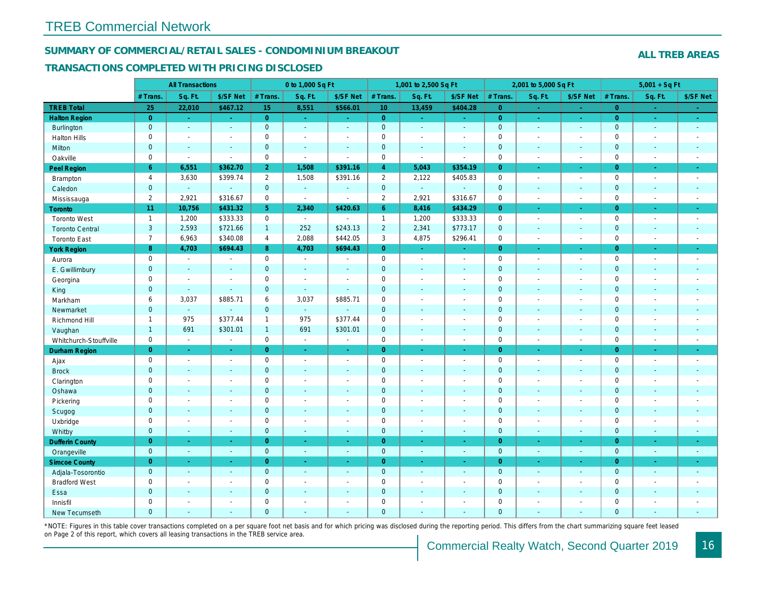#### SUMMARY OF COMMERCIAL/RETAIL SALES - CONDOMINIUM BREAKOUT

#### TRANSACTIONS COMPLETED WITH PRICING DISCLOSED

|                        |                | <b>All Transactions</b> |                |                | 0 to 1,000 Sq Ft |                          |                | 1,001 to 2,500 Sq Ft     |                          |                | 2,001 to 5,000 Sq Ft |                     |
|------------------------|----------------|-------------------------|----------------|----------------|------------------|--------------------------|----------------|--------------------------|--------------------------|----------------|----------------------|---------------------|
|                        | # Trans.       | Sq. Ft.                 | \$/SF Net      | # Trans.       | Sq. Ft.          | \$/SF Net                | # Trans.       | Sq. Ft.                  | \$/SF Net                | # Trans.       | Sq. Ft.              | \$/SF Ne            |
| <b>TREB Total</b>      | 25             | 22,010                  | \$467.12       | 15             | 8,551            | \$566.01                 | 10             | 13,459                   | \$404.28                 | $\overline{0}$ | $\sim$               | $\sim$              |
| <b>Halton Region</b>   | $\overline{0}$ | $\sim$                  | $\sim$         | $\overline{0}$ | $\sim$           | $\sim$                   | $\overline{0}$ | $\frac{1}{\sqrt{2}}$     | $\omega_{\rm{eff}}$      | $\overline{0}$ | $\bullet$            | $\sigma_{\rm{eff}}$ |
| Burlington             | $\mathbf{0}$   | $\sim$                  | $\blacksquare$ | $\mathbf 0$    | $\sim$           | $\blacksquare$           | $\mathbf{0}$   | $\bullet$                | $\blacksquare$           | $\mathbf 0$    | $\blacksquare$       | $\sim$              |
| <b>Halton Hills</b>    | $\mathbf 0$    | $\sim$                  | $\blacksquare$ | $\mathbf 0$    | $\sim$           | $\sim$                   | $\mathbf 0$    | $\blacksquare$           | $\blacksquare$           | $\mathbf 0$    | $\overline{a}$       | $\sim$              |
| Milton                 | $\mathbf{0}$   | $\sim$                  | $\omega$       | $\mathbf{0}$   | $\sim$           | $\sim$                   | $\mathbf 0$    | $\omega$                 | $\mathbf{r}$             | $\mathbf 0$    | $\omega$             | $\sim$              |
| Oakville               | $\mathbf 0$    | $\blacksquare$          | $\sim$         | $\mathbf 0$    | $\blacksquare$   | $\sim$                   | 0              | $\blacksquare$           | $\sim$                   | $\mathbf 0$    | $\sim$               | $\blacksquare$      |
| Peel Region            | 6              | 6,551                   | \$362.70       | $\overline{2}$ | 1,508            | \$391.16                 | $\overline{4}$ | 5,043                    | \$354.19                 | $\overline{0}$ | ÷.                   | $\sim$              |
| Brampton               | $\overline{4}$ | 3,630                   | \$399.74       | $\overline{2}$ | 1,508            | \$391.16                 | $\overline{2}$ | 2,122                    | \$405.83                 | $\mathbf 0$    | $\blacksquare$       | $\sim$              |
| Caledon                | $\mathbf 0$    | $\omega$                | $\omega$       | $\mathbf 0$    | $\omega$         | $\blacksquare$           | $\mathbf 0$    | $\omega$                 | $\omega$                 | $\mathbf 0$    | $\omega$             | $\sim$              |
| Mississauga            | $\overline{2}$ | 2,921                   | \$316.67       | $\mathbf 0$    | $\bullet$        | $\sim$                   | $\overline{2}$ | 2,921                    | \$316.67                 | $\mathbf 0$    | $\blacksquare$       | $\sim$              |
| <b>Toronto</b>         | 11             | 10,756                  | \$431.32       | 5 <sup>5</sup> | 2,340            | \$420.63                 | 6 <sup>°</sup> | 8,416                    | \$434.29                 | $\overline{0}$ | ÷.                   | ÷                   |
| <b>Toronto West</b>    | $\overline{1}$ | 1,200                   | \$333.33       | $\Omega$       | $\sim$           | $\overline{a}$           | $\mathbf{1}$   | 1,200                    | \$333.33                 | $\mathbf 0$    | $\blacksquare$       | $\sim$              |
| <b>Toronto Central</b> | $\mathbf{3}$   | 2,593                   | \$721.66       | $\mathbf{1}$   | 252              | \$243.13                 | $\overline{2}$ | 2,341                    | \$773.17                 | $\mathbf 0$    | $\blacksquare$       | $\bullet$           |
| <b>Toronto East</b>    | $\overline{7}$ | 6,963                   | \$340.08       | $\overline{4}$ | 2,088            | \$442.05                 | 3              | 4,875                    | \$296.41                 | $\mathbf 0$    | $\blacksquare$       | $\sim$              |
| <b>York Region</b>     | 8              | 4,703                   | \$694.43       | 8              | 4,703            | \$694.43                 | $\overline{0}$ | $\omega$                 | ÷.                       | $\overline{0}$ | ÷.                   | $\sim$              |
| Aurora                 | $\mathbf 0$    | $\blacksquare$          | $\blacksquare$ | 0              | $\bullet$        | $\sim$                   | 0              | $\sim$                   | $\blacksquare$           | $\mathbf 0$    | $\blacksquare$       | $\sim$              |
| E. Gwillimbury         | $\mathbf{0}$   | $\sim$                  | $\sim$         | $\mathbf{0}$   | $\sim$           | $\sim$                   | $\pmb{0}$      | $\blacksquare$           | $\blacksquare$           | $\mathbf{0}$   | $\blacksquare$       | $\sim$              |
| Georgina               | $\mathbf 0$    | $\blacksquare$          | $\blacksquare$ | $\mathbf 0$    | $\sim$           | $\overline{\phantom{a}}$ | $\pmb{0}$      | $\blacksquare$           | $\sim$                   | $\mathbf 0$    | $\blacksquare$       | $\blacksquare$      |
| King                   | $\mathbf{0}$   | $\sim$                  | $\sim$         | $\mathbf{0}$   | $\Delta$         | $\sim$                   | $\mathbf 0$    | $\sim$                   | $\blacksquare$           | $\mathbf{0}$   | $\blacksquare$       | $\sim$              |
| Markham                | 6              | 3,037                   | \$885.71       | 6              | 3,037            | \$885.71                 | $\pmb{0}$      | $\overline{\phantom{a}}$ | $\overline{\phantom{a}}$ | $\mathsf 0$    | $\blacksquare$       | $\blacksquare$      |
| Newmarket              | $\overline{0}$ | $\omega$                | $\omega$       | $\mathbf{0}$   | $\omega$         |                          | $\mathbf 0$    | ä,                       | $\blacksquare$           | $\mathbf{0}$   | $\blacksquare$       | $\sim$              |
| Richmond Hill          | $\mathbf{1}$   | 975                     | \$377.44       | $\mathbf{1}$   | 975              | \$377.44                 | $\pmb{0}$      | $\sim$                   | $\blacksquare$           | $\mathbf 0$    | $\sim$               | $\blacksquare$      |
| Vaughan                | $\mathbf{1}$   | 691                     | \$301.01       | $\mathbf{1}$   | 691              | \$301.01                 | $\mathbf 0$    | $\Delta$                 | $\mathbf{r}$             | $\mathbf{0}$   | $\mathbf{r}$         | $\sim$              |
| Whitchurch-Stouffville | $\mathbf 0$    | $\blacksquare$          | $\blacksquare$ | 0              | $\bullet$        | $\blacksquare$           | $\pmb{0}$      | $\blacksquare$           | $\sim$                   | $\mathbf 0$    | $\blacksquare$       | $\sim$              |
| Durham Region          | $\overline{0}$ | $\sim$                  | $\sim$         | $\overline{0}$ | $\sim$           | $\sim$                   | $\overline{0}$ | $\blacksquare$           | $\omega$                 | $\overline{0}$ | ٠                    | $\sigma_{\rm c}$    |
| Ajax                   | $\mathbf 0$    | $\blacksquare$          | $\omega$       | $\mathbf 0$    | $\sim$           | $\sim$                   | $\pmb{0}$      | $\blacksquare$           | $\blacksquare$           | $\mathbf 0$    | $\overline{a}$       | $\sim$              |
| <b>Brock</b>           | $\mathbf{0}$   | $\omega$                | $\omega$       | $\mathbf 0$    | $\omega$         | $\blacksquare$           | $\pmb{0}$      | $\omega$                 | $\omega$                 | $\mathbf 0$    | $\omega$             | $\omega$            |
| Clarington             | $\mathbf 0$    | $\blacksquare$          | $\blacksquare$ | $\mathbf 0$    | $\sim$           | $\blacksquare$           | $\pmb{0}$      | $\blacksquare$           | $\blacksquare$           | $\mathbf 0$    | ÷,                   | $\blacksquare$      |
| Oshawa                 | $\mathbf{0}$   | $\blacksquare$          | $\blacksquare$ | $\mathbf{0}$   | $\sim$           | $\blacksquare$           | $\mathbf 0$    | $\blacksquare$           | $\blacksquare$           | $\mathbf{0}$   | $\blacksquare$       | $\blacksquare$      |
| Pickering              | $\mathbf 0$    | $\sim$                  | $\sim$         | $\mathbf 0$    | $\overline{a}$   | $\sim$                   | $\mathbf 0$    | $\blacksquare$           | $\blacksquare$           | $\mathbf 0$    | $\blacksquare$       | $\blacksquare$      |
| Scugog                 | $\mathbf{0}$   | $\blacksquare$          | $\blacksquare$ | $\mathbf{0}$   | $\sim$           | $\blacksquare$           | $\pmb{0}$      | $\blacksquare$           | $\blacksquare$           | $\mathbf 0$    | $\blacksquare$       | $\blacksquare$      |
| Uxbridge               | $\mathbf 0$    | $\sim$                  | $\sim$         | $\mathbf 0$    | $\sim$           | $\sim$                   | $\mathbf 0$    | $\blacksquare$           | $\blacksquare$           | $\mathbf 0$    | $\blacksquare$       | $\sim$              |
| Whitby                 | $\mathbf{0}$   | $\sim$                  | $\sim$         | $\mathbf{0}$   | $\sim$           | $\sim$                   | $\mathbf 0$    | $\blacksquare$           | $\blacksquare$           | $\mathbf{0}$   | $\blacksquare$       | $\sim$              |
| <b>Dufferin County</b> | $\overline{0}$ | $\sim$                  | $\Delta \tau$  | $\overline{0}$ | a.               | a.                       | $\overline{0}$ | $\blacksquare$           | ÷.                       | $\overline{0}$ | ÷.                   | $\sim$              |
| Orangeville            | $\mathbf 0$    | $\omega$                | $\blacksquare$ | $\mathbf{0}$   | $\omega$         | $\sim$                   | $\mathbf{0}$   | $\omega$                 | $\omega$                 | $\mathbf 0$    | $\omega$             | $\sim$              |
| <b>Simcoe County</b>   | $\overline{0}$ | $\omega$                | $\omega$       | $\overline{0}$ | $\omega$         | $\omega$                 | $\overline{0}$ | Ξ                        | ÷.                       | $\overline{0}$ | $\omega$             | $\omega_{\rm c}$    |
| Adjala-Tosorontio      | $\mathbf{0}$   | $\sim$                  | $\Delta$       | $\mathbf{0}$   | $\sim$           | $\sim$                   | $\mathbf 0$    | $\omega$                 | $\blacksquare$           | $\mathbf 0$    | $\omega$             | $\sim$              |
| <b>Bradford West</b>   | $\mathsf 0$    | $\sim$                  | $\blacksquare$ | $\mathbf 0$    | $\blacksquare$   | $\blacksquare$           | $\pmb{0}$      | $\blacksquare$           | $\blacksquare$           | $\mathbf 0$    | $\blacksquare$       | $\blacksquare$      |
| Essa                   | $\mathbf{0}$   | $\sim$                  | $\blacksquare$ | $\mathbf{0}$   |                  | $\sim$                   | $\pmb{0}$      | $\blacksquare$           | $\blacksquare$           | $\mathbf 0$    | $\blacksquare$       |                     |
| Innisfil               | $\mathbf 0$    | $\blacksquare$          | $\blacksquare$ | $\mathbf 0$    | $\sim$           | $\sim$                   | $\mathbf 0$    | $\blacksquare$           | $\blacksquare$           | $\mathbf 0$    | $\blacksquare$       | $\blacksquare$      |
| <b>New Tecumseth</b>   | $\Omega$       |                         |                | $\Omega$       |                  |                          | $\overline{0}$ |                          |                          | $\overline{0}$ |                      |                     |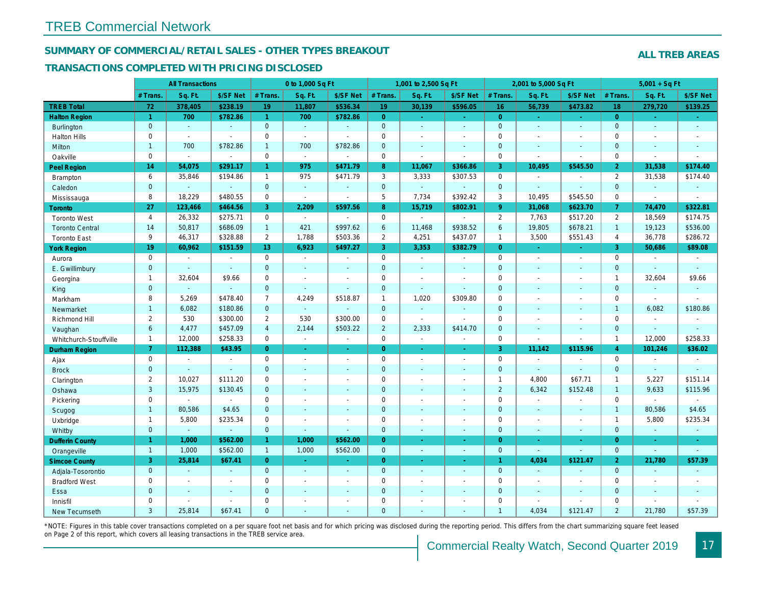#### SUMMARY OF COMMERCIAL/RETAIL SALES - OTHER TYPES BREAKOUT

#### TRANSACTIONS COMPLETED WITH PRICING DISCLOSED

|                        |                | <b>All Transactions</b> |                |                      | 0 to 1,000 Sq Ft      |                |                  | 1,001 to 2,500 Sq Ft |                       | 2,001 to 5,000 Sq Ft |                |                          |
|------------------------|----------------|-------------------------|----------------|----------------------|-----------------------|----------------|------------------|----------------------|-----------------------|----------------------|----------------|--------------------------|
|                        | # Trans        | Sq. Ft.                 | \$/SF Net      | # Trans.             | Sq. Ft.               | \$/SF Net      | # Trans.         | Sq. Ft.              | \$/SF Net             | # Trans.             | Sq. Ft.        | \$/SF Ne                 |
| <b>TREB Total</b>      | 72             | 378,405                 | \$238.19       | 19                   | 11,807                | \$536.34       | 19               | 30,139               | \$596.05              | 16                   | 56,739         | \$473.82                 |
| <b>Halton Region</b>   | 1              | 700                     | \$782.86       | $\blacktriangleleft$ | 700                   | \$782.86       | $\overline{0}$   | $\omega$             | $\omega$              | $\overline{0}$       | ÷.             | $\omega$                 |
| <b>Burlington</b>      | $\mathbf{0}$   | $\omega$                | $\omega$       | $\overline{0}$       | $\omega$              | $\Delta$       | $\mathbf{0}$     | ÷.                   | $\Delta$              | $\overline{0}$       | $\Delta$       | $\omega$                 |
| <b>Halton Hills</b>    | $\mathbf 0$    | $\omega$                | $\blacksquare$ | $\pmb{0}$            | $\mathbf{r}$          | $\blacksquare$ | $\mathbf 0$      | $\blacksquare$       | $\blacksquare$        | $\mathbf 0$          | $\blacksquare$ | $\blacksquare$           |
| Milton                 | $\mathbf{1}$   | 700                     | \$782.86       | $\mathbf{1}$         | 700                   | \$782.86       | $\mathbf{0}$     | $\blacksquare$       | $\omega$              | $\mathbf{0}$         | $\blacksquare$ | $\sim$                   |
| Oakville               | $\mathbf 0$    | $\omega$                | $\blacksquare$ | $\mathbf 0$          | $\sim$                | $\sim$         | $\mathbf 0$      | $\blacksquare$       | $\blacksquare$        | $\mathbf 0$          | $\blacksquare$ | $\blacksquare$           |
| <b>Peel Region</b>     | 14             | 54,075                  | \$291.17       | $\mathbf{1}$         | 975                   | \$471.79       | $\boldsymbol{8}$ | 11,067               | \$366.86              | 3                    | 10,495         | \$545.50                 |
| Brampton               | 6              | 35,846                  | \$194.86       | $\mathbf{1}$         | 975                   | \$471.79       | 3                | 3,333                | \$307.53              | $\mathbf 0$          | $\blacksquare$ | $\blacksquare$           |
| Caledon                | $\mathbf{0}$   | $\omega$                | $\omega$       | $\mathbf{0}$         | $\omega$              | $\blacksquare$ | $\mathbf{0}$     | $\omega$             | $\blacksquare$        | $\mathbf{0}$         | $\omega$       | $\blacksquare$           |
| Mississauga            | 8              | 18,229                  | \$480.55       | 0                    | $\blacksquare$        | $\blacksquare$ | 5                | 7,734                | \$392.42              | 3                    | 10,495         | \$545.50                 |
| <b>Toronto</b>         | 27             | 123,466                 | \$464.56       | 3                    | 2,209                 | \$597.56       | 8 <sup>°</sup>   | 15,719               | \$802.91              | $9^{\circ}$          | 31,068         | \$623.7                  |
| <b>Toronto West</b>    | $\overline{4}$ | 26,332                  | \$275.71       | $\mathbf 0$          | $\sim$                | $\sim$         | $\mathbf 0$      | $\sim$               | $\sim$                | $\overline{2}$       | 7,763          | \$517.20                 |
| <b>Toronto Central</b> | 14             | 50,817                  | \$686.09       | $\mathbf{1}$         | 421                   | \$997.62       | 6                | 11,468               | \$938.52              | 6                    | 19,805         | \$678.2'                 |
| <b>Toronto East</b>    | 9              | 46,317                  | \$328.88       | $\overline{2}$       | 1,788                 | \$503.36       | $\overline{2}$   | 4,251                | \$437.07              | $\overline{1}$       | 3,500          | \$551.43                 |
| <b>York Region</b>     | 19             | 60,962                  | \$151.59       | 13                   | 6,923                 | \$497.27       | $\overline{3}$   | 3,353                | \$382.79              | $\Omega$             | ÷.             | $\omega$                 |
| Aurora                 | $\mathbf 0$    | $\blacksquare$          | $\sim$         | $\mathbf 0$          | $\sim$                | $\sim$         | $\mathbf 0$      | $\omega$             | $\sim$                | $\mathbf 0$          | $\blacksquare$ | $\sim$                   |
| E. Gwillimbury         | $\mathbf{0}$   |                         | $\sim$         | $\overline{0}$       | $\sim$                | $\omega$       | $\mathbf{0}$     | $\omega$             | ä,                    | $\mathbf{0}$         | $\blacksquare$ | $\blacksquare$           |
| Georgina               | $\mathbf{1}$   | 32,604                  | \$9.66         | $\Omega$             | $\sim$                | $\sim$         | $\mathbf 0$      | $\blacksquare$       | $\blacksquare$        | $\Omega$             | $\blacksquare$ | $\blacksquare$           |
| King                   | $\mathbf{0}$   | $\sim$                  | $\sim$         | $\mathbf{0}$         | $\blacksquare$        | ٠              | $\mathbf 0$      | $\blacksquare$       | $\blacksquare$        | $\mathbf{0}$         | $\sim$         | $\blacksquare$           |
| Markham                | 8              | 5,269                   | \$478.40       | $\overline{7}$       | 4,249                 | \$518.87       | $\mathbf{1}$     | 1,020                | \$309.80              | $\mathbf 0$          | $\blacksquare$ | $\blacksquare$           |
| Newmarket              | $\mathbf{1}$   | 6,082                   | \$180.86       | $\mathbf{0}$         | $\omega$              | $\blacksquare$ | $\mathbf 0$      | $\blacksquare$       | $\omega$              | $\mathbf{0}$         | $\sim$         | $\sim$                   |
| Richmond Hill          | $\overline{2}$ | 530                     | \$300.00       | $\overline{2}$       | 530                   | \$300.00       | $\mathbf 0$      | $\omega$             | $\sim$                | $\mathbf 0$          | $\blacksquare$ | $\blacksquare$           |
| Vaughan                | $6\phantom{a}$ | 4,477                   | \$457.09       | $\overline{4}$       | 2,144                 | \$503.22       | $\overline{2}$   | 2,333                | \$414.70              | $\mathbf{0}$         | $\sim$         | $\sim$                   |
| Whitchurch-Stouffville | $\mathbf{1}$   | 12,000                  | \$258.33       | $\mathbf 0$          | $\blacksquare$        | $\blacksquare$ | $\mathbf 0$      | $\blacksquare$       | $\tilde{\phantom{a}}$ | $\mathbf 0$          | $\blacksquare$ | $\blacksquare$           |
| <b>Durham Region</b>   | $\mathbf{7}$   | 112,388                 | \$43.95        | $\overline{0}$       | $\omega$              | ÷.             | $\overline{0}$   | $\omega$             | $\omega$              | 3                    | 11,142         | \$115.96                 |
| Ajax                   | $\mathbf 0$    | $\sim$                  | $\sim$         | $\mathbf 0$          | $\sim$                | $\blacksquare$ | $\mathbf 0$      | $\sim$               | $\blacksquare$        | $\mathbf 0$          | $\blacksquare$ | $\sim$                   |
| <b>Brock</b>           | $\mathbf 0$    | $\omega$                | $\omega$       | $\overline{0}$       | $\mathbf{u}$          | $\blacksquare$ | $\mathbf{0}$     | $\omega$             | $\mathbf{r}$          | $\mathbf{0}$         | $\omega$       | $\omega$                 |
| Clarington             | $\overline{2}$ | 10,027                  | \$111.20       | $\mathbf 0$          | $\sim$                | $\blacksquare$ | $\mathbf 0$      | $\sim$               | $\sim$                | $\overline{1}$       | 4,800          | \$67.71                  |
| Oshawa                 | 3              | 15,975                  | \$130.45       | $\overline{0}$       | ä,                    | $\blacksquare$ | $\mathbf{0}$     | ٠                    | ä,                    | $\overline{2}$       | 6,342          | \$152.48                 |
| Pickering              | $\mathbf 0$    |                         | $\sim$         | $\mathbf 0$          | $\tilde{\phantom{a}}$ | $\blacksquare$ | $\mathsf 0$      | $\blacksquare$       | $\overline{a}$        | $\mathbf 0$          | $\sim$         | $\blacksquare$           |
| Scugog                 | $\mathbf{1}$   | 80,586                  | \$4.65         | $\overline{0}$       | $\omega$              | $\blacksquare$ | $\mathbf{0}$     | $\blacksquare$       | $\blacksquare$        | $\mathbf{0}$         | $\blacksquare$ | $\blacksquare$           |
| Uxbridge               | $\mathbf{1}$   | 5,800                   | \$235.34       | $\mathbf 0$          | $\blacksquare$        | $\blacksquare$ | $\mathbf 0$      | $\sim$               | $\sim$                | $\mathbf 0$          | $\blacksquare$ | $\blacksquare$           |
| Whitby                 | $\mathbf{0}$   | $\blacksquare$          | $\omega$       | $\mathbf 0$          | $\blacksquare$        | ٠              | $\mathbf 0$      | $\blacksquare$       | $\sim$                | $\mathbf{0}$         | $\blacksquare$ | $\blacksquare$           |
| <b>Dufferin County</b> | $\mathbf{1}$   | 1,000                   | \$562.00       | $\blacktriangleleft$ | 1,000                 | \$562.00       | $\overline{0}$   | $\sim$               | $\sim$                | $\overline{0}$       | $\sim$         | $\sim$                   |
| Orangeville            | $\mathbf{1}$   | 1,000                   | \$562.00       | $\overline{1}$       | 1,000                 | \$562.00       | $\mathbf{0}$     | $\omega$             | $\blacksquare$        | $\mathbf{0}$         | $\omega$       | $\blacksquare$           |
| <b>Simcoe County</b>   | 3              | 25,814                  | \$67.41        | $\overline{0}$       | $\sim$                | $\blacksquare$ | $\overline{0}$   | $\omega$             | $\omega$              | $\mathbf{1}$         | 4,034          | \$121.4                  |
| Adjala-Tosorontio      | $\mathbf{0}$   | $\sim$                  | $\sim$         | $\mathbf{0}$         | $\omega$              | $\blacksquare$ | $\mathbf{0}$     | $\Delta$             | $\Delta$              | $\mathbf{0}$         | $\omega$       | $\sim$                   |
| <b>Bradford West</b>   | $\mathbf 0$    | $\sim$                  | $\sim$         | $\mathbf 0$          | $\sim$                | $\blacksquare$ | $\mathbf 0$      | $\blacksquare$       | $\blacksquare$        | $\mathbf 0$          | $\blacksquare$ | $\sim$                   |
| Essa                   | $\mathbf{0}$   |                         |                | $\overline{0}$       | $\sim$                | $\blacksquare$ | $\mathbf 0$      | ٠                    | $\omega$              | $\mathbf{0}$         | $\blacksquare$ | $\overline{\phantom{a}}$ |
| Innisfil               | $\mathbf 0$    |                         | $\sim$         | $\mathbf 0$          | $\blacksquare$        | $\blacksquare$ | $\mathbf 0$      | ä,                   | $\blacksquare$        | $\mathbf 0$          | $\blacksquare$ | $\blacksquare$           |
| New Tecumseth          | 3              | 25.814                  | \$67.41        | $\Omega$             |                       |                | $\mathbf{0}$     |                      |                       | $\overline{1}$       | 4.034          | \$121.47                 |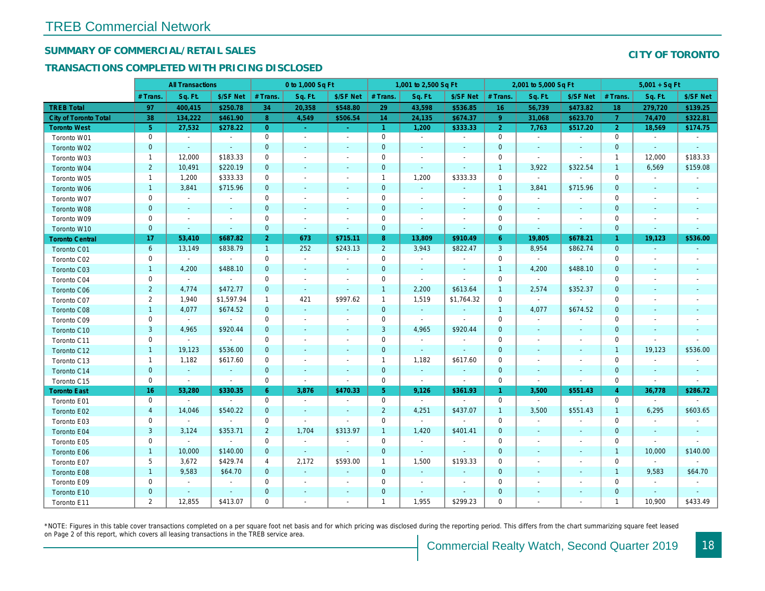## SUMMARY OF COMMERCIAL/RETAIL SALES

#### TRANSACTIONS COMPLETED WITH PRICING DISCLOSED

|                              |                | <b>All Transactions</b> |                          |                | 0 to 1,000 Sq Ft         |                          |                | 1,001 to 2,500 Sq Ft |                          | 2,001 to 5,000 Sq Ft |                          |                          |
|------------------------------|----------------|-------------------------|--------------------------|----------------|--------------------------|--------------------------|----------------|----------------------|--------------------------|----------------------|--------------------------|--------------------------|
|                              | # Trans.       | Sq. Ft.                 | \$/SF Net                | # Trans.       | Sq. Ft.                  | \$/SF Net                | # Trans.       | Sq. Ft.              | \$/SF Net                | # Trans.             | Sq. Ft.                  | \$/SF Ne                 |
| <b>TREB Total</b>            | 97             | 400,415                 | \$250.78                 | 34             | 20,358                   | \$548.80                 | 29             | 43,598               | \$536.85                 | 16                   | 56,739                   | \$473.82                 |
| <b>City of Toronto Total</b> | 38             | 134,222                 | \$461.90                 | 8 <sup>°</sup> | 4,549                    | \$506.54                 | 14             | 24,135               | \$674.37                 | 9                    | 31,068                   | \$623.70                 |
| <b>Toronto West</b>          | 5 <sup>5</sup> | 27,532                  | \$278.22                 | $\overline{0}$ | $\sim$                   | $\omega_{\rm c}$         | $\overline{1}$ | 1,200                | \$333.33                 | $\overline{2}$       | 7,763                    | \$517.20                 |
| Toronto W01                  | $\mathbf 0$    | $\sim$                  | $\sim$                   | $\mathbf 0$    | $\sim$                   | $\blacksquare$           | $\mathbf 0$    | $\blacksquare$       | $\blacksquare$           | $\mathbf 0$          | $\blacksquare$           | $\sim$                   |
| Toronto W02                  | $\mathbf{0}$   | $\sim$                  | $\sim$                   | $\mathbf 0$    | $\blacksquare$           | ٠                        | $\mathbf 0$    | $\blacksquare$       | ٠                        | $\mathbf 0$          | $\blacksquare$           | $\sim$                   |
| Toronto W03                  | $\mathbf{1}$   | 12,000                  | \$183.33                 | 0              | $\sim$                   | $\blacksquare$           | 0              | $\blacksquare$       | $\blacksquare$           | 0                    | $\omega$                 | $\blacksquare$           |
| Toronto W04                  | $\overline{2}$ | 10,491                  | \$220.19                 | $\mathbf 0$    | $\blacksquare$           | $\blacksquare$           | $\mathbf 0$    | $\blacksquare$       | $\sim$                   | $\mathbf{1}$         | 3,922                    | \$322.54                 |
| Toronto W05                  | $\mathbf{1}$   | 1,200                   | \$333.33                 | $\mathbf 0$    | $\blacksquare$           | $\blacksquare$           | $\mathbf{1}$   | 1,200                | \$333.33                 | $\mathbf{0}$         | $\blacksquare$           | $\blacksquare$           |
| Toronto W06                  | $\mathbf{1}$   | 3,841                   | \$715.96                 | $\mathbf{0}$   | $\blacksquare$           | $\blacksquare$           | $\mathbf 0$    | $\blacksquare$       | ٠                        | $\mathbf{1}$         | 3,841                    | \$715.96                 |
| Toronto W07                  | 0              | $\blacksquare$          | $\overline{\phantom{a}}$ | $\mathbf 0$    | $\blacksquare$           | $\blacksquare$           | $\mathbf 0$    | $\blacksquare$       | $\blacksquare$           | $\mathbf 0$          | $\blacksquare$           |                          |
| Toronto W08                  | $\mathbf 0$    | $\blacksquare$          | $\sim$                   | $\mathbf 0$    | $\blacksquare$           | $\blacksquare$           | $\mathbf 0$    | $\blacksquare$       | $\blacksquare$           | $\mathbf 0$          | $\blacksquare$           | $\blacksquare$           |
| Toronto W09                  | $\mathbf 0$    | $\blacksquare$          | $\overline{\phantom{a}}$ | $\mathbf 0$    | $\overline{\phantom{a}}$ | $\overline{a}$           | $\mathbf 0$    | $\overline{a}$       | $\overline{\phantom{a}}$ | $\mathbf 0$          | $\overline{\phantom{a}}$ | $\overline{\phantom{a}}$ |
| Toronto W10                  | $\mathbf{0}$   | $\sim$                  | $\sim$                   | $\mathbf{0}$   | $\omega$                 | $\blacksquare$           | $\mathbf 0$    | $\blacksquare$       | $\blacksquare$           | $\mathbf{0}$         | $\blacksquare$           | $\sim$                   |
| <b>Toronto Central</b>       | 17             | 53,410                  | \$687.82                 | 2 <sup>1</sup> | 673                      | \$715.11                 | 8 <sup>°</sup> | 13,809               | \$910.49                 | $6^{\circ}$          | 19,805                   | \$678.2                  |
| Toronto C01                  | 6              | 13,149                  | \$838.79                 | $\mathbf{1}$   | 252                      | \$243.13                 | $\overline{2}$ | 3,943                | \$822.47                 | $\mathbf{3}$         | 8,954                    | \$862.74                 |
| Toronto C02                  | 0              | $\blacksquare$          |                          | 0              | $\blacksquare$           | $\blacksquare$           | $\mathbf 0$    | $\blacksquare$       | $\blacksquare$           | $\mathbf 0$          | $\blacksquare$           | $\blacksquare$           |
| Toronto C03                  | $\mathbf{1}$   | 4,200                   | \$488.10                 | $\mathbf{0}$   | $\blacksquare$           | $\blacksquare$           | $\mathbf{0}$   | $\blacksquare$       | $\blacksquare$           | $\overline{1}$       | 4,200                    | \$488.10                 |
| Toronto C04                  | 0              | $\sim$                  | $\blacksquare$           | $\mathbf 0$    | $\blacksquare$           | $\overline{\phantom{a}}$ | $\mathbf 0$    | $\blacksquare$       | $\blacksquare$           | $\mathbf 0$          | $\blacksquare$           |                          |
| Toronto C06                  | $\overline{2}$ | 4,774                   | \$472.77                 | $\mathbf{0}$   | $\omega$                 | $\omega$                 | $\mathbf{1}$   | 2,200                | \$613.64                 | $\mathbf{1}$         | 2,574                    | \$352.37                 |
| Toronto C07                  | $\overline{2}$ | 1,940                   | \$1,597.94               | $\mathbf{1}$   | 421                      | \$997.62                 | $\mathbf{1}$   | 1,519                | \$1,764.32               | $\mathbf 0$          | $\mathbf{r}$             | $\sim$                   |
| Toronto C08                  | $\mathbf{1}$   | 4,077                   | \$674.52                 | $\mathbf 0$    | $\blacksquare$           | $\blacksquare$           | $\mathbf 0$    | $\bullet$            | $\blacksquare$           | $\mathbf{1}$         | 4,077                    | \$674.52                 |
| Toronto C09                  | $\mathbf 0$    | $\blacksquare$          | $\sim$                   | $\mathbf 0$    | $\sim$                   | $\blacksquare$           | $\mathbf 0$    | $\blacksquare$       | $\blacksquare$           | $\mathbf 0$          | $\blacksquare$           | $\blacksquare$           |
| Toronto C10                  | 3              | 4,965                   | \$920.44                 | $\mathbf{0}$   | $\sim$                   | $\blacksquare$           | $\mathbf{3}$   | 4,965                | \$920.44                 | $\mathbf 0$          | $\sim$                   | $\sim$                   |
| Toronto C11                  | 0              | $\blacksquare$          | $\blacksquare$           | 0              | $\sim$                   | $\blacksquare$           | $\mathbf 0$    | $\blacksquare$       | $\blacksquare$           | 0                    | $\blacksquare$           | $\blacksquare$           |
| Toronto C12                  | $\mathbf{1}$   | 19,123                  | \$536.00                 | $\mathbf{0}$   | $\sim$                   | $\blacksquare$           | $\mathbf 0$    | $\omega$             | $\blacksquare$           | $\mathbf 0$          | $\sim$                   | $\sim$                   |
| Toronto C13                  | $\mathbf 1$    | 1,182                   | \$617.60                 | 0              | $\blacksquare$           | $\blacksquare$           | $\mathbf{1}$   | 1,182                | \$617.60                 | 0                    | $\overline{\phantom{a}}$ | $\overline{\phantom{a}}$ |
| Toronto C14                  | $\mathbf{0}$   | $\sim$                  | $\sim$                   | $\mathbf{0}$   | $\sim$                   | $\sim$                   | $\mathbf 0$    | $\sim$               | $\sim$                   | $\mathbf{0}$         | $\sim$                   | $\sim$                   |
| Toronto C15                  | $\mathbf 0$    | $\blacksquare$          | $\blacksquare$           | $\mathbf 0$    | $\blacksquare$           | $\blacksquare$           | $\mathbf 0$    | $\blacksquare$       | $\blacksquare$           | $\mathbf 0$          | $\blacksquare$           | $\blacksquare$           |
| <b>Toronto East</b>          | 16             | 53,280                  | \$330.35                 | $6^{\circ}$    | 3,876                    | \$470.33                 | 5 <sub>1</sub> | 9,126                | \$361.93                 | $\mathbf{1}$         | 3,500                    | \$551.4                  |
| Toronto E01                  | 0              | $\blacksquare$          | $\blacksquare$           | 0              | $\sim$                   | $\blacksquare$           | $\mathbf 0$    | $\blacksquare$       | $\sim$                   | $\mathbf 0$          | $\blacksquare$           | $\sim$                   |
| Toronto E02                  | $\overline{4}$ | 14,046                  | \$540.22                 | $\mathbf{0}$   | $\overline{\phantom{a}}$ | $\sim$                   | $\overline{2}$ | 4,251                | \$437.07                 | $\overline{1}$       | 3,500                    | \$551.43                 |
| Toronto E03                  | 0              | $\blacksquare$          | $\blacksquare$           | $\mathbf 0$    | $\blacksquare$           | $\blacksquare$           | $\mathbf 0$    | $\blacksquare$       | $\sim$                   | $\mathbf 0$          | $\blacksquare$           | $\blacksquare$           |
| Toronto E04                  | $\mathbf{3}$   | 3,124                   | \$353.71                 | $\overline{2}$ | 1,704                    | \$313.97                 | $\mathbf{1}$   | 1,420                | \$401.41                 | $\mathbf{0}$         | $\blacksquare$           | $\blacksquare$           |
| Toronto E05                  | 0              | $\blacksquare$          | $\blacksquare$           | $\mathbf 0$    | $\sim$                   | $\blacksquare$           | $\mathbf 0$    | $\sim$               | $\sim$                   | $\mathbf 0$          | $\blacksquare$           | $\overline{\phantom{a}}$ |
| Toronto E06                  | $\mathbf{1}$   | 10,000                  | \$140.00                 | $\mathbf 0$    | $\sim$                   | $\blacksquare$           | $\mathbf 0$    | $\blacksquare$       | $\blacksquare$           | $\mathbf 0$          | $\blacksquare$           | $\overline{\phantom{a}}$ |
| Toronto E07                  | 5              | 3,672                   | \$429.74                 | 4              | 2,172                    | \$593.00                 | $\mathbf{1}$   | 1,500                | \$193.33                 | $\mathbf 0$          | $\blacksquare$           | $\blacksquare$           |
| Toronto E08                  | $\mathbf{1}$   | 9,583                   | \$64.70                  | $\mathbf{0}$   | $\omega$                 | $\blacksquare$           | $\mathbf 0$    | $\omega$             | $\omega$                 | $\mathbf{0}$         | $\blacksquare$           | $\blacksquare$           |
| Toronto E09                  | 0              | $\blacksquare$          | $\blacksquare$           | $\mathbf 0$    | $\blacksquare$           | $\blacksquare$           | $\mathbf 0$    | $\blacksquare$       | $\blacksquare$           | $\mathbf 0$          | $\blacksquare$           | $\blacksquare$           |
| Toronto E10                  | $\mathbf 0$    |                         | $\sim$                   | $\mathbf 0$    | $\blacksquare$           | $\blacksquare$           | $\mathbf 0$    | ٠                    | $\blacksquare$           | $\mathbf 0$          | $\overline{\phantom{a}}$ |                          |
| Toronto E11                  | 2              | 12,855                  | \$413.07                 | $\mathbf 0$    | $\blacksquare$           | $\blacksquare$           | $\mathbf{1}$   | 1,955                | \$299.23                 | $\mathbf 0$          | $\blacksquare$           | $\blacksquare$           |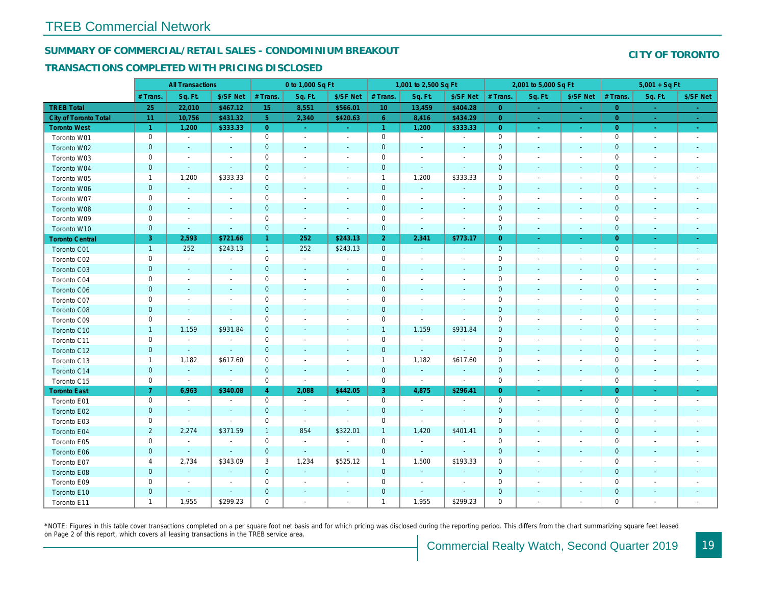#### SUMMARY OF COMMERCIAL/RETAIL SALES - CONDOMINIUM BREAKOUT

#### TRANSACTIONS COMPLETED WITH PRICING DISCLOSED

|                              |                | <b>All Transactions</b>  |                          |                      | 0 to 1,000 Sq Ft |                          |                 | 1,001 to 2,500 Sq Ft     |                | 2,001 to 5,000 Sq Ft |                          |                          |
|------------------------------|----------------|--------------------------|--------------------------|----------------------|------------------|--------------------------|-----------------|--------------------------|----------------|----------------------|--------------------------|--------------------------|
|                              | # Trans.       | Sq. Ft.                  | \$/SF Net                | # Trans.             | Sq. Ft.          | \$/SF Net                | # Trans.        | Sq. Ft.                  | \$/SF Net      | # Trans.             | Sq. Ft.                  | \$/SF Ne                 |
| <b>TREB Total</b>            | 25             | 22,010                   | \$467.12                 | 15                   | 8,551            | \$566.01                 | 10 <sup>°</sup> | 13,459                   | \$404.28       | $\overline{0}$       | $\bullet$                | $\sim$                   |
| <b>City of Toronto Total</b> | 11             | 10,756                   | \$431.32                 | 5 <sup>1</sup>       | 2,340            | \$420.63                 | 6 <sup>°</sup>  | 8,416                    | \$434.29       | $\overline{0}$       | $\sim$                   | $\sim$                   |
| <b>Toronto West</b>          | $\mathbf{1}$   | 1,200                    | \$333.33                 | $\overline{0}$       | $\sim$           | $\sim$                   | $\mathbf{1}$    | 1,200                    | \$333.33       | $\overline{0}$       | $\sim$                   | $\omega_{\rm{eff}}$      |
| Toronto W01                  | $\mathbf 0$    | $\sim$                   | $\blacksquare$           | $\pmb{0}$            | $\blacksquare$   | $\blacksquare$           | $\mathbf 0$     | $\blacksquare$           | $\blacksquare$ | $\mathbf 0$          | $\blacksquare$           | $\sim$                   |
| Toronto W02                  | $\mathbf 0$    | $\sim$                   |                          | $\mathbf 0$          | $\blacksquare$   | $\blacksquare$           | $\mathbf 0$     | $\blacksquare$           | ٠              | $\mathbf 0$          | $\blacksquare$           | $\blacksquare$           |
| Toronto W03                  | 0              | $\blacksquare$           | $\sim$                   | 0                    | $\blacksquare$   | $\blacksquare$           | $\pmb{0}$       | $\blacksquare$           | $\blacksquare$ | 0                    | $\blacksquare$           | $\blacksquare$           |
| Toronto W04                  | $\mathbf{0}$   | $\omega$                 | $\sim$                   | $\overline{0}$       | $\sim$           | $\sim$                   | $\mathbf{0}$    | $\omega$                 | $\Delta$       | $\mathbf{0}$         | $\omega$                 | $\sim$                   |
| Toronto W05                  | $\mathbf{1}$   | 1,200                    | \$333.33                 | $\mathbf 0$          | $\blacksquare$   | $\blacksquare$           | $\mathbf{1}$    | 1,200                    | \$333.33       | $\mathbf 0$          | $\sim$                   | $\overline{\phantom{a}}$ |
| Toronto W06                  | $\mathbf 0$    | $\sim$                   | $\sim$                   | $\mathbf 0$          | $\frac{1}{2}$    | $\blacksquare$           | $\mathbf 0$     | $\blacksquare$           | $\blacksquare$ | $\mathbf 0$          | $\overline{\phantom{a}}$ | ٠                        |
| Toronto W07                  | 0              | $\overline{\phantom{a}}$ | $\overline{\phantom{a}}$ | 0                    | $\blacksquare$   | $\overline{\phantom{a}}$ | $\mathbf 0$     | $\overline{\phantom{a}}$ | $\blacksquare$ | 0                    | $\overline{\phantom{a}}$ | $\overline{\phantom{a}}$ |
| Toronto W08                  | $\mathbf{0}$   | $\sim$                   | $\sim$                   | $\mathbf{0}$         | $\blacksquare$   | $\blacksquare$           | $\mathbf 0$     | $\blacksquare$           | $\sim$         | $\mathbf 0$          | $\blacksquare$           | $\blacksquare$           |
| Toronto W09                  | 0              | $\overline{\phantom{a}}$ | $\sim$                   | $\mathbf 0$          | $\sim$           | $\overline{\phantom{a}}$ | $\mathbf 0$     | $\sim$                   | $\blacksquare$ | $\mathbf 0$          | $\sim$                   | $\blacksquare$           |
| Toronto W10                  | $\mathbf 0$    | $\sim$                   | $\sim$                   | $\mathbf 0$          | $\sim$           | $\blacksquare$           | $\mathbf 0$     | $\blacksquare$           | $\blacksquare$ | $\mathbf 0$          | $\blacksquare$           | $\blacksquare$           |
| <b>Toronto Central</b>       | 3              | 2,593                    | \$721.66                 | $\blacktriangleleft$ | 252              | \$243.13                 | 2 <sup>1</sup>  | 2,341                    | \$773.17       | $\overline{0}$       | $\blacksquare$           | $\blacksquare$           |
| Toronto C01                  | $\mathbf{1}$   | 252                      | \$243.13                 | $\mathbf{1}$         | 252              | \$243.13                 | $\mathbf 0$     | $\sim$                   | $\sim$         | $\overline{0}$       | $\blacksquare$           | $\sim$                   |
| Toronto C02                  | $\mathbf 0$    | $\sim$                   |                          | $\mathbf 0$          | $\blacksquare$   | $\blacksquare$           | $\mathsf 0$     | $\blacksquare$           | $\blacksquare$ | $\mathbf 0$          | ÷                        | $\blacksquare$           |
| Toronto C03                  | $\mathbf 0$    | $\sim$                   | $\blacksquare$           | $\mathbf{0}$         | $\blacksquare$   | $\blacksquare$           | $\mathbf 0$     | ٠                        | ٠              | $\mathbf{0}$         | $\blacksquare$           | $\blacksquare$           |
| Toronto C04                  | 0              | $\blacksquare$           |                          | $\mathbf 0$          | $\blacksquare$   | $\blacksquare$           | $\mathbf 0$     | $\overline{\phantom{a}}$ | $\blacksquare$ | $\mathbf 0$          | ÷,                       | $\blacksquare$           |
| Toronto C06                  | $\mathbf 0$    | $\blacksquare$           |                          | $\mathbf 0$          | $\blacksquare$   | $\blacksquare$           | $\mathbf 0$     | $\blacksquare$           | $\blacksquare$ | $\mathbf 0$          | $\blacksquare$           | $\blacksquare$           |
| Toronto C07                  | $\mathbf 0$    |                          |                          | $\mathbf 0$          | $\sim$           | $\blacksquare$           | $\mathbf 0$     |                          | $\sim$         | $\mathbf 0$          | J.                       | $\blacksquare$           |
| Toronto C08                  | $\mathbf{0}$   | $\blacksquare$           | $\sim$                   | $\mathbf 0$          | $\frac{1}{2}$    | $\blacksquare$           | $\mathbf 0$     | ٠                        | $\blacksquare$ | $\mathbf{0}$         | $\blacksquare$           | $\blacksquare$           |
| Toronto C09                  | 0              | $\blacksquare$           | $\sim$                   | $\mathbf 0$          | $\blacksquare$   | $\blacksquare$           | $\mathbf 0$     | $\blacksquare$           | $\sim$         | 0                    | $\overline{\phantom{a}}$ | $\overline{\phantom{a}}$ |
| Toronto C10                  | $\mathbf{1}$   | 1,159                    | \$931.84                 | $\mathbf 0$          | $\blacksquare$   | $\blacksquare$           | $\mathbf{1}$    | 1,159                    | \$931.84       | $\mathbf 0$          | $\blacksquare$           | $\blacksquare$           |
| Toronto C11                  | $\mathbf 0$    | $\blacksquare$           | $\sim$                   | $\mathbf 0$          | $\sim$           | $\blacksquare$           | $\mathbf 0$     | $\blacksquare$           | $\blacksquare$ | $\mathbf 0$          | $\blacksquare$           | $\overline{\phantom{a}}$ |
| Toronto C12                  | $\mathbf{0}$   | $\omega$                 | $\sim$                   | $\overline{0}$       | $\sim$           | $\blacksquare$           | $\mathbf 0$     | $\omega$                 | $\sim$         | $\mathbf 0$          | $\sim$                   | $\sim$                   |
| Toronto C13                  | $\mathbf{1}$   | 1,182                    | \$617.60                 | $\mathbf 0$          | $\blacksquare$   | $\blacksquare$           | $\mathbf{1}$    | 1,182                    | \$617.60       | 0                    | $\blacksquare$           | $\overline{\phantom{a}}$ |
| Toronto C14                  | $\pmb{0}$      | $\sim$                   | $\sim$                   | $\mathbf{0}$         | $\sim$           | $\overline{\phantom{a}}$ | $\mathbf 0$     | $\blacksquare$           | $\blacksquare$ | $\mathbf 0$          | $\blacksquare$           | $\sim$                   |
| Toronto C15                  | 0              | $\blacksquare$           | $\blacksquare$           | $\mathbf 0$          | $\blacksquare$   | $\blacksquare$           | $\mathbf 0$     | $\sim$                   | $\blacksquare$ | $\mathbf 0$          | $\overline{\phantom{a}}$ | $\sim$                   |
| <b>Toronto East</b>          | 7 <sup>1</sup> | 6,963                    | \$340.08                 | $\overline{4}$       | 2,088            | \$442.05                 | 3               | 4,875                    | \$296.41       | $\overline{0}$       | $\sim$                   | $\sim$                   |
| Toronto E01                  | 0              | $\sim$                   | $\blacksquare$           | $\mathbf 0$          | $\omega$         | $\blacksquare$           | $\mathbf 0$     | $\sim$                   | $\sim$         | $\mathbf 0$          | $\blacksquare$           | $\sim$                   |
| Toronto E02                  | $\mathbf 0$    | $\sim$                   | $\sim$                   | $\mathbf 0$          | $\sim$           | $\blacksquare$           | $\mathbf 0$     | $\blacksquare$           | $\blacksquare$ | $\mathbf 0$          | $\blacksquare$           | $\sim$                   |
| Toronto E03                  | 0              | $\sim$                   | $\overline{\phantom{a}}$ | 0                    | $\sim$           | $\overline{\phantom{a}}$ | $\mathbf 0$     | $\blacksquare$           | $\sim$         | $\mathbf 0$          | $\blacksquare$           | $\blacksquare$           |
| Toronto E04                  | $\overline{2}$ | 2,274                    | \$371.59                 | $\mathbf{1}$         | 854              | \$322.01                 | $\mathbf{1}$    | 1,420                    | \$401.41       | $\mathbf{0}$         | $\sim$                   | $\blacksquare$           |
| Toronto E05                  | 0              | $\sim$                   | $\blacksquare$           | $\mathbf 0$          | $\blacksquare$   | $\blacksquare$           | $\mathbf 0$     | $\sim$                   | $\sim$         | $\mathbf 0$          | $\overline{\phantom{a}}$ | $\blacksquare$           |
| Toronto E06                  | $\mathbf 0$    | $\blacksquare$           | $\sim$                   | $\mathbf 0$          | $\sim$           | $\blacksquare$           | $\mathbf 0$     | $\blacksquare$           | $\blacksquare$ | $\mathbf 0$          | $\blacksquare$           |                          |
| Toronto E07                  | 4              | 2,734                    | \$343.09                 | 3                    | 1,234            | \$525.12                 | $\mathbf{1}$    | 1,500                    | \$193.33       | 0                    | $\blacksquare$           | $\blacksquare$           |
| Toronto E08                  | $\pmb{0}$      | $\omega$                 | $\omega$                 | $\mathbf 0$          | $\sim$           | $\blacksquare$           | $\mathbf 0$     | $\omega$                 | $\sim$         | $\mathbf{0}$         | $\sim$                   |                          |
| Toronto E09                  | 0              | $\blacksquare$           | $\sim$                   | $\mathbf 0$          | $\blacksquare$   | $\blacksquare$           | $\mathbf 0$     | $\blacksquare$           | $\blacksquare$ | $\mathbf 0$          | $\blacksquare$           | $\blacksquare$           |
| Toronto E10                  | $\mathbf 0$    | $\overline{\phantom{a}}$ | $\sim$                   | $\mathbf 0$          | $\frac{1}{2}$    | $\blacksquare$           | $\mathbf 0$     | $\blacksquare$           | $\blacksquare$ | $\mathbf 0$          | $\blacksquare$           |                          |
| Toronto E11                  | $\mathbf{1}$   | 1,955                    | \$299.23                 | $\mathbf 0$          | $\blacksquare$   | $\blacksquare$           | $\mathbf{1}$    | 1,955                    | \$299.23       | $\mathbf 0$          | $\blacksquare$           | $\overline{\phantom{a}}$ |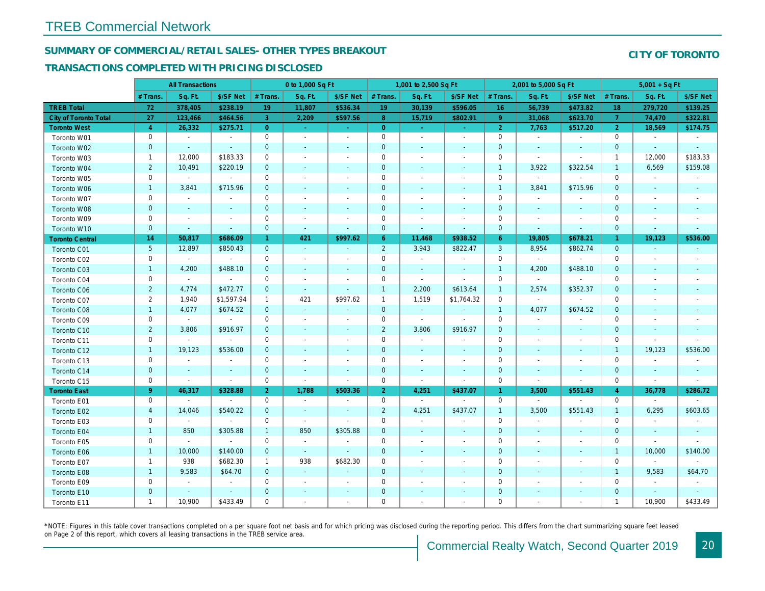## SUMMARY OF COMMERCIAL/RETAIL SALES- OTHER TYPES BREAKOUT

#### TRANSACTIONS COMPLETED WITH PRICING DISCLOSED

|                              |                | <b>All Transactions</b>  |                          |                | 0 to 1,000 Sq Ft |                          |                | 1,001 to 2,500 Sq Ft     |                          | 2,001 to 5,000 Sq Ft |                          |                          |
|------------------------------|----------------|--------------------------|--------------------------|----------------|------------------|--------------------------|----------------|--------------------------|--------------------------|----------------------|--------------------------|--------------------------|
|                              | # Trans        | Sq. Ft.                  | \$/SF Net                | # Trans.       | Sq. Ft.          | \$/SF Net                | # Trans.       | Sq. Ft.                  | \$/SF Net                | # Trans.             | Sq. Ft.                  | \$/SF Ne                 |
| <b>TREB Total</b>            | 72             | 378,405                  | \$238.19                 | 19             | 11,807           | \$536.34                 | 19             | 30,139                   | \$596.05                 | 16 <sup>°</sup>      | 56,739                   | \$473.82                 |
| <b>City of Toronto Total</b> | 27             | 123,466                  | \$464.56                 | 3 <sup>°</sup> | 2,209            | \$597.56                 | 8 <sup>°</sup> | 15,719                   | \$802.91                 | $9^{\circ}$          | 31,068                   | \$623.7                  |
| <b>Toronto West</b>          | $\overline{4}$ | 26,332                   | \$275.71                 | $\overline{0}$ | $\omega$         | $\omega_{\rm{eff}}$      | $\overline{0}$ | $\sim$ .                 | $\omega_{\rm{eff}}$      | $\overline{2}$       | 7,763                    | \$517.20                 |
| Toronto W01                  | 0              | $\blacksquare$           | $\blacksquare$           | 0              | $\blacksquare$   | $\blacksquare$           | $\mathbf 0$    | $\blacksquare$           | $\blacksquare$           | $\mathbf 0$          | $\blacksquare$           | $\sim$                   |
| Toronto W02                  | $\mathbf 0$    | $\sim$                   | $\sim$                   | $\mathbf 0$    | $\blacksquare$   | $\blacksquare$           | $\mathbf 0$    | $\blacksquare$           | $\sim$                   | $\mathbf 0$          | $\blacksquare$           | $\blacksquare$           |
| Toronto W03                  | $\mathbf{1}$   | 12,000                   | \$183.33                 | 0              | $\blacksquare$   | $\blacksquare$           | $\mathbf 0$    | $\blacksquare$           | $\blacksquare$           | 0                    | $\omega$                 | $\blacksquare$           |
| Toronto W04                  | $\overline{2}$ | 10,491                   | \$220.19                 | $\mathbf 0$    | $\mathbf{r}$     | $\sim$                   | $\mathbf 0$    | $\sim$                   | $\omega$                 | $\overline{1}$       | 3,922                    | \$322.54                 |
| Toronto W05                  | 0              | $\blacksquare$           | $\omega$                 | $\mathbf 0$    | $\blacksquare$   | $\blacksquare$           | $\mathsf 0$    | $\blacksquare$           | $\blacksquare$           | $\mathbf 0$          | $\blacksquare$           | $\blacksquare$           |
| Toronto W06                  | $\mathbf{1}$   | 3,841                    | \$715.96                 | $\mathbf 0$    | $\blacksquare$   | $\blacksquare$           | $\mathbf 0$    | $\blacksquare$           | $\blacksquare$           | $\mathbf{1}$         | 3,841                    | \$715.96                 |
| Toronto W07                  | 0              | $\sim$                   | $\overline{\phantom{a}}$ | 0              | $\sim$           | $\blacksquare$           | $\mathbf 0$    | $\blacksquare$           | $\blacksquare$           | 0                    | $\blacksquare$           | $\blacksquare$           |
| Toronto W08                  | $\mathbf{0}$   | $\sim$                   | $\sim$                   | $\mathbf{0}$   | $\sim$           | $\sim$                   | $\mathbf 0$    | $\blacksquare$           | $\omega$                 | $\mathbf{0}$         | $\blacksquare$           | $\blacksquare$           |
| Toronto W09                  | 0              | $\overline{\phantom{a}}$ | $\overline{\phantom{a}}$ | 0              | $\blacksquare$   | $\overline{a}$           | $\mathbf 0$    | $\blacksquare$           | $\blacksquare$           | $\mathbf 0$          | $\sim$                   | $\blacksquare$           |
| Toronto W10                  | $\mathbf{0}$   | $\blacksquare$           | $\sim$                   | $\mathbf 0$    | $\blacksquare$   | $\blacksquare$           | $\mathbf 0$    | $\blacksquare$           | $\blacksquare$           | $\mathbf 0$          | $\blacksquare$           | $\blacksquare$           |
| <b>Toronto Central</b>       | 14             | 50,817                   | \$686.09                 | $\mathbf{1}$   | 421              | \$997.62                 | 6 <sup>°</sup> | 11,468                   | \$938.52                 | $6^{\circ}$          | 19,805                   | \$678.2                  |
| Toronto C01                  | 5 <sup>5</sup> | 12,897                   | \$850.43                 | $\mathbf{0}$   | $\sim$           | $\blacksquare$           | $\overline{2}$ | 3,943                    | \$822.47                 | 3                    | 8,954                    | \$862.74                 |
| Toronto C02                  | 0              | $\sim$                   | $\blacksquare$           | $\mathbf 0$    | $\sim$           |                          | $\mathbf 0$    | $\blacksquare$           | $\overline{a}$           | $\mathbf 0$          | $\omega$                 | $\blacksquare$           |
| Toronto C03                  | $\mathbf{1}$   | 4,200                    | \$488.10                 | $\mathbf 0$    | $\blacksquare$   | ٠                        | $\mathbf 0$    | $\blacksquare$           | $\blacksquare$           | $\mathbf{1}$         | 4,200                    | \$488.10                 |
| Toronto C04                  | 0              | $\blacksquare$           | $\blacksquare$           | $\mathbf 0$    | $\blacksquare$   |                          | $\mathbf 0$    | $\blacksquare$           | $\overline{a}$           | $\mathbf 0$          | $\blacksquare$           | $\sim$                   |
| Toronto C06                  | $\overline{2}$ | 4,774                    | \$472.77                 | $\mathbf 0$    | $\omega$         | $\blacksquare$           | $\mathbf{1}$   | 2,200                    | \$613.64                 | $\mathbf{1}$         | 2,574                    | \$352.37                 |
| Toronto C07                  | $\overline{2}$ | 1,940                    | \$1,597.94               | $\mathbf{1}$   | 421              | \$997.62                 | $\mathbf{1}$   | 1,519                    | \$1,764.32               | $\mathbf 0$          | $\mathbf{r}$             | $\sim$                   |
| Toronto C08                  | $\mathbf{1}$   | 4,077                    | \$674.52                 | $\mathbf 0$    | $\blacksquare$   | $\blacksquare$           | $\overline{0}$ | $\omega$                 | $\sim$                   | $\mathbf{1}$         | 4,077                    | \$674.52                 |
| Toronto C09                  | 0              | $\sim$                   | $\blacksquare$           | 0              | $\sim$           | $\blacksquare$           | $\mathbf 0$    | $\sim$                   | $\sim$                   | $\mathbf 0$          | $\overline{\phantom{a}}$ | $\blacksquare$           |
| Toronto C10                  | $\overline{2}$ | 3,806                    | \$916.97                 | $\mathbf 0$    | $\blacksquare$   | $\blacksquare$           | $\overline{2}$ | 3,806                    | \$916.97                 | $\mathbf 0$          | $\sim$                   | $\sim$                   |
| Toronto C11                  | 0              | $\overline{\phantom{a}}$ | $\sim$                   | $\mathbf 0$    | $\blacksquare$   | $\blacksquare$           | $\mathsf 0$    | $\blacksquare$           | $\blacksquare$           | $\mathbf 0$          | $\blacksquare$           | $\blacksquare$           |
| Toronto C12                  | $\mathbf{1}$   | 19,123                   | \$536.00                 | $\mathbf{0}$   | $\mathbf{r}$     | $\blacksquare$           | $\mathbf 0$    | $\sim$                   | $\blacksquare$           | $\mathbf{0}$         | $\omega$                 | $\sim$                   |
| Toronto C13                  | 0              | $\blacksquare$           | $\blacksquare$           | 0              | $\sim$           | $\overline{\phantom{a}}$ | $\mathbf 0$    | $\blacksquare$           | $\blacksquare$           | 0                    | $\blacksquare$           | $\blacksquare$           |
| Toronto C14                  | $\mathbf 0$    | $\sim$                   | $\sim$                   | $\mathbf 0$    | $\sim$           | $\sim$                   | $\mathbf 0$    | $\blacksquare$           | $\sim$                   | $\mathbf{0}$         | $\blacksquare$           | $\sim$                   |
| Toronto C15                  | 0              | $\blacksquare$           | $\sim$                   | $\mathbf 0$    | $\blacksquare$   | $\blacksquare$           | $\mathbf 0$    | $\blacksquare$           | $\sim$                   | $\mathbf 0$          | $\sim$                   | $\sim$                   |
| <b>Toronto East</b>          | 9 <sup>°</sup> | 46,317                   | \$328.88                 | 2 <sup>1</sup> | 1,788            | \$503.36                 | 2 <sup>1</sup> | 4,251                    | \$437.07                 | $\overline{1}$       | 3,500                    | \$551.4                  |
| Toronto E01                  | 0              | $\blacksquare$           | $\blacksquare$           | 0              | $\bullet$        | $\overline{\phantom{a}}$ | 0              | $\blacksquare$           | $\blacksquare$           | $\mathbf 0$          | $\blacksquare$           | $\blacksquare$           |
| Toronto E02                  | $\overline{4}$ | 14,046                   | \$540.22                 | $\mathbf 0$    | $\sim$           | $\blacksquare$           | $\overline{2}$ | 4,251                    | \$437.07                 | $\mathbf{1}$         | 3,500                    | \$551.43                 |
| Toronto E03                  | 0              | $\blacksquare$           | $\overline{\phantom{a}}$ | 0              | $\sim$           | $\overline{\phantom{a}}$ | $\mathbf 0$    | $\blacksquare$           | $\blacksquare$           | $\mathbf 0$          | $\blacksquare$           | $\blacksquare$           |
| Toronto E04                  | $\mathbf{1}$   | 850                      | \$305.88                 | $\mathbf{1}$   | 850              | \$305.88                 | $\mathbf 0$    | $\sim$                   | $\blacksquare$           | $\mathbf{0}$         | $\sim$                   | $\blacksquare$           |
| Toronto E05                  | 0              |                          | $\blacksquare$           | $\mathbf 0$    | $\blacksquare$   | $\blacksquare$           | $\mathbf 0$    | $\overline{\phantom{a}}$ | $\blacksquare$           | $\mathbf 0$          | $\blacksquare$           | $\overline{\phantom{a}}$ |
| Toronto E06                  | $\mathbf{1}$   | 10,000                   | \$140.00                 | $\mathbf 0$    | $\sim$           | $\blacksquare$           | $\mathbf 0$    | $\overline{\phantom{a}}$ | $\overline{\phantom{a}}$ | $\mathbf 0$          | $\blacksquare$           |                          |
| Toronto E07                  | $\mathbf{1}$   | 938                      | \$682.30                 | $\mathbf{1}$   | 938              | \$682.30                 | $\mathbf 0$    | $\overline{\phantom{a}}$ | $\blacksquare$           | 0                    | $\blacksquare$           | $\blacksquare$           |
| Toronto E08                  | $\mathbf{1}$   | 9,583                    | \$64.70                  | $\mathbf 0$    | $\omega$         | $\blacksquare$           | $\mathbf 0$    | $\blacksquare$           | $\blacksquare$           | $\mathbf 0$          | $\blacksquare$           | $\blacksquare$           |
| Toronto E09                  | 0              | $\sim$                   | $\sim$                   | $\mathbf 0$    | $\sim$           | $\blacksquare$           | $\mathbf 0$    | $\blacksquare$           | $\blacksquare$           | $\mathbf 0$          | $\blacksquare$           | $\blacksquare$           |
| Toronto E10                  | $\mathbf 0$    | $\sim$                   | $\sim$                   | $\mathbf 0$    | $\blacksquare$   | $\overline{\phantom{a}}$ | $\pmb{0}$      | ٠                        | ٠                        | $\mathbf 0$          | $\blacksquare$           |                          |
| Toronto E11                  | $\mathbf{1}$   | 10,900                   | \$433.49                 | $\mathbf 0$    | $\blacksquare$   | $\blacksquare$           | $\mathbf 0$    | $\blacksquare$           | $\blacksquare$           | $\mathbf 0$          | $\blacksquare$           | $\blacksquare$           |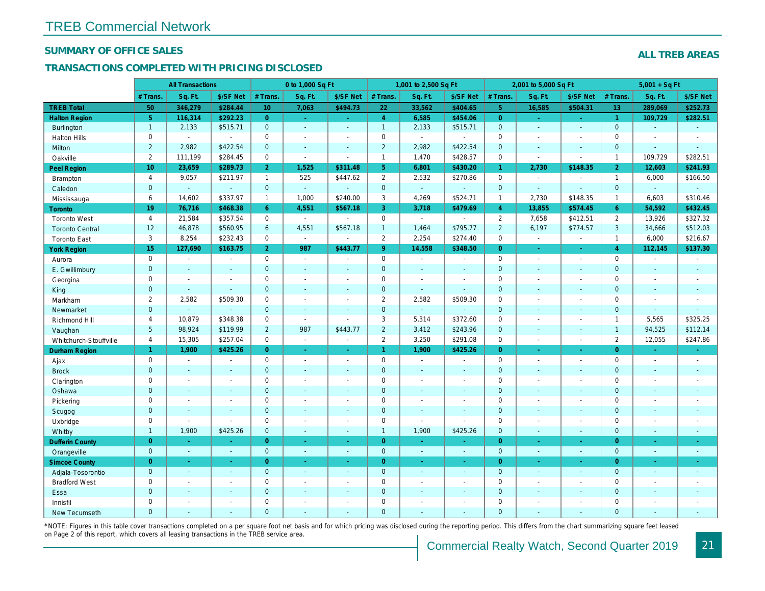#### SUMMARY OF OFFICE SALES

#### TRANSACTIONS COMPLETED WITH PRICING DISCLOSED

|                        |                  | <b>All Transactions</b>  |                          |                | 0 to 1,000 Sq Ft |                          |                     | 1,001 to 2,500 Sq Ft |                |                | 2,001 to 5,000 Sq Ft     |                    |
|------------------------|------------------|--------------------------|--------------------------|----------------|------------------|--------------------------|---------------------|----------------------|----------------|----------------|--------------------------|--------------------|
|                        | # Trans.         | Sq. Ft.                  | \$/SF Net                | # Trans.       | Sq. Ft.          | \$/SF Net                | # Trans.            | Sq. Ft.              | \$/SF Net      | # Trans.       | Sq. Ft.                  | \$/SF Ne           |
| <b>TREB Total</b>      | 50               | 346,279                  | \$284.44                 | 10             | 7,063            | \$494.73                 | 22                  | 33,562               | \$404.65       | 5 <sup>1</sup> | 16,585                   | \$504.3            |
| <b>Halton Region</b>   | 5 <sub>5</sub>   | 116,314                  | \$292.23                 | $\overline{0}$ | $\omega$         | $\omega_{\rm c}$         | $\overline{4}$      | 6,585                | \$454.06       | $\overline{0}$ | $\omega$                 | $\sigma_{\rm eff}$ |
| <b>Burlington</b>      | $\mathbf{1}$     | 2,133                    | \$515.71                 | $\mathbf 0$    | $\sim$           | $\blacksquare$           | $\mathbf{1}$        | 2,133                | \$515.71       | $\mathbf 0$    | $\omega$                 | $\sim$             |
| <b>Halton Hills</b>    | 0                | $\sim$                   | $\blacksquare$           | $\mathbf 0$    | $\blacksquare$   | $\sim$                   | $\mathbf 0$         | $\blacksquare$       | ä,             | $\mathbf 0$    | $\blacksquare$           | $\blacksquare$     |
| <b>Milton</b>          | $\overline{2}$   | 2,982                    | \$422.54                 | $\mathbf{0}$   | $\mathbf{r}$     | $\sim$                   | $\overline{2}$      | 2,982                | \$422.54       | $\mathbf{0}$   | $\Delta$                 | $\blacksquare$     |
| Oakville               | $\overline{2}$   | 111,199                  | \$284.45                 | 0              | $\blacksquare$   | $\sim$                   | $\mathbf{1}$        | 1,470                | \$428.57       | $\mathbf 0$    | $\blacksquare$           | $\blacksquare$     |
| Peel Region            | 10 <sup>10</sup> | 23,659                   | \$289.73                 | 2 <sup>1</sup> | 1,525            | \$311.48                 | 5 <sub>5</sub>      | 6,801                | \$430.20       | $\mathbf{1}$   | 2,730                    | \$148.35           |
| <b>Brampton</b>        | 4                | 9,057                    | \$211.97                 | $\mathbf{1}$   | 525              | \$447.62                 | $\overline{2}$      | 2,532                | \$270.86       | $\mathbf 0$    | $\blacksquare$           |                    |
| Caledon                | $\mathbf{0}$     | $\mathbf{r}$             | $\omega$                 | $\mathbf{0}$   | $\omega$         |                          | $\mathbf{0}$        | $\omega_{\rm c}$     | $\blacksquare$ | $\mathbf{0}$   | $\omega$                 | $\blacksquare$     |
| Mississauga            | 6                | 14,602                   | \$337.97                 | $\mathbf{1}$   | 1,000            | \$240.00                 | 3                   | 4,269                | \$524.71       | $\mathbf{1}$   | 2,730                    | \$148.35           |
| Toronto                | 19               | 76,716                   | \$468.38                 | 6              | 4,551            | \$567.18                 | 3                   | 3,718                | \$479.69       | $\overline{4}$ | 13,855                   | \$574.4            |
| <b>Toronto West</b>    | $\overline{4}$   | 21,584                   | \$357.54                 | $\mathbf 0$    | $\sim$           | $\sim$                   | $\mathsf{O}$        | $\blacksquare$       | $\blacksquare$ | $\overline{2}$ | 7,658                    | \$412.5            |
| <b>Toronto Central</b> | 12               | 46,878                   | \$560.95                 | 6              | 4,551            | \$567.18                 | $\mathbf{1}$        | 1,464                | \$795.77       | $\overline{2}$ | 6,197                    | \$774.57           |
| <b>Toronto East</b>    | 3                | 8,254                    | \$232.43                 | 0              | $\blacksquare$   | $\blacksquare$           | $\overline{2}$      | 2,254                | \$274.40       | $\mathbf 0$    | $\blacksquare$           | $\blacksquare$     |
| <b>York Region</b>     | 15               | 127,690                  | \$163.75                 | 2 <sup>1</sup> | 987              | \$443.77                 | 9 <sup>°</sup>      | 14,558               | \$348.50       | $\overline{0}$ | ÷.                       | $\sim$             |
| Aurora                 | 0                | $\blacksquare$           | $\blacksquare$           | 0              | $\omega$         | $\blacksquare$           | $\mathsf{O}$        | $\blacksquare$       | $\sim$         | $\mathbf 0$    | $\blacksquare$           | $\sim$             |
| E. Gwillimbury         | $\overline{0}$   | $\sim$                   | $\sim$                   | $\overline{0}$ | $\overline{a}$   | $\sim$                   | $\mathbf{0}$        | $\blacksquare$       | $\sim$         | $\mathbf{0}$   | ÷.                       | $\sim$             |
| Georgina               | 0                | $\blacksquare$           | $\blacksquare$           | 0              | $\blacksquare$   | $\sim$                   | $\mathsf{O}\xspace$ | $\blacksquare$       | ä,             | $\mathbf 0$    | ÷,                       | $\blacksquare$     |
| King                   | $\mathbf{0}$     | $\sim$                   | $\sim$                   | $\mathbf{0}$   | $\mathbf{r}$     | $\sim$                   | $\mathbf 0$         | $\omega$             | $\omega$       | $\mathbf{0}$   | $\omega$                 | $\sim$             |
| Markham                | $\mathbf{2}$     | 2,582                    | \$509.30                 | 0              | $\blacksquare$   | $\overline{\phantom{a}}$ | $\overline{2}$      | 2,582                | \$509.30       | $\mathbf 0$    | $\blacksquare$           | $\blacksquare$     |
| Newmarket              | $\overline{0}$   |                          | $\mathbf{r}$             | $\Omega$       | $\blacksquare$   | ÷.                       | $\mathbf{0}$        | $\Box$               | ä,             | $\mathbf{0}$   | $\sim$                   | $\blacksquare$     |
| Richmond Hill          | 4                | 10,879                   | \$348.38                 | 0              | $\mathbf{r}$     | $\sim$                   | $\mathsf 3$         | 5,314                | \$372.60       | $\mathbf 0$    | $\blacksquare$           | $\blacksquare$     |
| Vaughan                | 5 <sup>5</sup>   | 98,924                   | \$119.99                 | $\overline{2}$ | 987              | \$443.77                 | $\overline{2}$      | 3,412                | \$243.96       | $\mathbf{0}$   | $\blacksquare$           | $\sim$             |
| Whitchurch-Stouffville | $\overline{4}$   | 15,305                   | \$257.04                 | 0              | $\blacksquare$   | $\blacksquare$           | $\overline{2}$      | 3,250                | \$291.08       | $\mathsf{O}$   | $\blacksquare$           | $\blacksquare$     |
| <b>Durham Region</b>   | $\mathbf{1}$     | 1,900                    | \$425.26                 | $\overline{0}$ | $\sim$           | $\omega$                 | $\mathbf{1}$        | 1,900                | \$425.26       | $\overline{0}$ | $\omega$                 | $\sigma_{\rm c}$   |
| Ajax                   | 0                | $\blacksquare$           | $\overline{\phantom{a}}$ | $\mathbf 0$    | $\blacksquare$   | $\blacksquare$           | $\mathsf{O}$        | $\blacksquare$       | $\overline{a}$ | $\mathbf 0$    | $\blacksquare$           | $\sim$             |
| <b>Brock</b>           | $\mathbf{0}$     | $\sim$                   | $\blacksquare$           | $\mathbf{0}$   | $\omega$         | $\blacksquare$           | $\mathbf{0}$        | $\omega$             | $\blacksquare$ | $\mathbf 0$    | $\blacksquare$           | $\blacksquare$     |
| Clarington             | 0                | $\sim$                   | $\sim$                   | $\mathbf 0$    | $\blacksquare$   | $\blacksquare$           | $\mathbf 0$         | $\blacksquare$       | $\blacksquare$ | $\mathbf 0$    | $\sim$                   | $\blacksquare$     |
| Oshawa                 | $\overline{0}$   | $\sim$                   | $\sim$                   | $\mathbf{0}$   | $\blacksquare$   | $\blacksquare$           | $\mathbf{0}$        | $\blacksquare$       | $\omega$       | $\mathbf{0}$   | $\blacksquare$           | $\sim$             |
| Pickering              | 0                | $\overline{\phantom{a}}$ | $\overline{\phantom{a}}$ | $\mathbf 0$    | $\blacksquare$   | $\blacksquare$           | $\mathbf 0$         | $\overline{a}$       | $\overline{a}$ | $\mathbf 0$    | $\overline{\phantom{a}}$ | $\blacksquare$     |
| Scugog                 | $\mathbf{0}$     | $\sim$                   | $\blacksquare$           | $\mathbf 0$    | $\omega$         | $\blacksquare$           | $\mathbf 0$         | $\blacksquare$       | $\blacksquare$ | $\mathbf{0}$   | $\blacksquare$           | $\sim$             |
| Uxbridge               | $\mathbf{0}$     | $\sim$                   | $\blacksquare$           | 0              | $\sim$           | $\sim$                   | $\mathsf{O}$        | ä,                   | ä,             | $\mathbf 0$    | $\blacksquare$           | $\blacksquare$     |
| Whitby                 | $\mathbf{1}$     | 1,900                    | \$425.26                 | $\overline{0}$ | $\mathbf{r}$     | $\sim$                   | $\mathbf{1}$        | 1,900                | \$425.26       | $\mathbf{0}$   | $\blacksquare$           | $\sim$             |
| <b>Dufferin County</b> | $\overline{0}$   | $\sim$                   | $\sim$                   | $\overline{0}$ | $\omega$         | $\sim$                   | $\overline{0}$      | $\blacksquare$       | ×.             | $\overline{0}$ | $\sim$                   | $\sim$             |
| Orangeville            | $\mathbf{0}$     | $\omega$                 | $\omega$                 | $\mathbf{0}$   | $\omega$         | $\sim$                   | $\overline{0}$      | $\omega$             | $\blacksquare$ | $\mathbf{0}$   | $\omega$                 | $\sim$             |
| <b>Simcoe County</b>   | $\overline{0}$   | $\omega$                 | $\sim$                   | $\overline{0}$ | $\omega$         | $\omega$                 | $\overline{0}$      | $\omega$             | ÷.             | $\overline{0}$ | $\omega$                 | $\omega_{\rm c}$   |
| Adjala-Tosorontio      | $\mathbf{0}$     | $\omega$                 | $\sim$                   | $\mathbf{0}$   | $\mathbf{r}$     | $\sim$                   | $\mathbf{0}$        | $\omega$             | $\blacksquare$ | $\mathbf{0}$   | $\Delta$                 | $\sim$             |
| <b>Bradford West</b>   | 0                | $\blacksquare$           | $\sim$                   | 0              | $\sim$           | $\blacksquare$           | $\mathbf 0$         | $\blacksquare$       | $\blacksquare$ | $\mathbf 0$    | $\blacksquare$           | $\blacksquare$     |
| Essa                   | $\mathbf{0}$     | $\sim$                   | $\sim$                   | $\mathbf 0$    | $\blacksquare$   | $\blacksquare$           | $\mathbf 0$         | ä,                   | ä,             | $\mathbf{0}$   | $\blacksquare$           | $\blacksquare$     |
| Innisfil               | 0                | $\sim$                   | $\sim$                   | $\mathbf 0$    | $\blacksquare$   | $\blacksquare$           | $\mathbf 0$         | $\blacksquare$       | $\blacksquare$ | $\mathbf 0$    | $\sim$                   | $\blacksquare$     |
| <b>New Tecumseth</b>   | $\Omega$         |                          |                          | $\Omega$       |                  |                          | $\mathbf{0}$        |                      |                | $\Omega$       |                          |                    |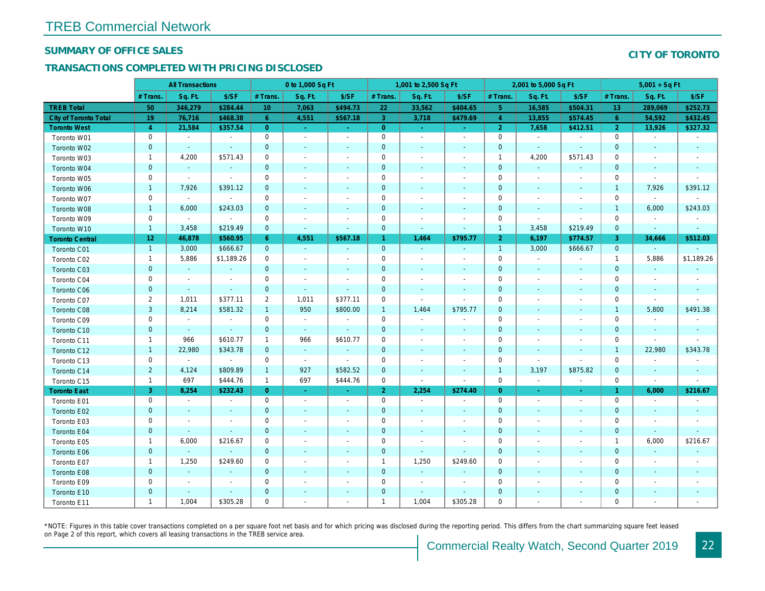#### SUMMARY OF OFFICE SALES

#### TRANSACTIONS COMPLETED WITH PRICING DISCLOSED

|                              | <b>All Transactions</b> |                          |                | 0 to 1,000 Sq Ft |                          |                          | 1,001 to 2,500 Sq Ft |                          |                          | 2,001 to 5,000 Sq Ft |                          |                          |
|------------------------------|-------------------------|--------------------------|----------------|------------------|--------------------------|--------------------------|----------------------|--------------------------|--------------------------|----------------------|--------------------------|--------------------------|
|                              | # Trans.                | Sq. Ft.                  | \$/SF          | # Trans.         | Sq. Ft.                  | \$/SF                    | # Trans.             | Sq. Ft.                  | \$/SF                    | # Trans.             | Sq. Ft.                  | \$/SF                    |
| <b>TREB Total</b>            | 50                      | 346,279                  | \$284.44       | 10 <sup>°</sup>  | 7,063                    | \$494.73                 | 22                   | 33,562                   | \$404.65                 | 5 <sub>5</sub>       | 16,585                   | \$504.3                  |
| <b>City of Toronto Total</b> | 19                      | 76,716                   | \$468.38       | 6                | 4,551                    | \$567.18                 | 3 <sup>°</sup>       | 3,718                    | \$479.69                 | $\overline{4}$       | 13,855                   | \$574.45                 |
| <b>Toronto West</b>          | $\overline{4}$          | 21,584                   | \$357.54       | $\overline{0}$   | $\omega$                 | $\sim$                   | $\mathbf{0}$         | $\omega$                 | $\omega$                 | $\overline{2}$       | 7,658                    | \$412.5'                 |
| Toronto W01                  | 0                       | $\sim$                   | $\blacksquare$ | 0                | $\sim$                   | $\overline{a}$           | $\pmb{0}$            | $\blacksquare$           | $\sim$                   | $\mathbf 0$          | $\sim$                   | $\sim$                   |
| Toronto W02                  | $\mathbf 0$             | $\sim$                   | $\sim$         | $\mathbf{0}$     | $\sim$                   | $\sim$                   | $\pmb{0}$            | $\sim$                   | $\sim$                   | $\mathbf 0$          | $\sim$                   | $\sim$                   |
| Toronto W03                  | $\mathbf 1$             | 4,200                    | \$571.43       | 0                | $\sim$                   | $\overline{\phantom{a}}$ | $\mathbf 0$          | $\sim$                   | $\overline{\phantom{a}}$ | 1                    | 4,200                    | \$571.43                 |
| Toronto W04                  | $\mathbf{0}$            | $\sim$                   | $\blacksquare$ | $\mathbf{0}$     | $\sim$                   | $\sim$                   | $\mathbf 0$          | $\sim$                   | $\sim$                   | $\mathbf{0}$         | $\sim$                   | $\sim$                   |
| Toronto W05                  | 0                       | $\sim$                   | $\blacksquare$ | $\mathbf 0$      | $\sim$                   |                          | $\mathbf 0$          | $\overline{\phantom{a}}$ |                          | $\mathbf 0$          | $\overline{a}$           | $\overline{\phantom{a}}$ |
| Toronto W06                  | $\mathbf{1}$            | 7,926                    | \$391.12       | $\mathbf 0$      | $\sim$                   |                          | $\pmb{0}$            | $\sim$                   |                          | $\mathbf 0$          | $\blacksquare$           | $\overline{\phantom{a}}$ |
| Toronto W07                  | 0                       | $\blacksquare$           | $\blacksquare$ | 0                | $\overline{\phantom{a}}$ |                          | $\pmb{0}$            | $\overline{\phantom{a}}$ |                          | $\mathbf 0$          | $\blacksquare$           |                          |
| Toronto W08                  | $\mathbf{1}$            | 6,000                    | \$243.03       | $\mathbf 0$      | $\sim$                   |                          | $\pmb{0}$            | $\sim$                   |                          | $\mathbf 0$          | $\sim$                   | $\blacksquare$           |
| Toronto W09                  | 0                       | $\blacksquare$           | $\blacksquare$ | $\mathbf 0$      | $\sim$                   |                          | $\mathbf 0$          | $\blacksquare$           |                          | $\mathbf 0$          | $\sim$                   | $\blacksquare$           |
| Toronto W10                  | $\mathbf{1}$            | 3,458                    | \$219.49       | $\mathbf{0}$     | $\sim$                   | $\blacksquare$           | $\pmb{0}$            | $\sim$                   | $\sim$                   | $\mathbf{1}$         | 3,458                    | \$219.49                 |
| <b>Toronto Central</b>       | 12                      | 46,878                   | \$560.95       | 6                | 4,551                    | \$567.18                 | $\mathbf{1}$         | 1,464                    | \$795.77                 | 2 <sup>1</sup>       | 6,197                    | \$774.57                 |
| Toronto C01                  | $\mathbf{1}$            | 3,000                    | \$666.67       | $\mathbf{0}$     | $\sim$                   | $\sim$                   | $\mathbf 0$          | $\sim$                   | $\sim$                   | $\mathbf{1}$         | 3,000                    | \$666.67                 |
| Toronto C02                  | $\mathbf{1}$            | 5,886                    | \$1,189.26     | 0                | $\sim$                   | $\overline{\phantom{a}}$ | $\pmb{0}$            | $\sim$                   |                          | $\mathbf 0$          | $\sim$                   |                          |
| Toronto C03                  | $\mathbf{0}$            | $\sim$                   | $\blacksquare$ | $\mathbf{0}$     | $\sim$                   | $\sim$                   | $\pmb{0}$            | $\sim$                   |                          | $\mathbf{0}$         | $\sim$                   | $\sim$                   |
| Toronto C04                  | 0                       | $\overline{\phantom{a}}$ | $\blacksquare$ | 0                | $\sim$                   | $\overline{\phantom{a}}$ | $\pmb{0}$            | $\overline{\phantom{a}}$ | $\sim$                   | $\mathbf 0$          | $\sim$                   | $\overline{\phantom{a}}$ |
| <b>Toronto C06</b>           | $\mathbf{0}$            | $\sim$                   | $\sim$         | $\mathbf{0}$     | $\omega$                 | $\blacksquare$           | $\mathbf 0$          | $\sim$                   | $\overline{\phantom{a}}$ | $\mathbf 0$          | $\sim$                   | $\sim$                   |
| Toronto C07                  | $\overline{2}$          | 1,011                    | \$377.11       | 2                | 1,011                    | \$377.11                 | $\mathbf 0$          | $\sim$                   | $\sim$                   | $\mathbf 0$          | $\sim$                   |                          |
| Toronto C08                  | $\mathbf{3}$            | 8,214                    | \$581.32       | $\mathbf{1}$     | 950                      | \$800.00                 | $\mathbf{1}$         | 1,464                    | \$795.77                 | $\mathbf 0$          | $\sim$                   | $\sim$                   |
| Toronto C09                  | 0                       | $\blacksquare$           | $\blacksquare$ | 0                | $\blacksquare$           | $\overline{\phantom{a}}$ | $\mathbf 0$          | $\blacksquare$           | $\overline{\phantom{a}}$ | 0                    | $\overline{\phantom{a}}$ | $\overline{\phantom{a}}$ |
| Toronto C10                  | $\mathbf 0$             | $\sim$                   | $\sim$         | $\mathbf{0}$     | $\sim$                   | $\blacksquare$           | $\pmb{0}$            | $\sim$                   | $\sim$                   | $\mathbf 0$          | $\overline{\phantom{a}}$ | $\sim$                   |
| Toronto C11                  | $\mathbf{1}$            | 966                      | \$610.77       | $\mathbf{1}$     | 966                      | \$610.77                 | $\mathbf 0$          | $\overline{\phantom{a}}$ | $\overline{\phantom{a}}$ | $\mathbf 0$          | $\overline{\phantom{a}}$ |                          |
| Toronto C12                  | $\mathbf{1}$            | 22,980                   | \$343.78       | $\mathbf{0}$     | $\sim$                   | $\sim$                   | $\pmb{0}$            | $\sim$                   | $\sim$                   | $\mathbf 0$          | $\sim$                   | $\sim$                   |
| Toronto C13                  | 0                       | $\blacksquare$           | $\blacksquare$ | 0                | $\blacksquare$           | $\blacksquare$           | $\pmb{0}$            | $\overline{\phantom{a}}$ | $\overline{\phantom{a}}$ | $\mathbf 0$          | $\sim$                   |                          |
| Toronto C14                  | $\overline{2}$          | 4,124                    | \$809.89       | $\mathbf{1}$     | 927                      | \$582.52                 | $\pmb{0}$            | $\sim$                   | $\sim$                   | $\mathbf{1}$         | 3,197                    | \$875.82                 |
| Toronto C15                  | $\mathbf{1}$            | 697                      | \$444.76       | $\mathbf{1}$     | 697                      | \$444.76                 | 0                    | $\blacksquare$           | $\blacksquare$           | $\mathbf 0$          | $\blacksquare$           | $\blacksquare$           |
| <b>Toronto East</b>          | 3                       | 8,254                    | \$232.43       | $\overline{0}$   | $\omega$                 | $\sim$                   | $\overline{2}$       | 2,254                    | \$274.40                 | $\overline{0}$       | $\sim$                   | $\sim$                   |
| Toronto E01                  | 0                       | $\blacksquare$           | $\blacksquare$ | 0                | $\blacksquare$           | $\overline{\phantom{a}}$ | $\pmb{0}$            | $\blacksquare$           | $\sim$                   | $\mathbf 0$          | $\blacksquare$           | $\blacksquare$           |
| Toronto E02                  | $\mathbf 0$             |                          |                | $\mathbf 0$      |                          |                          | $\pmb{0}$            | $\blacksquare$           |                          | $\mathbf 0$          | $\sim$                   |                          |
| Toronto E03                  | 0                       | $\overline{\phantom{a}}$ | $\blacksquare$ | $\mathbf 0$      | $\overline{\phantom{a}}$ | $\overline{\phantom{a}}$ | $\mathbf 0$          | $\sim$                   | $\sim$                   | $\mathbf 0$          | $\overline{\phantom{a}}$ |                          |
| Toronto E04                  | $\mathbf{0}$            | $\sim$                   | $\sim$         | $\mathbf{0}$     |                          | $\sim$                   | $\pmb{0}$            | $\sim$                   |                          | $\mathbf 0$          |                          |                          |
| Toronto E05                  | $\mathbf{1}$            | 6,000                    | \$216.67       | 0                | $\blacksquare$           | $\overline{\phantom{a}}$ | $\mathbf 0$          | $\blacksquare$           | $\sim$                   | 0                    | $\sim$                   |                          |
| Toronto E06                  | $\mathbf 0$             |                          |                | $\mathbf{0}$     |                          |                          | $\pmb{0}$            | $\blacksquare$           | $\sim$                   | $\overline{0}$       | $\overline{\phantom{a}}$ |                          |
| Toronto E07                  | $\mathbf 1$             | 1,250                    | \$249.60       | 0                | $\overline{\phantom{a}}$ | $\overline{\phantom{a}}$ | 1                    | 1,250                    | \$249.60                 | 0                    | $\blacksquare$           |                          |
| Toronto E08                  | $\mathbf{0}$            | $\omega$                 | $\sim$         | $\mathbf{0}$     | $\sim$                   | $\sim$                   | $\mathbf 0$          | $\sim$                   |                          | $\mathbf 0$          | $\sim$                   |                          |
| Toronto E09                  | 0                       | $\sim$                   | $\sim$         | 0                | $\sim$                   | $\overline{\phantom{a}}$ | $\mathbf 0$          | $\sim$                   | $\overline{\phantom{a}}$ | 0                    | $\sim$                   |                          |
| Toronto E10                  | $\mathbf 0$             |                          | $\sim$         | $\mathbf{0}$     |                          |                          | $\pmb{0}$            | $\overline{\phantom{a}}$ | $\sim$                   | $\mathbf 0$          |                          |                          |
| Toronto E11                  | $\mathbf{1}$            | 1,004                    | \$305.28       | $\mathbf 0$      | $\sim$                   | $\overline{\phantom{a}}$ | $\mathbf{1}$         | 1,004                    | \$305.28                 | $\mathbf 0$          | $\sim$                   |                          |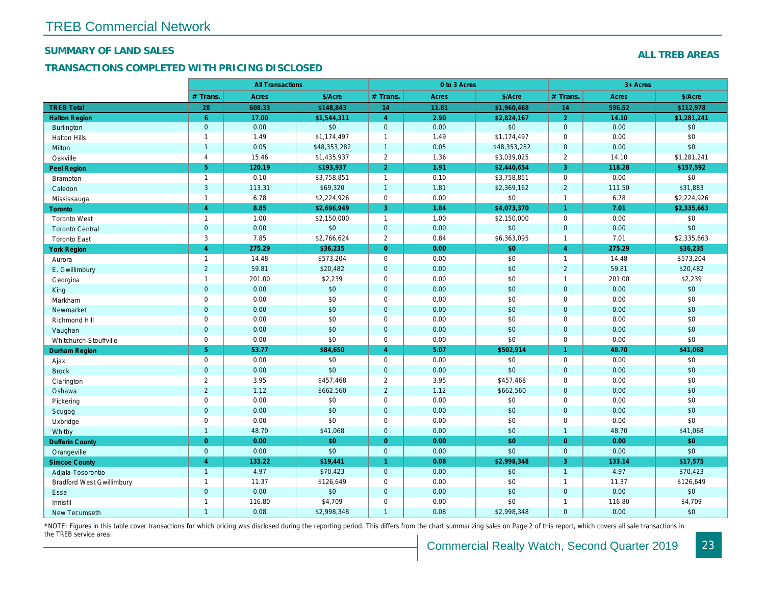#### SUMMARY OF LAND SALES

## TRANSACTIONS COMPLETED WITH PRICING DISCLOSED

|                                  |                     | <b>All Transactions</b> |              |                      | 0 to 3 Acres |              |                |
|----------------------------------|---------------------|-------------------------|--------------|----------------------|--------------|--------------|----------------|
|                                  | # Trans.            | Acres                   | \$/Acre      | # Trans.             | Acres        | \$/Acre      | # Trans.       |
| <b>TREB Total</b>                | 28                  | 608.33                  | \$148,843    | 14                   | 11.81        | \$1,960,468  | 14             |
| <b>Halton Region</b>             | 6 <sup>°</sup>      | 17.00                   | \$1,544,311  | $\overline{4}$       | 2.90         | \$2,824,167  | $\overline{2}$ |
| <b>Burlington</b>                | $\mathbf{0}$        | 0.00                    | \$0          | $\mathbf 0$          | 0.00         | \$0          | $\mathbf{0}$   |
| <b>Halton Hills</b>              | $\mathbf{1}$        | 1.49                    | \$1,174,497  | $\mathbf{1}$         | 1.49         | \$1,174,497  | 0              |
| Milton                           | $\overline{1}$      | 0.05                    | \$48,353,282 | $\mathbf{1}$         | 0.05         | \$48,353,282 | $\overline{0}$ |
| Oakville                         | $\overline{4}$      | 15.46                   | \$1,435,937  | $\sqrt{2}$           | 1.36         | \$3,039,025  | $\overline{2}$ |
| <b>Peel Region</b>               | 5 <sup>5</sup>      | 120.19                  | \$193,937    | $\overline{2}$       | 1.91         | \$2,440,654  | $\overline{3}$ |
| <b>Brampton</b>                  | $\mathbf{1}$        | 0.10                    | \$3,758,851  | $\mathbf{1}$         | 0.10         | \$3,758,851  | $\mathbf 0$    |
| Caledon                          | 3                   | 113.31                  | \$69,320     | $\mathbf{1}$         | 1.81         | \$2,369,162  | $\overline{2}$ |
| Mississauga                      | $\mathbf{1}$        | 6.78                    | \$2,224,926  | $\pmb{0}$            | 0.00         | \$0          | $\overline{1}$ |
| Toronto                          | $\overline{4}$      | 8.85                    | \$2,696,949  | 3                    | 1.84         | \$4,073,370  | $\mathbf{1}$   |
| <b>Toronto West</b>              | $\mathbf{1}$        | 1.00                    | \$2,150,000  | $\mathbf{1}$         | 1.00         | \$2,150,000  | $\mathbf 0$    |
| <b>Toronto Central</b>           | $\mathbf 0$         | 0.00                    | $$0$$        | $\pmb{0}$            | 0.00         | \$0          | $\mathbf 0$    |
| <b>Toronto East</b>              | 3                   | 7.85                    | \$2,766,624  | $\overline{2}$       | 0.84         | \$6,363,095  | $\overline{1}$ |
| <b>York Region</b>               | $\overline{4}$      | 275.29                  | \$36,235     | $\mathbf{0}$         | 0.00         | \$0          | $\overline{4}$ |
| Aurora                           | $\mathbf{1}$        | 14.48                   | \$573,204    | $\mathbf 0$          | 0.00         | \$0          | $\overline{1}$ |
| E. Gwillimbury                   | $\overline{2}$      | 59.81                   | \$20,482     | $\mathbf 0$          | 0.00         | \$0          | $\overline{2}$ |
| Georgina                         | $\mathbf{1}$        | 201.00                  | \$2,239      | $\mathbf 0$          | 0.00         | \$0          | $\overline{1}$ |
| King                             | $\mathbf 0$         | 0.00                    | \$0          | $\mathbf 0$          | 0.00         | \$0          | $\mathbf{0}$   |
| Markham                          | $\mathbf 0$         | 0.00                    | \$0          | $\pmb{0}$            | 0.00         | \$0          | $\mathbf 0$    |
| Newmarket                        | $\mathbf 0$         | 0.00                    | \$0          | $\mathbf 0$          | 0.00         | \$0          | $\overline{0}$ |
| Richmond Hill                    | $\mathbf 0$         | 0.00                    | \$0          | $\pmb{0}$            | 0.00         | \$0          | $\mathbf 0$    |
| Vaughan                          | $\mathbf{0}$        | 0.00                    | \$0          | $\mathbf 0$          | 0.00         | \$0          | $\mathbf{0}$   |
| Whitchurch-Stouffville           | $\mathbf 0$         | 0.00                    | \$0          | $\mathbf 0$          | 0.00         | \$0          | $\Omega$       |
| <b>Durham Region</b>             | 5 <sup>5</sup>      | 53.77                   | \$84,650     | $\overline{4}$       | 5.07         | \$502,914    | $\mathbf{1}$   |
| Ajax                             | $\mathbf 0$         | 0.00                    | \$0          | $\mathbf 0$          | 0.00         | \$0          | $\mathbf 0$    |
| <b>Brock</b>                     | $\mathbf{0}$        | 0.00                    | \$0          | $\mathbf 0$          | 0.00         | \$0          | $\mathbf{0}$   |
| Clarington                       | $\overline{2}$      | 3.95                    | \$457,468    | $\overline{2}$       | 3.95         | \$457,468    | $\Omega$       |
| Oshawa                           | $\overline{2}$      | 1.12                    | \$662,560    | $\overline{2}$       | 1.12         | \$662,560    | $\mathbf{0}$   |
| Pickering                        | $\mathsf{O}\xspace$ | 0.00                    | \$0          | $\pmb{0}$            | 0.00         | \$0          | $\mathbf 0$    |
| Scugog                           | $\mathbf 0$         | 0.00                    | \$0          | $\mathbf 0$          | 0.00         | \$0          | $\mathbf{0}$   |
| Uxbridge                         | $\mathbf 0$         | 0.00                    | \$0          | $\pmb{0}$            | 0.00         | \$0          | $\mathbf 0$    |
| Whitby                           | $\overline{1}$      | 48.70                   | \$41,068     | $\mathbf{0}$         | 0.00         | \$0          | $\overline{1}$ |
| <b>Dufferin County</b>           | $\overline{0}$      | 0.00                    | \$0          | $\mathbf{0}$         | 0.00         | \$0          | $\overline{0}$ |
| Orangeville                      | $\mathbf{0}$        | 0.00                    | \$0          | $\mathbf{0}$         | 0.00         | \$0          | $\mathbf{0}$   |
| <b>Simcoe County</b>             | $\overline{4}$      | 133.22                  | \$19,441     | $\blacktriangleleft$ | 0.08         | \$2,998,348  | $\overline{3}$ |
| Adjala-Tosorontio                | $\overline{1}$      | 4.97                    | \$70,423     | $\mathbf{0}$         | 0.00         | \$0          | $\overline{1}$ |
| <b>Bradford West Gwillimbury</b> | $\mathbf{1}$        | 11.37                   | \$126,649    | $\mathbf 0$          | 0.00         | \$0          | $\overline{1}$ |
| Essa                             | $\mathbf{0}$        | 0.00                    | \$0          | $\mathbf{0}$         | 0.00         | \$0          | $\mathbf{0}$   |
| Innisfil                         | $\mathbf{1}$        | 116.80                  | \$4,709      | $\pmb{0}$            | 0.00         | \$0          | $\overline{1}$ |
| New Tecumseth                    | $\mathbf{1}$        | 0.08                    | \$2,998,348  | $\mathbf{1}$         | 0.08         | \$2,998,348  | $\mathbf{0}$   |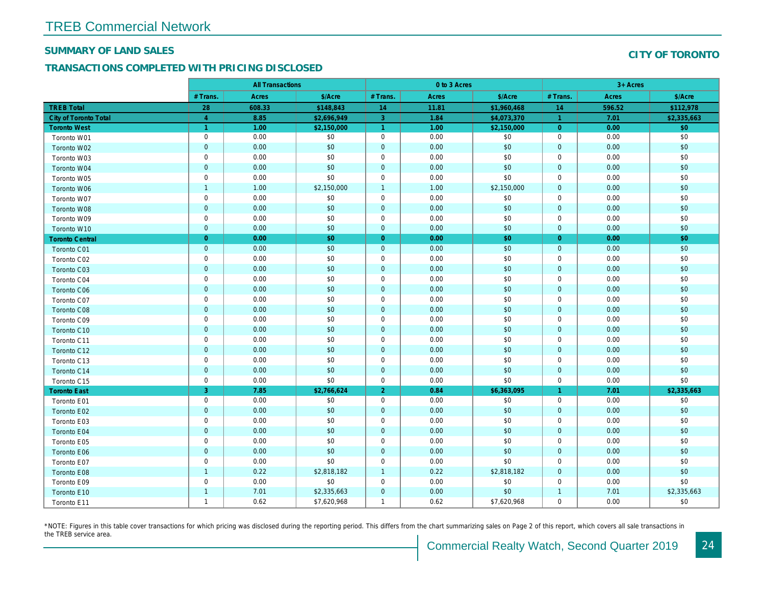#### SUMMARY OF LAND SALES

## TRANSACTIONS COMPLETED WITH PRICING DISCLOSED

|                              |                | <b>All Transactions</b> |             |                |       |             |                      |  |
|------------------------------|----------------|-------------------------|-------------|----------------|-------|-------------|----------------------|--|
|                              | # Trans.       | Acres                   | \$/Acre     | # Trans.       | Acres | \$/Acre     | # Trans.             |  |
| <b>TREB Total</b>            | 28             | 608.33                  | \$148,843   | 14             | 11.81 | \$1,960,468 | 14                   |  |
| <b>City of Toronto Total</b> | $\overline{4}$ | 8.85                    | \$2,696,949 | 3              | 1.84  | \$4,073,370 | $\blacktriangleleft$ |  |
| <b>Toronto West</b>          | $\overline{1}$ | 1.00                    | \$2,150,000 | $\overline{1}$ | 1.00  | \$2,150,000 | $\overline{0}$       |  |
| Toronto W01                  | $\mathbf 0$    | 0.00                    | \$0         | $\mathbf 0$    | 0.00  | \$0         | $\mathbf 0$          |  |
| Toronto W02                  | $\mathbf 0$    | 0.00                    | \$0         | $\mathbf 0$    | 0.00  | \$0         | $\mathbf{0}$         |  |
| Toronto W03                  | $\pmb{0}$      | 0.00                    | \$0         | $\mathbf 0$    | 0.00  | \$0         | $\mathbf 0$          |  |
| Toronto W04                  | $\pmb{0}$      | 0.00                    | \$0         | $\mathbf 0$    | 0.00  | \$0         | $\mathbf 0$          |  |
| Toronto W05                  | $\mathbf 0$    | 0.00                    | \$0         | $\mathbf 0$    | 0.00  | \$0         | $\mathbf 0$          |  |
| Toronto W06                  | $\mathbf{1}$   | 1.00                    | \$2,150,000 | $\overline{1}$ | 1.00  | \$2,150,000 | $\mathbf{0}$         |  |
| Toronto W07                  | $\mathbf 0$    | 0.00                    | \$0         | $\mathbf 0$    | 0.00  | \$0         | $\mathbf 0$          |  |
| Toronto W08                  | $\pmb{0}$      | 0.00                    | \$0         | $\mathbf 0$    | 0.00  | \$0         | $\mathbf 0$          |  |
| Toronto W09                  | $\mathbf 0$    | 0.00                    | \$0         | 0              | 0.00  | \$0         | 0                    |  |
| Toronto W10                  | $\mathbf{0}$   | 0.00                    | \$0         | $\overline{0}$ | 0.00  | \$0         | $\mathbf{0}$         |  |
| <b>Toronto Central</b>       | $\mathbf{0}$   | 0.00                    | \$0         | $\overline{0}$ | 0.00  | \$0         | $\overline{0}$       |  |
| Toronto C01                  | $\mathbf 0$    | 0.00                    | \$0         | $\pmb{0}$      | 0.00  | \$0         | $\mathbf 0$          |  |
| Toronto C02                  | $\mathbf 0$    | 0.00                    | \$0         | $\mathbf 0$    | 0.00  | \$0         | $\mathbf 0$          |  |
| Toronto C03                  | $\mathbf 0$    | 0.00                    | \$0         | $\mathbf 0$    | 0.00  | \$0         | $\overline{0}$       |  |
| Toronto C04                  | $\pmb{0}$      | 0.00                    | \$0         | $\mathbf 0$    | 0.00  | \$0         | $\mathbf 0$          |  |
| Toronto C06                  | $\pmb{0}$      | 0.00                    | \$0         | $\pmb{0}$      | 0.00  | \$0         | $\mathbf 0$          |  |
| Toronto C07                  | $\pmb{0}$      | 0.00                    | \$0         | $\mathbf 0$    | 0.00  | \$0         | $\mathbf 0$          |  |
| Toronto C08                  | $\pmb{0}$      | 0.00                    | \$0         | $\mathbf 0$    | 0.00  | \$0         | $\mathbf 0$          |  |
| Toronto C09                  | $\pmb{0}$      | 0.00                    | \$0         | $\mathbf 0$    | 0.00  | \$0         | $\mathbf 0$          |  |
| Toronto C10                  | $\mathbf 0$    | 0.00                    | \$0         | $\overline{0}$ | 0.00  | \$0         | $\mathbf 0$          |  |
| Toronto C11                  | $\pmb{0}$      | 0.00                    | \$0         | $\mathbf 0$    | 0.00  | \$0         | $\mathbf 0$          |  |
| Toronto C12                  | $\pmb{0}$      | 0.00                    | \$0         | $\mathbf 0$    | 0.00  | \$0         | $\mathbf 0$          |  |
| Toronto C13                  | $\pmb{0}$      | 0.00                    | \$0         | $\mathbf 0$    | 0.00  | \$0         | $\mathbf 0$          |  |
| Toronto C14                  | $\mathbf 0$    | 0.00                    | \$0         | $\overline{0}$ | 0.00  | \$0         | $\mathbf{0}$         |  |
| Toronto C15                  | $\pmb{0}$      | 0.00                    | \$0         | $\mathbf 0$    | 0.00  | \$0         | $\mathbf 0$          |  |
| <b>Toronto East</b>          | 3              | 7.85                    | \$2,766,624 | $\overline{2}$ | 0.84  | \$6,363,095 | $\mathbf{1}$         |  |
| Toronto E01                  | $\pmb{0}$      | 0.00                    | \$0         | $\mathbf 0$    | 0.00  | \$0         | $\mathbf 0$          |  |
| Toronto E02                  | $\mathbf 0$    | 0.00                    | \$0         | $\mathbf 0$    | 0.00  | \$0         | $\mathbf{0}$         |  |
| Toronto E03                  | $\pmb{0}$      | 0.00                    | \$0         | $\mathbf 0$    | 0.00  | \$0         | $\mathbf 0$          |  |
| Toronto E04                  | $\mathbf 0$    | 0.00                    | \$0         | $\overline{0}$ | 0.00  | \$0         | $\mathbf{0}$         |  |
| Toronto E05                  | $\pmb{0}$      | 0.00                    | \$0         | $\mathbf 0$    | 0.00  | \$0         | $\mathbf 0$          |  |
| Toronto E06                  | $\pmb{0}$      | 0.00                    | \$0         | $\pmb{0}$      | 0.00  | \$0         | $\mathbf 0$          |  |
| Toronto E07                  | $\mathbf 0$    | 0.00                    | \$0         | $\mathbf 0$    | 0.00  | \$0         | $\mathbf 0$          |  |
| Toronto E08                  | $\mathbf{1}$   | 0.22                    | \$2,818,182 | $\mathbf{1}$   | 0.22  | \$2,818,182 | $\mathbf{0}$         |  |
| Toronto E09                  | $\pmb{0}$      | 0.00                    | \$0         | $\pmb{0}$      | 0.00  | \$0         | $\mathbf 0$          |  |
| Toronto E10                  | $\overline{1}$ | 7.01                    | \$2,335,663 | $\mathbf 0$    | 0.00  | \$0         | $\overline{1}$       |  |
| Toronto E11                  | $\mathbf{1}$   | 0.62                    | \$7,620,968 | $\mathbf{1}$   | 0.62  | \$7,620,968 | $\mathbf 0$          |  |